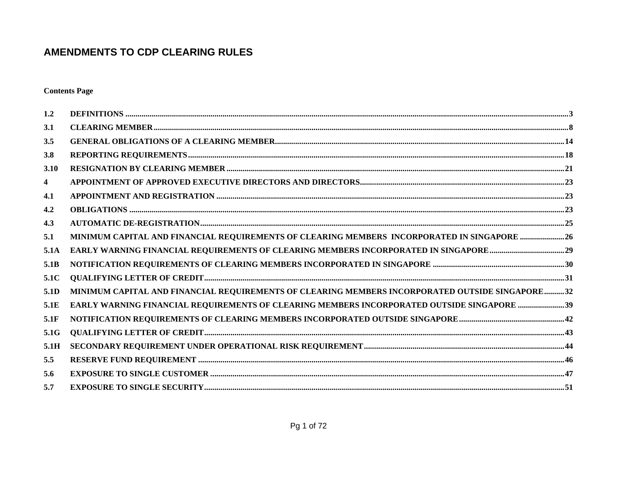**Contents Page** 

| 1.2  |                                                                                                 |
|------|-------------------------------------------------------------------------------------------------|
| 3.1  |                                                                                                 |
| 3.5  |                                                                                                 |
| 3.8  |                                                                                                 |
| 3.10 |                                                                                                 |
| 4    |                                                                                                 |
| 4.1  |                                                                                                 |
| 4.2  |                                                                                                 |
| 4.3  |                                                                                                 |
| 5.1  | MINIMUM CAPITAL AND FINANCIAL REQUIREMENTS OF CLEARING MEMBERS INCORPORATED IN SINGAPORE 26     |
| 5.1A |                                                                                                 |
| 5.1B |                                                                                                 |
| 5.1C |                                                                                                 |
| 5.1D | MINIMUM CAPITAL AND FINANCIAL REQUIREMENTS OF CLEARING MEMBERS INCORPORATED OUTSIDE SINGAPORE32 |
| 5.1E | EARLY WARNING FINANCIAL REQUIREMENTS OF CLEARING MEMBERS INCORPORATED OUTSIDE SINGAPORE 39      |
| 5.1F |                                                                                                 |
| 5.1G |                                                                                                 |
| 5.1H |                                                                                                 |
| 5.5  |                                                                                                 |
| 5.6  |                                                                                                 |
| 5.7  |                                                                                                 |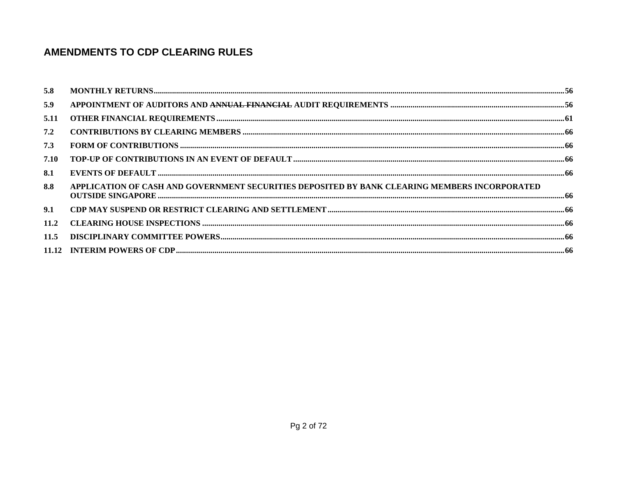| 5.8  |                                                                                               |  |
|------|-----------------------------------------------------------------------------------------------|--|
| 5.9  |                                                                                               |  |
| 5.11 |                                                                                               |  |
| 7.2  |                                                                                               |  |
| 7.3  |                                                                                               |  |
| 7.10 |                                                                                               |  |
| 8.1  |                                                                                               |  |
| 8.8  | APPLICATION OF CASH AND GOVERNMENT SECURITIES DEPOSITED BY BANK CLEARING MEMBERS INCORPORATED |  |
| 9.1  |                                                                                               |  |
| 11.2 |                                                                                               |  |
| 11.5 |                                                                                               |  |
|      |                                                                                               |  |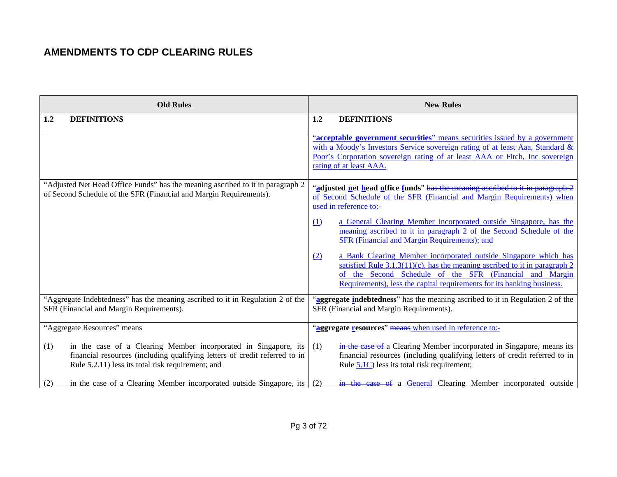| <b>Old Rules</b>                                                                                                                                                                                          | <b>New Rules</b>                                                                                                                                                                                                                                                                             |  |  |
|-----------------------------------------------------------------------------------------------------------------------------------------------------------------------------------------------------------|----------------------------------------------------------------------------------------------------------------------------------------------------------------------------------------------------------------------------------------------------------------------------------------------|--|--|
| <b>DEFINITIONS</b><br>1.2                                                                                                                                                                                 | <b>DEFINITIONS</b><br>1.2                                                                                                                                                                                                                                                                    |  |  |
|                                                                                                                                                                                                           | "acceptable government securities" means securities issued by a government<br>with a Moody's Investors Service sovereign rating of at least Aaa, Standard &<br>Poor's Corporation sovereign rating of at least AAA or Fitch, Inc sovereign<br>rating of at least AAA.                        |  |  |
| "Adjusted Net Head Office Funds" has the meaning ascribed to it in paragraph 2<br>of Second Schedule of the SFR (Financial and Margin Requirements).                                                      | "adjusted net head office funds" has the meaning ascribed to it in paragraph 2<br>of Second Schedule of the SFR (Financial and Margin Requirements) when<br>used in reference to:-                                                                                                           |  |  |
|                                                                                                                                                                                                           | a General Clearing Member incorporated outside Singapore, has the<br>(1)<br>meaning ascribed to it in paragraph 2 of the Second Schedule of the<br>SFR (Financial and Margin Requirements); and                                                                                              |  |  |
|                                                                                                                                                                                                           | a Bank Clearing Member incorporated outside Singapore which has<br>(2)<br>satisfied Rule $3.1.3(11)(c)$ , has the meaning ascribed to it in paragraph 2<br>of the Second Schedule of the SFR (Financial and Margin<br>Requirements), less the capital requirements for its banking business. |  |  |
| "Aggregate Indebtedness" has the meaning ascribed to it in Regulation 2 of the<br>SFR (Financial and Margin Requirements).                                                                                | "aggregate indebtedness" has the meaning ascribed to it in Regulation 2 of the<br>SFR (Financial and Margin Requirements).                                                                                                                                                                   |  |  |
| "Aggregate Resources" means                                                                                                                                                                               | "aggregate resources" means when used in reference to:-                                                                                                                                                                                                                                      |  |  |
| in the case of a Clearing Member incorporated in Singapore, its<br>(1)<br>financial resources (including qualifying letters of credit referred to in<br>Rule 5.2.11) less its total risk requirement; and | in the case of a Clearing Member incorporated in Singapore, means its<br>(1)<br>financial resources (including qualifying letters of credit referred to in<br>Rule $5.1C$ ) less its total risk requirement;                                                                                 |  |  |
| in the case of a Clearing Member incorporated outside Singapore, its<br>(2)                                                                                                                               | in the case of a General Clearing Member incorporated outside<br>(2)                                                                                                                                                                                                                         |  |  |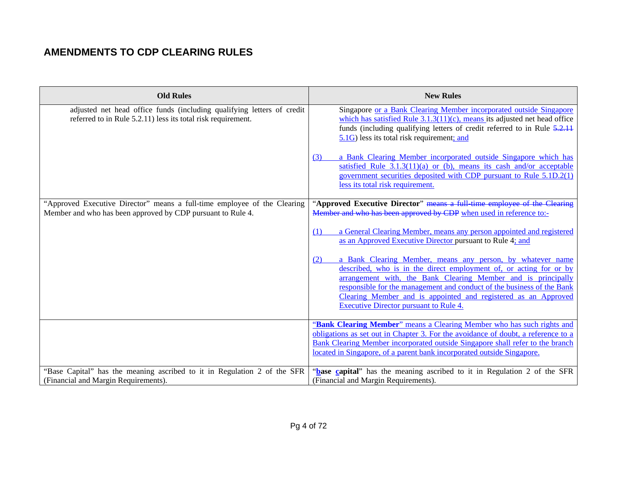| <b>Old Rules</b>                                                                                                                        | <b>New Rules</b>                                                                                                                                                                                                                                                                                                                                                                                      |
|-----------------------------------------------------------------------------------------------------------------------------------------|-------------------------------------------------------------------------------------------------------------------------------------------------------------------------------------------------------------------------------------------------------------------------------------------------------------------------------------------------------------------------------------------------------|
|                                                                                                                                         |                                                                                                                                                                                                                                                                                                                                                                                                       |
| adjusted net head office funds (including qualifying letters of credit<br>referred to in Rule 5.2.11) less its total risk requirement.  | Singapore or a Bank Clearing Member incorporated outside Singapore<br>which has satisfied Rule $3.1.3(11)(c)$ , means its adjusted net head office<br>funds (including qualifying letters of credit referred to in Rule 5.2.11<br>5.1G) less its total risk requirement; and                                                                                                                          |
|                                                                                                                                         | a Bank Clearing Member incorporated outside Singapore which has<br>(3)<br>satisfied Rule $3.1.3(11)(a)$ or (b), means its cash and/or acceptable<br>government securities deposited with CDP pursuant to Rule 5.1D.2(1)<br>less its total risk requirement.                                                                                                                                           |
| "Approved Executive Director" means a full-time employee of the Clearing<br>Member and who has been approved by CDP pursuant to Rule 4. | "Approved Executive Director" means a full-time employee of the Clearing<br>Member and who has been approved by CDP when used in reference to:-                                                                                                                                                                                                                                                       |
|                                                                                                                                         | a General Clearing Member, means any person appointed and registered<br>(1)<br>as an Approved Executive Director pursuant to Rule 4; and                                                                                                                                                                                                                                                              |
|                                                                                                                                         | a Bank Clearing Member, means any person, by whatever name<br>(2)<br>described, who is in the direct employment of, or acting for or by<br>arrangement with, the Bank Clearing Member and is principally<br>responsible for the management and conduct of the business of the Bank<br>Clearing Member and is appointed and registered as an Approved<br><b>Executive Director pursuant to Rule 4.</b> |
|                                                                                                                                         | "Bank Clearing Member" means a Clearing Member who has such rights and<br>obligations as set out in Chapter 3. For the avoidance of doubt, a reference to a<br>Bank Clearing Member incorporated outside Singapore shall refer to the branch<br>located in Singapore, of a parent bank incorporated outside Singapore.                                                                                |
| "Base Capital" has the meaning ascribed to it in Regulation 2 of the SFR<br>(Financial and Margin Requirements).                        | "base capital" has the meaning ascribed to it in Regulation 2 of the SFR<br>(Financial and Margin Requirements).                                                                                                                                                                                                                                                                                      |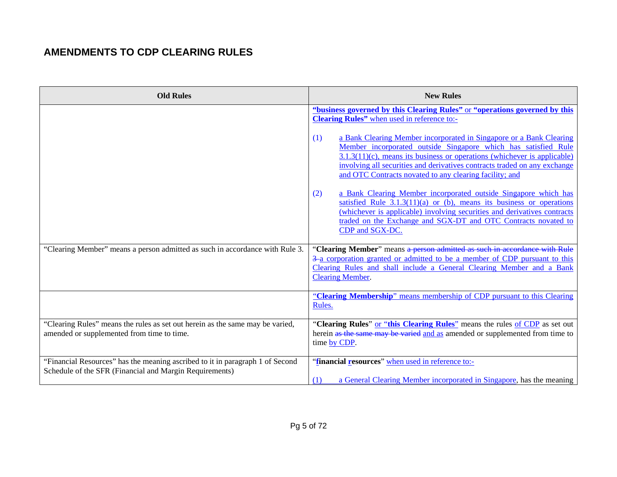| <b>Old Rules</b>                                                                                                                         | <b>New Rules</b>                                                                                                                                                                                                                                                                                                  |
|------------------------------------------------------------------------------------------------------------------------------------------|-------------------------------------------------------------------------------------------------------------------------------------------------------------------------------------------------------------------------------------------------------------------------------------------------------------------|
|                                                                                                                                          | "business governed by this Clearing Rules" or "operations governed by this<br>Clearing Rules" when used in reference to:-<br>a Bank Clearing Member incorporated in Singapore or a Bank Clearing<br>(1)<br>Member incorporated outside Singapore which has satisfied Rule                                         |
|                                                                                                                                          | 3.1.3(11)(c), means its business or operations (whichever is applicable)<br>involving all securities and derivatives contracts traded on any exchange<br>and OTC Contracts novated to any clearing facility; and                                                                                                  |
|                                                                                                                                          | a Bank Clearing Member incorporated outside Singapore which has<br>(2)<br>satisfied Rule $3.1.3(11)(a)$ or (b), means its business or operations<br>(whichever is applicable) involving securities and derivatives contracts<br>traded on the Exchange and SGX-DT and OTC Contracts novated to<br>CDP and SGX-DC. |
| "Clearing Member" means a person admitted as such in accordance with Rule 3.                                                             | "Clearing Member" means a person admitted as such in accordance with Rule<br>3-a corporation granted or admitted to be a member of CDP pursuant to this<br>Clearing Rules and shall include a General Clearing Member and a Bank<br><b>Clearing Member.</b>                                                       |
|                                                                                                                                          | "Clearing Membership" means membership of CDP pursuant to this Clearing<br>Rules.                                                                                                                                                                                                                                 |
| "Clearing Rules" means the rules as set out herein as the same may be varied,<br>amended or supplemented from time to time.              | "Clearing Rules" or "this Clearing Rules" means the rules of CDP as set out<br>herein as the same may be varied and as amended or supplemented from time to<br>time by CDP.                                                                                                                                       |
| "Financial Resources" has the meaning ascribed to it in paragraph 1 of Second<br>Schedule of the SFR (Financial and Margin Requirements) | "financial resources" when used in reference to:-<br>a General Clearing Member incorporated in Singapore, has the meaning<br>(1)                                                                                                                                                                                  |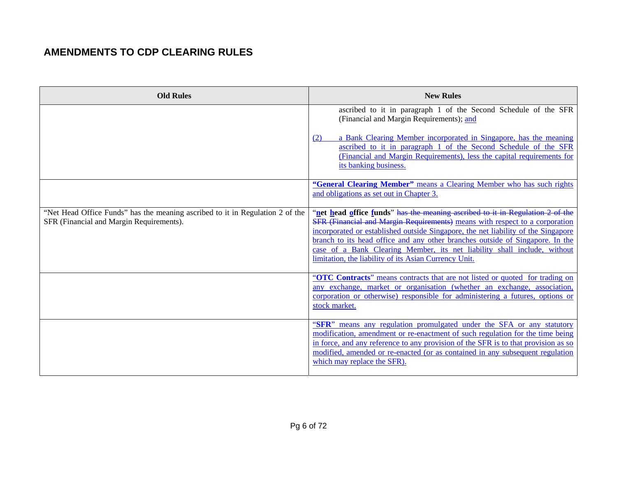| <b>Old Rules</b>                                                                                                          | <b>New Rules</b>                                                                                                                                                                                                                                                                                                                                                                                                                                                        |
|---------------------------------------------------------------------------------------------------------------------------|-------------------------------------------------------------------------------------------------------------------------------------------------------------------------------------------------------------------------------------------------------------------------------------------------------------------------------------------------------------------------------------------------------------------------------------------------------------------------|
|                                                                                                                           | ascribed to it in paragraph 1 of the Second Schedule of the SFR<br>(Financial and Margin Requirements); and                                                                                                                                                                                                                                                                                                                                                             |
|                                                                                                                           | a Bank Clearing Member incorporated in Singapore, has the meaning<br>(2)<br>ascribed to it in paragraph 1 of the Second Schedule of the SFR<br>(Financial and Margin Requirements), less the capital requirements for<br>its banking business.                                                                                                                                                                                                                          |
|                                                                                                                           | "General Clearing Member" means a Clearing Member who has such rights<br>and obligations as set out in Chapter 3.                                                                                                                                                                                                                                                                                                                                                       |
| "Net Head Office Funds" has the meaning ascribed to it in Regulation 2 of the<br>SFR (Financial and Margin Requirements). | "net head office funds" has the meaning ascribed to it in Regulation 2 of the<br>SFR (Financial and Margin Requirements) means with respect to a corporation<br>incorporated or established outside Singapore, the net liability of the Singapore<br>branch to its head office and any other branches outside of Singapore. In the<br>case of a Bank Clearing Member, its net liability shall include, without<br>limitation, the liability of its Asian Currency Unit. |
|                                                                                                                           | "OTC Contracts" means contracts that are not listed or quoted for trading on<br>any exchange, market or organisation (whether an exchange, association,<br>corporation or otherwise) responsible for administering a futures, options or<br>stock market.                                                                                                                                                                                                               |
|                                                                                                                           | "SFR" means any regulation promulgated under the SFA or any statutory<br>modification, amendment or re-enactment of such regulation for the time being<br>in force, and any reference to any provision of the SFR is to that provision as so<br>modified, amended or re-enacted (or as contained in any subsequent regulation<br>which may replace the SFR).                                                                                                            |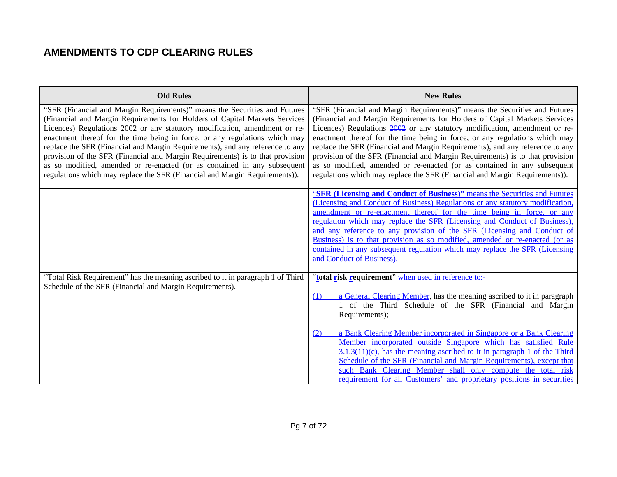| <b>Old Rules</b>                                                                                                                                                                                                                                                                                                                                                                                                                                                                                                                                                                                                                                   | <b>New Rules</b>                                                                                                                                                                                                                                                                                                                                                                                                                                                                                                                                                                                                                                   |
|----------------------------------------------------------------------------------------------------------------------------------------------------------------------------------------------------------------------------------------------------------------------------------------------------------------------------------------------------------------------------------------------------------------------------------------------------------------------------------------------------------------------------------------------------------------------------------------------------------------------------------------------------|----------------------------------------------------------------------------------------------------------------------------------------------------------------------------------------------------------------------------------------------------------------------------------------------------------------------------------------------------------------------------------------------------------------------------------------------------------------------------------------------------------------------------------------------------------------------------------------------------------------------------------------------------|
| "SFR (Financial and Margin Requirements)" means the Securities and Futures<br>(Financial and Margin Requirements for Holders of Capital Markets Services<br>Licences) Regulations 2002 or any statutory modification, amendment or re-<br>enactment thereof for the time being in force, or any regulations which may<br>replace the SFR (Financial and Margin Requirements), and any reference to any<br>provision of the SFR (Financial and Margin Requirements) is to that provision<br>as so modified, amended or re-enacted (or as contained in any subsequent<br>regulations which may replace the SFR (Financial and Margin Requirements)). | "SFR (Financial and Margin Requirements)" means the Securities and Futures<br>(Financial and Margin Requirements for Holders of Capital Markets Services<br>Licences) Regulations 2002 or any statutory modification, amendment or re-<br>enactment thereof for the time being in force, or any regulations which may<br>replace the SFR (Financial and Margin Requirements), and any reference to any<br>provision of the SFR (Financial and Margin Requirements) is to that provision<br>as so modified, amended or re-enacted (or as contained in any subsequent<br>regulations which may replace the SFR (Financial and Margin Requirements)). |
|                                                                                                                                                                                                                                                                                                                                                                                                                                                                                                                                                                                                                                                    | "SFR (Licensing and Conduct of Business)" means the Securities and Futures<br>(Licensing and Conduct of Business) Regulations or any statutory modification,<br>amendment or re-enactment thereof for the time being in force, or any<br>regulation which may replace the SFR (Licensing and Conduct of Business).                                                                                                                                                                                                                                                                                                                                 |
|                                                                                                                                                                                                                                                                                                                                                                                                                                                                                                                                                                                                                                                    | and any reference to any provision of the SFR (Licensing and Conduct of<br>Business) is to that provision as so modified, amended or re-enacted (or as<br>contained in any subsequent regulation which may replace the SFR (Licensing<br>and Conduct of Business).                                                                                                                                                                                                                                                                                                                                                                                 |
| "Total Risk Requirement" has the meaning ascribed to it in paragraph 1 of Third<br>Schedule of the SFR (Financial and Margin Requirements).                                                                                                                                                                                                                                                                                                                                                                                                                                                                                                        | "total risk requirement" when used in reference to:-                                                                                                                                                                                                                                                                                                                                                                                                                                                                                                                                                                                               |
|                                                                                                                                                                                                                                                                                                                                                                                                                                                                                                                                                                                                                                                    | a General Clearing Member, has the meaning ascribed to it in paragraph<br>(1)<br>1 of the Third Schedule of the SFR (Financial and Margin<br>Requirements);                                                                                                                                                                                                                                                                                                                                                                                                                                                                                        |
|                                                                                                                                                                                                                                                                                                                                                                                                                                                                                                                                                                                                                                                    | a Bank Clearing Member incorporated in Singapore or a Bank Clearing<br>(2)<br>Member incorporated outside Singapore which has satisfied Rule<br>$3.1.3(11)(c)$ , has the meaning ascribed to it in paragraph 1 of the Third<br>Schedule of the SFR (Financial and Margin Requirements), except that<br>such Bank Clearing Member shall only compute the total risk<br>requirement for all Customers' and proprietary positions in securities                                                                                                                                                                                                       |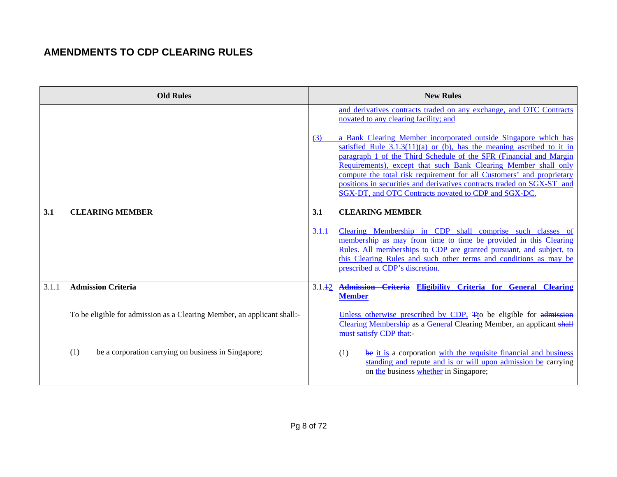|       | <b>Old Rules</b>                                                        |        | <b>New Rules</b>                                                                                                                                                                                                                                                                                                                                                                                                                                                                                                                                                                                               |
|-------|-------------------------------------------------------------------------|--------|----------------------------------------------------------------------------------------------------------------------------------------------------------------------------------------------------------------------------------------------------------------------------------------------------------------------------------------------------------------------------------------------------------------------------------------------------------------------------------------------------------------------------------------------------------------------------------------------------------------|
|       |                                                                         | (3)    | and derivatives contracts traded on any exchange, and OTC Contracts<br>novated to any clearing facility; and<br>a Bank Clearing Member incorporated outside Singapore which has<br>satisfied Rule $3.1.3(11)(a)$ or (b), has the meaning ascribed to it in<br>paragraph 1 of the Third Schedule of the SFR (Financial and Margin<br>Requirements), except that such Bank Clearing Member shall only<br>compute the total risk requirement for all Customers' and proprietary<br>positions in securities and derivatives contracts traded on SGX-ST and<br>SGX-DT, and OTC Contracts novated to CDP and SGX-DC. |
| 3.1   | <b>CLEARING MEMBER</b>                                                  | 3.1    | <b>CLEARING MEMBER</b>                                                                                                                                                                                                                                                                                                                                                                                                                                                                                                                                                                                         |
|       |                                                                         |        |                                                                                                                                                                                                                                                                                                                                                                                                                                                                                                                                                                                                                |
|       |                                                                         | 3.1.1  | Clearing Membership in CDP shall comprise such classes of<br>membership as may from time to time be provided in this Clearing<br>Rules. All memberships to CDP are granted pursuant, and subject, to<br>this Clearing Rules and such other terms and conditions as may be<br>prescribed at CDP's discretion.                                                                                                                                                                                                                                                                                                   |
| 3.1.1 | <b>Admission Criteria</b>                                               | 3.1.12 | Admission Criteria Eligibility Criteria for General Clearing<br><b>Member</b>                                                                                                                                                                                                                                                                                                                                                                                                                                                                                                                                  |
|       | To be eligible for admission as a Clearing Member, an applicant shall:- |        | Unless otherwise prescribed by CDP, Tto be eligible for admission<br>Clearing Membership as a General Clearing Member, an applicant shall<br>must satisfy CDP that:-                                                                                                                                                                                                                                                                                                                                                                                                                                           |
|       | be a corporation carrying on business in Singapore;<br>(1)              |        | be it is a corporation with the requisite financial and business<br>(1)<br>standing and repute and is or will upon admission be carrying<br>on the business whether in Singapore;                                                                                                                                                                                                                                                                                                                                                                                                                              |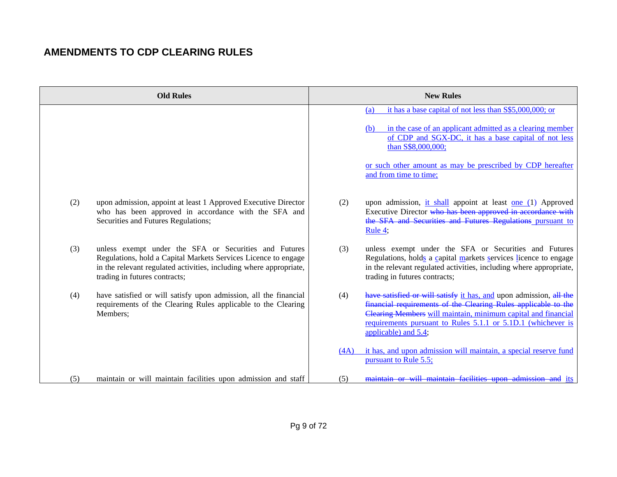|     | <b>Old Rules</b>                                                                                                                                                                                                               |      | <b>New Rules</b>                                                                                                                                                                                                                                                                              |
|-----|--------------------------------------------------------------------------------------------------------------------------------------------------------------------------------------------------------------------------------|------|-----------------------------------------------------------------------------------------------------------------------------------------------------------------------------------------------------------------------------------------------------------------------------------------------|
|     |                                                                                                                                                                                                                                |      | it has a base capital of not less than S\$5,000,000; or<br>(a)<br>in the case of an applicant admitted as a clearing member<br>(b)<br>of CDP and SGX-DC, it has a base capital of not less<br>than S\$8,000,000;                                                                              |
|     |                                                                                                                                                                                                                                |      | or such other amount as may be prescribed by CDP hereafter<br>and from time to time;                                                                                                                                                                                                          |
| (2) | upon admission, appoint at least 1 Approved Executive Director<br>who has been approved in accordance with the SFA and<br>Securities and Futures Regulations;                                                                  | (2)  | upon admission, it shall appoint at least one (1) Approved<br>Executive Director who has been approved in accordance with<br>the SFA and Securities and Futures Regulations pursuant to<br>Rule $4$ ;                                                                                         |
| (3) | unless exempt under the SFA or Securities and Futures<br>Regulations, hold a Capital Markets Services Licence to engage<br>in the relevant regulated activities, including where appropriate,<br>trading in futures contracts; | (3)  | unless exempt under the SFA or Securities and Futures<br>Regulations, holds a capital markets services licence to engage<br>in the relevant regulated activities, including where appropriate,<br>trading in futures contracts;                                                               |
| (4) | have satisfied or will satisfy upon admission, all the financial<br>requirements of the Clearing Rules applicable to the Clearing<br>Members;                                                                                  | (4)  | have satisfied or will satisfy it has, and upon admission, all the<br>financial requirements of the Clearing Rules applicable to the<br>Clearing Members will maintain, minimum capital and financial<br>requirements pursuant to Rules 5.1.1 or 5.1D.1 (whichever is<br>applicable) and 5.4; |
|     |                                                                                                                                                                                                                                | (4A) | it has, and upon admission will maintain, a special reserve fund<br>pursuant to Rule 5.5;                                                                                                                                                                                                     |
| (5) | maintain or will maintain facilities upon admission and staff                                                                                                                                                                  | (5)  | maintain or will maintain facilities upon admission and its                                                                                                                                                                                                                                   |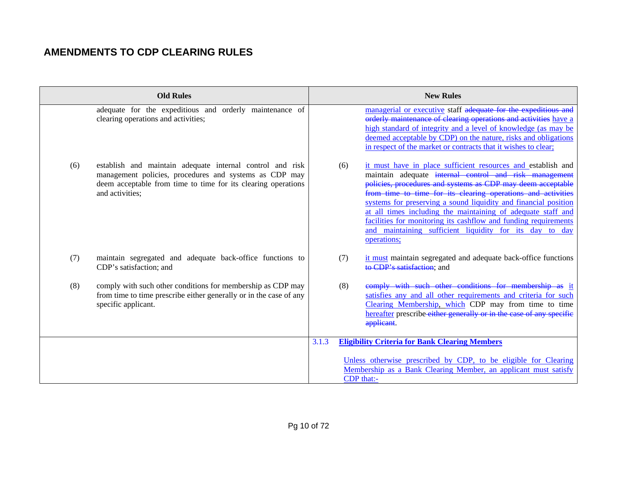|     | <b>Old Rules</b>                                                                                                                                                                                        |       | <b>New Rules</b> |                                                                                                                                                                                                                                                                                                                                                                                                                                                                                                                                       |
|-----|---------------------------------------------------------------------------------------------------------------------------------------------------------------------------------------------------------|-------|------------------|---------------------------------------------------------------------------------------------------------------------------------------------------------------------------------------------------------------------------------------------------------------------------------------------------------------------------------------------------------------------------------------------------------------------------------------------------------------------------------------------------------------------------------------|
|     | adequate for the expeditious and orderly maintenance of<br>clearing operations and activities;                                                                                                          |       |                  | managerial or executive staff adequate for the expeditious and<br>orderly maintenance of clearing operations and activities have a<br>high standard of integrity and a level of knowledge (as may be<br>deemed acceptable by CDP) on the nature, risks and obligations<br>in respect of the market or contracts that it wishes to clear;                                                                                                                                                                                              |
| (6) | establish and maintain adequate internal control and risk<br>management policies, procedures and systems as CDP may<br>deem acceptable from time to time for its clearing operations<br>and activities; |       | (6)              | it must have in place sufficient resources and establish and<br>maintain adequate internal control and risk management<br>policies, procedures and systems as CDP may deem acceptable<br>from time to time for its clearing operations and activities<br>systems for preserving a sound liquidity and financial position<br>at all times including the maintaining of adequate staff and<br>facilities for monitoring its cashflow and funding requirements<br>and maintaining sufficient liquidity for its day to day<br>operations; |
| (7) | maintain segregated and adequate back-office functions to<br>CDP's satisfaction; and                                                                                                                    |       | (7)              | it must maintain segregated and adequate back-office functions<br>to CDP's satisfaction: and                                                                                                                                                                                                                                                                                                                                                                                                                                          |
| (8) | comply with such other conditions for membership as CDP may<br>from time to time prescribe either generally or in the case of any<br>specific applicant.                                                |       | (8)              | comply with such other conditions for membership as it<br>satisfies any and all other requirements and criteria for such<br>Clearing Membership, which CDP may from time to time<br>hereafter prescribe either generally or in the case of any specific<br>applicant.                                                                                                                                                                                                                                                                 |
|     |                                                                                                                                                                                                         | 3.1.3 |                  | <b>Eligibility Criteria for Bank Clearing Members</b>                                                                                                                                                                                                                                                                                                                                                                                                                                                                                 |
|     |                                                                                                                                                                                                         |       |                  | Unless otherwise prescribed by CDP, to be eligible for Clearing<br>Membership as a Bank Clearing Member, an applicant must satisfy<br>CDP that:-                                                                                                                                                                                                                                                                                                                                                                                      |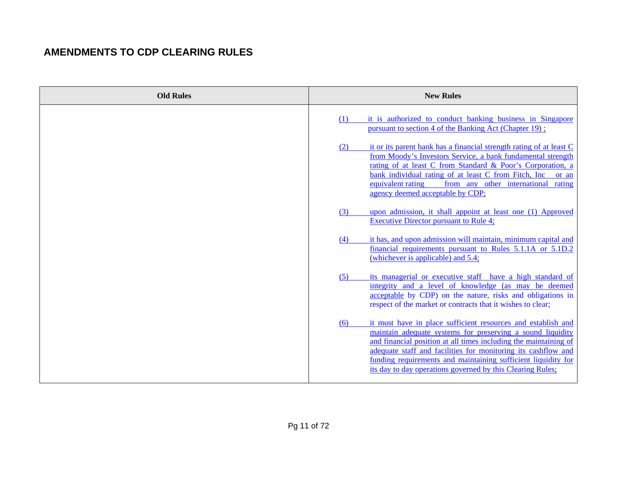| <b>Old Rules</b> | <b>New Rules</b>                                                                                                                                                                                                                                                                                                                                                                                      |
|------------------|-------------------------------------------------------------------------------------------------------------------------------------------------------------------------------------------------------------------------------------------------------------------------------------------------------------------------------------------------------------------------------------------------------|
|                  | it is authorized to conduct banking business in Singapore<br>(1)<br>pursuant to section 4 of the Banking Act (Chapter 19);                                                                                                                                                                                                                                                                            |
|                  | it or its parent bank has a financial strength rating of at least C<br>(2)<br>from Moody's Investors Service, a bank fundamental strength<br>rating of at least C from Standard & Poor's Corporation, a<br>bank individual rating of at least C from Fitch, Inc.<br>or an<br>equivalent rating<br>from any other international rating<br>agency deemed acceptable by CDP;                             |
|                  | upon admission, it shall appoint at least one (1) Approved<br>(3)<br><b>Executive Director pursuant to Rule 4;</b>                                                                                                                                                                                                                                                                                    |
|                  | it has, and upon admission will maintain, minimum capital and<br>(4)<br>financial requirements pursuant to Rules 5.1.1A or 5.1D.2<br>(whichever is applicable) and 5.4;                                                                                                                                                                                                                               |
|                  | its managerial or executive staff have a high standard of<br>(5)<br>integrity and a level of knowledge (as may be deemed<br>acceptable by CDP) on the nature, risks and obligations in<br>respect of the market or contracts that it wishes to clear;                                                                                                                                                 |
|                  | it must have in place sufficient resources and establish and<br>(6)<br>maintain adequate systems for preserving a sound liquidity<br>and financial position at all times including the maintaining of<br>adequate staff and facilities for monitoring its cashflow and<br>funding requirements and maintaining sufficient liquidity for<br>its day to day operations governed by this Clearing Rules; |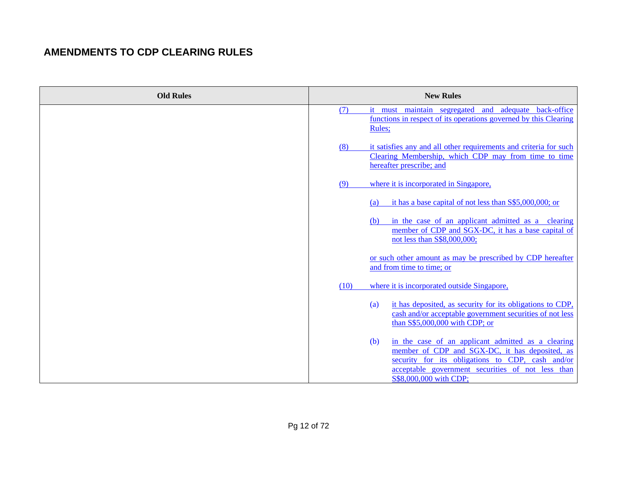| <b>Old Rules</b> | <b>New Rules</b>                                                                                                                                                                                                                               |
|------------------|------------------------------------------------------------------------------------------------------------------------------------------------------------------------------------------------------------------------------------------------|
|                  | it must maintain segregated<br>and adequate<br>(7)<br>back-office<br>functions in respect of its operations governed by this Clearing<br>Rules;                                                                                                |
|                  | it satisfies any and all other requirements and criteria for such<br>(8)<br>Clearing Membership, which CDP may from time to time<br>hereafter prescribe; and                                                                                   |
|                  | where it is incorporated in Singapore,<br>(9)                                                                                                                                                                                                  |
|                  | it has a base capital of not less than S\$5,000,000; or<br>(a)                                                                                                                                                                                 |
|                  | in the case of an applicant admitted as a clearing<br>(b)<br>member of CDP and SGX-DC, it has a base capital of<br>not less than S\$8,000,000;                                                                                                 |
|                  | or such other amount as may be prescribed by CDP hereafter<br>and from time to time; or                                                                                                                                                        |
|                  | (10)<br>where it is incorporated outside Singapore,                                                                                                                                                                                            |
|                  | it has deposited, as security for its obligations to CDP,<br>(a)<br>cash and/or acceptable government securities of not less<br>than S\$5,000,000 with CDP; or                                                                                 |
|                  | in the case of an applicant admitted as a clearing<br>(b)<br>member of CDP and SGX-DC, it has deposited, as<br>security for its obligations to CDP, cash and/or<br>acceptable government securities of not less than<br>S\$8,000,000 with CDP; |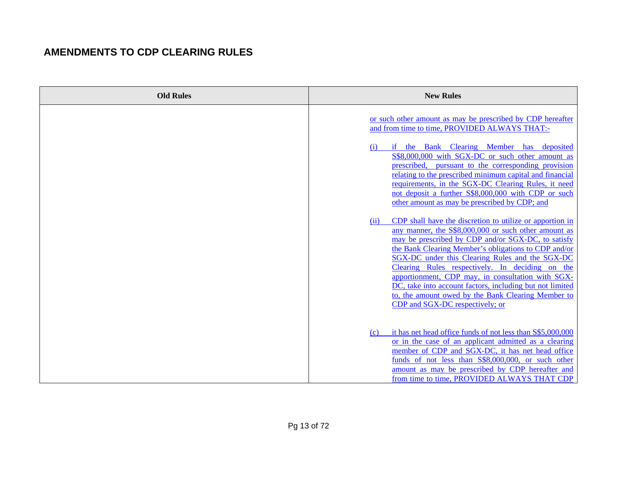| <b>Old Rules</b> | <b>New Rules</b>                                                                                                                                                                                                                                                                                                                                                                                                                                                                                                                                       |
|------------------|--------------------------------------------------------------------------------------------------------------------------------------------------------------------------------------------------------------------------------------------------------------------------------------------------------------------------------------------------------------------------------------------------------------------------------------------------------------------------------------------------------------------------------------------------------|
|                  | or such other amount as may be prescribed by CDP hereafter<br>and from time to time, PROVIDED ALWAYS THAT:-                                                                                                                                                                                                                                                                                                                                                                                                                                            |
|                  | if the Bank Clearing Member<br>has deposited<br>(i)<br>S\$8,000,000 with SGX-DC or such other amount as<br>prescribed, pursuant to the corresponding provision<br>relating to the prescribed minimum capital and financial<br>requirements, in the SGX-DC Clearing Rules, it need<br>not deposit a further S\$8,000,000 with CDP or such<br>other amount as may be prescribed by CDP; and                                                                                                                                                              |
|                  | CDP shall have the discretion to utilize or apportion in<br>(ii)<br>any manner, the S\$8,000,000 or such other amount as<br>may be prescribed by CDP and/or SGX-DC, to satisfy<br>the Bank Clearing Member's obligations to CDP and/or<br>SGX-DC under this Clearing Rules and the SGX-DC<br>Clearing Rules respectively. In deciding on the<br>apportionment, CDP may, in consultation with SGX-<br>DC, take into account factors, including but not limited<br>to, the amount owed by the Bank Clearing Member to<br>CDP and SGX-DC respectively; or |
|                  | it has net head office funds of not less than \$\$5,000,000<br>(c)<br>or in the case of an applicant admitted as a clearing<br>member of CDP and SGX-DC, it has net head office<br>funds of not less than S\$8,000,000, or such other<br>amount as may be prescribed by CDP hereafter and<br>from time to time, PROVIDED ALWAYS THAT CDP                                                                                                                                                                                                               |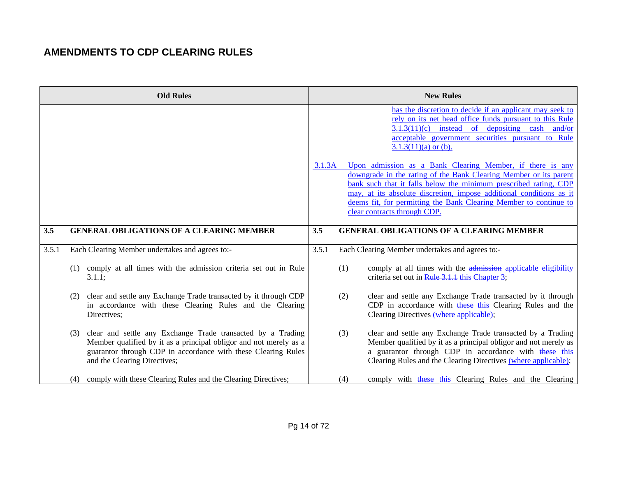|       |     | <b>Old Rules</b>                                                                                                                                                                                                                  |        |     | <b>New Rules</b>                                                                                                                                                                                                                                                                                                                                                               |
|-------|-----|-----------------------------------------------------------------------------------------------------------------------------------------------------------------------------------------------------------------------------------|--------|-----|--------------------------------------------------------------------------------------------------------------------------------------------------------------------------------------------------------------------------------------------------------------------------------------------------------------------------------------------------------------------------------|
|       |     |                                                                                                                                                                                                                                   |        |     | has the discretion to decide if an applicant may seek to<br>rely on its net head office funds pursuant to this Rule<br>$3.1.3(11)(c)$ instead of depositing cash and/or<br>acceptable government securities pursuant to Rule<br>$3.1.3(11)(a)$ or (b).                                                                                                                         |
|       |     |                                                                                                                                                                                                                                   | 3.1.3A |     | Upon admission as a Bank Clearing Member, if there is any<br>downgrade in the rating of the Bank Clearing Member or its parent<br>bank such that it falls below the minimum prescribed rating, CDP<br>may, at its absolute discretion, impose additional conditions as it<br>deems fit, for permitting the Bank Clearing Member to continue to<br>clear contracts through CDP. |
| 3.5   |     | <b>GENERAL OBLIGATIONS OF A CLEARING MEMBER</b>                                                                                                                                                                                   | 3.5    |     | <b>GENERAL OBLIGATIONS OF A CLEARING MEMBER</b>                                                                                                                                                                                                                                                                                                                                |
| 3.5.1 |     | Each Clearing Member undertakes and agrees to:-                                                                                                                                                                                   | 3.5.1  |     | Each Clearing Member undertakes and agrees to:-                                                                                                                                                                                                                                                                                                                                |
|       | (1) | comply at all times with the admission criteria set out in Rule<br>3.1.1;                                                                                                                                                         |        | (1) | comply at all times with the admission applicable eligibility<br>criteria set out in Rule 3.1.1 this Chapter 3;                                                                                                                                                                                                                                                                |
|       | (2) | clear and settle any Exchange Trade transacted by it through CDP<br>in accordance with these Clearing Rules and the Clearing<br>Directives;                                                                                       |        | (2) | clear and settle any Exchange Trade transacted by it through<br>CDP in accordance with these this Clearing Rules and the<br>Clearing Directives (where applicable);                                                                                                                                                                                                            |
|       | (3) | clear and settle any Exchange Trade transacted by a Trading<br>Member qualified by it as a principal obligor and not merely as a<br>guarantor through CDP in accordance with these Clearing Rules<br>and the Clearing Directives; |        | (3) | clear and settle any Exchange Trade transacted by a Trading<br>Member qualified by it as a principal obligor and not merely as<br>a guarantor through CDP in accordance with these this<br>Clearing Rules and the Clearing Directives (where applicable);                                                                                                                      |
|       | (4) | comply with these Clearing Rules and the Clearing Directives;                                                                                                                                                                     |        | (4) | comply with these this Clearing Rules and the Clearing                                                                                                                                                                                                                                                                                                                         |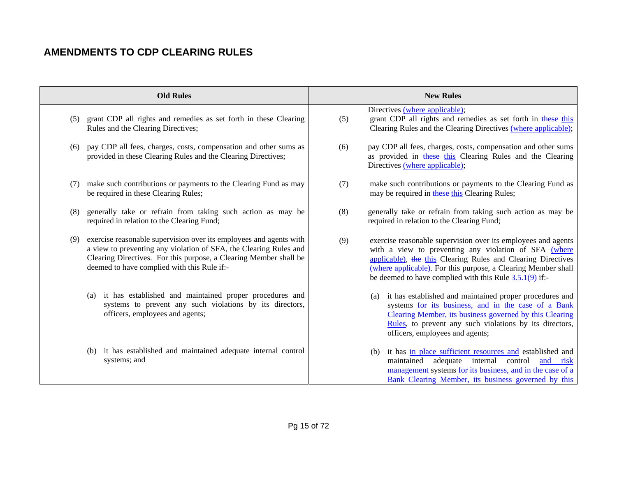|     | <b>Old Rules</b>                                                                                                                                                                                                                                            |     | <b>New Rules</b>                                                                                                                                                                                                                                                                                                     |
|-----|-------------------------------------------------------------------------------------------------------------------------------------------------------------------------------------------------------------------------------------------------------------|-----|----------------------------------------------------------------------------------------------------------------------------------------------------------------------------------------------------------------------------------------------------------------------------------------------------------------------|
| (5) | grant CDP all rights and remedies as set forth in these Clearing<br>Rules and the Clearing Directives;                                                                                                                                                      | (5) | Directives (where applicable);<br>grant CDP all rights and remedies as set forth in these this<br>Clearing Rules and the Clearing Directives (where applicable);                                                                                                                                                     |
| (6) | pay CDP all fees, charges, costs, compensation and other sums as<br>provided in these Clearing Rules and the Clearing Directives;                                                                                                                           | (6) | pay CDP all fees, charges, costs, compensation and other sums<br>as provided in these this Clearing Rules and the Clearing<br>Directives (where applicable);                                                                                                                                                         |
| (7) | make such contributions or payments to the Clearing Fund as may<br>be required in these Clearing Rules;                                                                                                                                                     | (7) | make such contributions or payments to the Clearing Fund as<br>may be required in these this Clearing Rules;                                                                                                                                                                                                         |
| (8) | generally take or refrain from taking such action as may be<br>required in relation to the Clearing Fund;                                                                                                                                                   | (8) | generally take or refrain from taking such action as may be<br>required in relation to the Clearing Fund;                                                                                                                                                                                                            |
| (9) | exercise reasonable supervision over its employees and agents with<br>a view to preventing any violation of SFA, the Clearing Rules and<br>Clearing Directives. For this purpose, a Clearing Member shall be<br>deemed to have complied with this Rule if:- | (9) | exercise reasonable supervision over its employees and agents<br>with a view to preventing any violation of SFA (where<br>applicable), the this Clearing Rules and Clearing Directives<br>(where applicable). For this purpose, a Clearing Member shall<br>be deemed to have complied with this Rule $3.5.1(9)$ if:- |
|     | (a) it has established and maintained proper procedures and<br>systems to prevent any such violations by its directors,<br>officers, employees and agents;                                                                                                  |     | it has established and maintained proper procedures and<br>(a)<br>systems for its business, and in the case of a Bank<br>Clearing Member, its business governed by this Clearing<br>Rules, to prevent any such violations by its directors,<br>officers, employees and agents;                                       |
|     | (b) it has established and maintained adequate internal control<br>systems; and                                                                                                                                                                             |     | it has in place sufficient resources and established and<br>(b)<br>adequate internal control<br>maintained<br>and risk<br>management systems for its business, and in the case of a<br>Bank Clearing Member, its business governed by this                                                                           |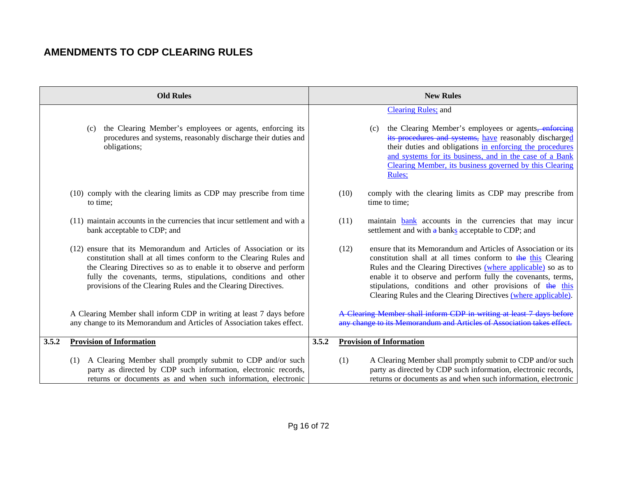|       | <b>Old Rules</b>                                                                                                                                                                                                                                                                                                                                |       | <b>New Rules</b>                                                                                                                                                                                                                                                                                                                                                                                      |
|-------|-------------------------------------------------------------------------------------------------------------------------------------------------------------------------------------------------------------------------------------------------------------------------------------------------------------------------------------------------|-------|-------------------------------------------------------------------------------------------------------------------------------------------------------------------------------------------------------------------------------------------------------------------------------------------------------------------------------------------------------------------------------------------------------|
|       | the Clearing Member's employees or agents, enforcing its<br>(c)<br>procedures and systems, reasonably discharge their duties and<br>obligations;                                                                                                                                                                                                |       | <b>Clearing Rules; and</b><br>the Clearing Member's employees or agents, enforcing<br>(c)<br>its procedures and systems, have reasonably discharged<br>their duties and obligations in enforcing the procedures<br>and systems for its business, and in the case of a Bank<br>Clearing Member, its business governed by this Clearing<br>Rules;                                                       |
|       | (10) comply with the clearing limits as CDP may prescribe from time<br>to time;                                                                                                                                                                                                                                                                 |       | comply with the clearing limits as CDP may prescribe from<br>(10)<br>time to time;                                                                                                                                                                                                                                                                                                                    |
|       | (11) maintain accounts in the currencies that incur settlement and with a<br>bank acceptable to CDP; and                                                                                                                                                                                                                                        |       | (11)<br>maintain <b>bank</b> accounts in the currencies that may incur<br>settlement and with a banks acceptable to CDP; and                                                                                                                                                                                                                                                                          |
|       | (12) ensure that its Memorandum and Articles of Association or its<br>constitution shall at all times conform to the Clearing Rules and<br>the Clearing Directives so as to enable it to observe and perform<br>fully the covenants, terms, stipulations, conditions and other<br>provisions of the Clearing Rules and the Clearing Directives. |       | ensure that its Memorandum and Articles of Association or its<br>(12)<br>constitution shall at all times conform to the this Clearing<br>Rules and the Clearing Directives (where applicable) so as to<br>enable it to observe and perform fully the covenants, terms,<br>stipulations, conditions and other provisions of the this<br>Clearing Rules and the Clearing Directives (where applicable). |
|       | A Clearing Member shall inform CDP in writing at least 7 days before<br>any change to its Memorandum and Articles of Association takes effect.                                                                                                                                                                                                  |       | A Clearing Member shall inform CDP in writing at least 7 days before<br>any change to its Memorandum and Articles of Association takes                                                                                                                                                                                                                                                                |
| 3.5.2 | <b>Provision of Information</b>                                                                                                                                                                                                                                                                                                                 | 3.5.2 | <b>Provision of Information</b>                                                                                                                                                                                                                                                                                                                                                                       |
|       | A Clearing Member shall promptly submit to CDP and/or such<br>(1)<br>party as directed by CDP such information, electronic records,<br>returns or documents as and when such information, electronic                                                                                                                                            |       | A Clearing Member shall promptly submit to CDP and/or such<br>(1)<br>party as directed by CDP such information, electronic records,<br>returns or documents as and when such information, electronic                                                                                                                                                                                                  |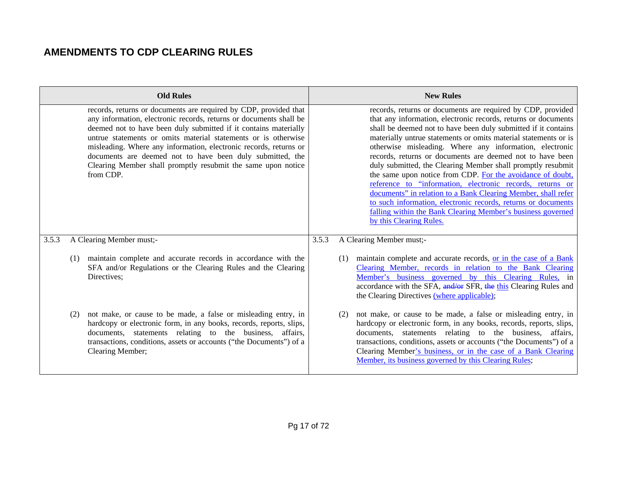|       |     | <b>Old Rules</b>                                                                                                                                                                                                                                                                                                                                                                                                                                                                            |       |     | <b>New Rules</b>                                                                                                                                                                                                                                                                                                                                                                                                                                                                                                                                                                                                                                                                                                                                                                                                 |
|-------|-----|---------------------------------------------------------------------------------------------------------------------------------------------------------------------------------------------------------------------------------------------------------------------------------------------------------------------------------------------------------------------------------------------------------------------------------------------------------------------------------------------|-------|-----|------------------------------------------------------------------------------------------------------------------------------------------------------------------------------------------------------------------------------------------------------------------------------------------------------------------------------------------------------------------------------------------------------------------------------------------------------------------------------------------------------------------------------------------------------------------------------------------------------------------------------------------------------------------------------------------------------------------------------------------------------------------------------------------------------------------|
|       |     | records, returns or documents are required by CDP, provided that<br>any information, electronic records, returns or documents shall be<br>deemed not to have been duly submitted if it contains materially<br>untrue statements or omits material statements or is otherwise<br>misleading. Where any information, electronic records, returns or<br>documents are deemed not to have been duly submitted, the<br>Clearing Member shall promptly resubmit the same upon notice<br>from CDP. |       |     | records, returns or documents are required by CDP, provided<br>that any information, electronic records, returns or documents<br>shall be deemed not to have been duly submitted if it contains<br>materially untrue statements or omits material statements or is<br>otherwise misleading. Where any information, electronic<br>records, returns or documents are deemed not to have been<br>duly submitted, the Clearing Member shall promptly resubmit<br>the same upon notice from CDP. For the avoidance of doubt,<br>reference to "information, electronic records, returns or<br>documents" in relation to a Bank Clearing Member, shall refer<br>to such information, electronic records, returns or documents<br>falling within the Bank Clearing Member's business governed<br>by this Clearing Rules. |
| 3.5.3 |     | A Clearing Member must;-                                                                                                                                                                                                                                                                                                                                                                                                                                                                    | 3.5.3 |     | A Clearing Member must;-                                                                                                                                                                                                                                                                                                                                                                                                                                                                                                                                                                                                                                                                                                                                                                                         |
|       | (1) | maintain complete and accurate records in accordance with the<br>SFA and/or Regulations or the Clearing Rules and the Clearing<br>Directives;                                                                                                                                                                                                                                                                                                                                               |       | (1) | maintain complete and accurate records, or in the case of a Bank<br>Clearing Member, records in relation to the Bank Clearing<br>Member's business governed by this Clearing Rules, in<br>accordance with the SFA, and/or SFR, the this Clearing Rules and<br>the Clearing Directives (where applicable);                                                                                                                                                                                                                                                                                                                                                                                                                                                                                                        |
|       | (2) | not make, or cause to be made, a false or misleading entry, in<br>hardcopy or electronic form, in any books, records, reports, slips,<br>documents, statements relating to the business, affairs,<br>transactions, conditions, assets or accounts ("the Documents") of a<br>Clearing Member;                                                                                                                                                                                                |       | (2) | not make, or cause to be made, a false or misleading entry, in<br>hardcopy or electronic form, in any books, records, reports, slips,<br>documents, statements relating to the business,<br>affairs.<br>transactions, conditions, assets or accounts ("the Documents") of a<br>Clearing Member's business, or in the case of a Bank Clearing<br>Member, its business governed by this Clearing Rules;                                                                                                                                                                                                                                                                                                                                                                                                            |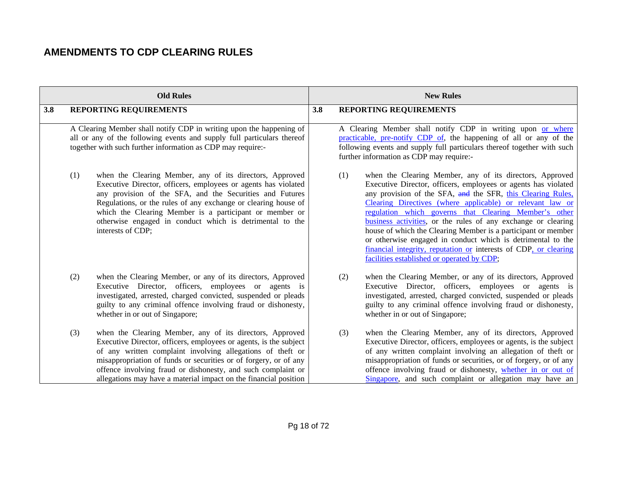|     |     | <b>Old Rules</b>                                                                                                                                                                                                                                                                                                                                                                                     | <b>New Rules</b> |                               |                                                                                                                                                                                                                                                                                                                                                                                                                                                                                                                                                                                                                                    |
|-----|-----|------------------------------------------------------------------------------------------------------------------------------------------------------------------------------------------------------------------------------------------------------------------------------------------------------------------------------------------------------------------------------------------------------|------------------|-------------------------------|------------------------------------------------------------------------------------------------------------------------------------------------------------------------------------------------------------------------------------------------------------------------------------------------------------------------------------------------------------------------------------------------------------------------------------------------------------------------------------------------------------------------------------------------------------------------------------------------------------------------------------|
| 3.8 |     | REPORTING REQUIREMENTS                                                                                                                                                                                                                                                                                                                                                                               | 3.8              | <b>REPORTING REQUIREMENTS</b> |                                                                                                                                                                                                                                                                                                                                                                                                                                                                                                                                                                                                                                    |
|     |     | A Clearing Member shall notify CDP in writing upon the happening of<br>all or any of the following events and supply full particulars thereof<br>together with such further information as CDP may require:-                                                                                                                                                                                         |                  |                               | A Clearing Member shall notify CDP in writing upon or where<br>practicable, pre-notify CDP of, the happening of all or any of the<br>following events and supply full particulars thereof together with such<br>further information as CDP may require:-                                                                                                                                                                                                                                                                                                                                                                           |
|     | (1) | when the Clearing Member, any of its directors, Approved<br>Executive Director, officers, employees or agents has violated<br>any provision of the SFA, and the Securities and Futures<br>Regulations, or the rules of any exchange or clearing house of<br>which the Clearing Member is a participant or member or<br>otherwise engaged in conduct which is detrimental to the<br>interests of CDP; |                  | (1)                           | when the Clearing Member, any of its directors, Approved<br>Executive Director, officers, employees or agents has violated<br>any provision of the SFA, and the SFR, this Clearing Rules,<br>Clearing Directives (where applicable) or relevant law or<br>regulation which governs that Clearing Member's other<br>business activities, or the rules of any exchange or clearing<br>house of which the Clearing Member is a participant or member<br>or otherwise engaged in conduct which is detrimental to the<br>financial integrity, reputation or interests of CDP, or clearing<br>facilities established or operated by CDP; |
|     | (2) | when the Clearing Member, or any of its directors, Approved<br>Executive Director, officers, employees or agents is<br>investigated, arrested, charged convicted, suspended or pleads<br>guilty to any criminal offence involving fraud or dishonesty,<br>whether in or out of Singapore;                                                                                                            |                  | (2)                           | when the Clearing Member, or any of its directors, Approved<br>Executive Director, officers, employees or agents is<br>investigated, arrested, charged convicted, suspended or pleads<br>guilty to any criminal offence involving fraud or dishonesty,<br>whether in or out of Singapore;                                                                                                                                                                                                                                                                                                                                          |
|     | (3) | when the Clearing Member, any of its directors, Approved<br>Executive Director, officers, employees or agents, is the subject<br>of any written complaint involving allegations of theft or<br>misappropriation of funds or securities or of forgery, or of any<br>offence involving fraud or dishonesty, and such complaint or<br>allegations may have a material impact on the financial position  |                  | (3)                           | when the Clearing Member, any of its directors, Approved<br>Executive Director, officers, employees or agents, is the subject<br>of any written complaint involving an allegation of theft or<br>misappropriation of funds or securities, or of forgery, or of any<br>offence involving fraud or dishonesty, whether in or out of<br>Singapore, and such complaint or allegation may have an                                                                                                                                                                                                                                       |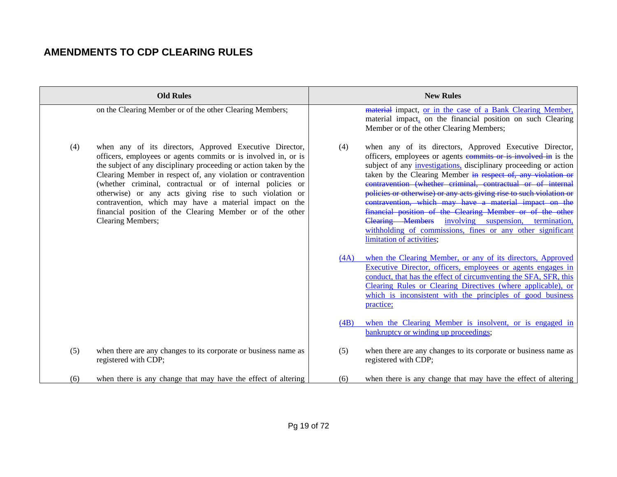|     | <b>Old Rules</b>                                                                                                                                                                                                                                                                                                                                                                                                                                                                                                                    |             | <b>New Rules</b>                                                                                                                                                                                                                                                                                                                                                                                                                                                                                                                                                                                                                                                                                                                                                                                                                                                                                                                                                  |
|-----|-------------------------------------------------------------------------------------------------------------------------------------------------------------------------------------------------------------------------------------------------------------------------------------------------------------------------------------------------------------------------------------------------------------------------------------------------------------------------------------------------------------------------------------|-------------|-------------------------------------------------------------------------------------------------------------------------------------------------------------------------------------------------------------------------------------------------------------------------------------------------------------------------------------------------------------------------------------------------------------------------------------------------------------------------------------------------------------------------------------------------------------------------------------------------------------------------------------------------------------------------------------------------------------------------------------------------------------------------------------------------------------------------------------------------------------------------------------------------------------------------------------------------------------------|
|     | on the Clearing Member or of the other Clearing Members;                                                                                                                                                                                                                                                                                                                                                                                                                                                                            |             | material impact, or in the case of a Bank Clearing Member,<br>material impact, on the financial position on such Clearing<br>Member or of the other Clearing Members;                                                                                                                                                                                                                                                                                                                                                                                                                                                                                                                                                                                                                                                                                                                                                                                             |
| (4) | when any of its directors, Approved Executive Director,<br>officers, employees or agents commits or is involved in, or is<br>the subject of any disciplinary proceeding or action taken by the<br>Clearing Member in respect of, any violation or contravention<br>(whether criminal, contractual or of internal policies or<br>otherwise) or any acts giving rise to such violation or<br>contravention, which may have a material impact on the<br>financial position of the Clearing Member or of the other<br>Clearing Members; | (4)<br>(4A) | when any of its directors, Approved Executive Director,<br>officers, employees or agents commits or is involved in is the<br>subject of any <i>investigations</i> , disciplinary proceeding or action<br>taken by the Clearing Member in respect of, any violation or<br>contravention (whether criminal, contractual or of internal<br>policies or otherwise) or any acts giving rise to such violation or<br>contravention, which may have a material impact on the<br>financial position of the Clearing Member or of the other<br><b>Clearing Members</b><br>involving suspension, termination,<br>withholding of commissions, fines or any other significant<br>limitation of activities;<br>when the Clearing Member, or any of its directors, Approved<br>Executive Director, officers, employees or agents engages in<br>conduct, that has the effect of circumventing the SFA, SFR, this<br>Clearing Rules or Clearing Directives (where applicable), or |
|     |                                                                                                                                                                                                                                                                                                                                                                                                                                                                                                                                     |             | which is inconsistent with the principles of good business<br>practice;                                                                                                                                                                                                                                                                                                                                                                                                                                                                                                                                                                                                                                                                                                                                                                                                                                                                                           |
|     |                                                                                                                                                                                                                                                                                                                                                                                                                                                                                                                                     | (4B)        | when the Clearing Member is insolvent, or is engaged in<br>bankruptcy or winding up proceedings;                                                                                                                                                                                                                                                                                                                                                                                                                                                                                                                                                                                                                                                                                                                                                                                                                                                                  |
| (5) | when there are any changes to its corporate or business name as<br>registered with CDP;                                                                                                                                                                                                                                                                                                                                                                                                                                             | (5)         | when there are any changes to its corporate or business name as<br>registered with CDP;                                                                                                                                                                                                                                                                                                                                                                                                                                                                                                                                                                                                                                                                                                                                                                                                                                                                           |
| (6) | when there is any change that may have the effect of altering                                                                                                                                                                                                                                                                                                                                                                                                                                                                       | (6)         | when there is any change that may have the effect of altering                                                                                                                                                                                                                                                                                                                                                                                                                                                                                                                                                                                                                                                                                                                                                                                                                                                                                                     |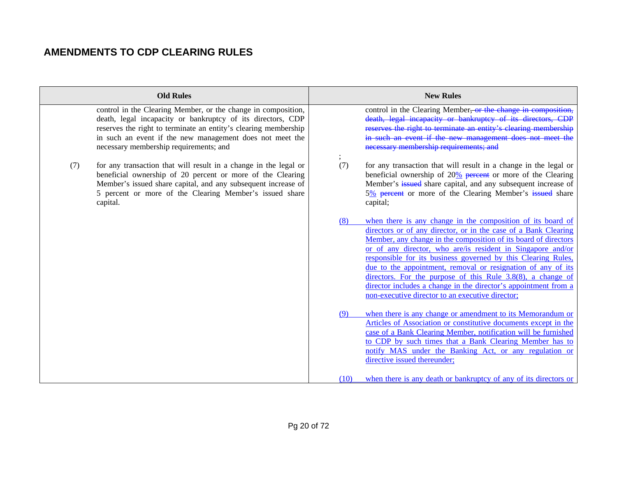|     | <b>Old Rules</b>                                                                                                                                                                                                                                                                                      |      | <b>New Rules</b>                                                                                                                                                                                                                                                                                                                                                                                                                                                                                                                                                                           |
|-----|-------------------------------------------------------------------------------------------------------------------------------------------------------------------------------------------------------------------------------------------------------------------------------------------------------|------|--------------------------------------------------------------------------------------------------------------------------------------------------------------------------------------------------------------------------------------------------------------------------------------------------------------------------------------------------------------------------------------------------------------------------------------------------------------------------------------------------------------------------------------------------------------------------------------------|
|     | control in the Clearing Member, or the change in composition,<br>death, legal incapacity or bankruptcy of its directors, CDP<br>reserves the right to terminate an entity's clearing membership<br>in such an event if the new management does not meet the<br>necessary membership requirements; and |      | control in the Clearing Member <del>, or the change in composition</del> .<br>death, legal incapacity or bankruptcy of its directors,<br>reserves the right to terminate an entity's clearing membership<br>in such an event if the new management does not meet the<br>necessary membership requirements; and                                                                                                                                                                                                                                                                             |
| (7) | for any transaction that will result in a change in the legal or<br>beneficial ownership of 20 percent or more of the Clearing<br>Member's issued share capital, and any subsequent increase of<br>5 percent or more of the Clearing Member's issued share<br>capital.                                | (7)  | for any transaction that will result in a change in the legal or<br>beneficial ownership of $20\%$ percent or more of the Clearing<br>Member's issued share capital, and any subsequent increase of<br>5% percent or more of the Clearing Member's issued share<br>capital;                                                                                                                                                                                                                                                                                                                |
|     |                                                                                                                                                                                                                                                                                                       | (8)  | when there is any change in the composition of its board of<br>directors or of any director, or in the case of a Bank Clearing<br>Member, any change in the composition of its board of directors<br>or of any director, who are/is resident in Singapore and/or<br>responsible for its business governed by this Clearing Rules,<br>due to the appointment, removal or resignation of any of its<br>directors. For the purpose of this Rule $3.8(8)$ , a change of<br>director includes a change in the director's appointment from a<br>non-executive director to an executive director; |
|     |                                                                                                                                                                                                                                                                                                       | (9)  | when there is any change or amendment to its Memorandum or<br>Articles of Association or constitutive documents except in the<br>case of a Bank Clearing Member, notification will be furnished<br>to CDP by such times that a Bank Clearing Member has to<br>notify MAS under the Banking Act, or any regulation or<br>directive issued thereunder;                                                                                                                                                                                                                                       |
|     |                                                                                                                                                                                                                                                                                                       | (10) | when there is any death or bankruptcy of any of its directors or                                                                                                                                                                                                                                                                                                                                                                                                                                                                                                                           |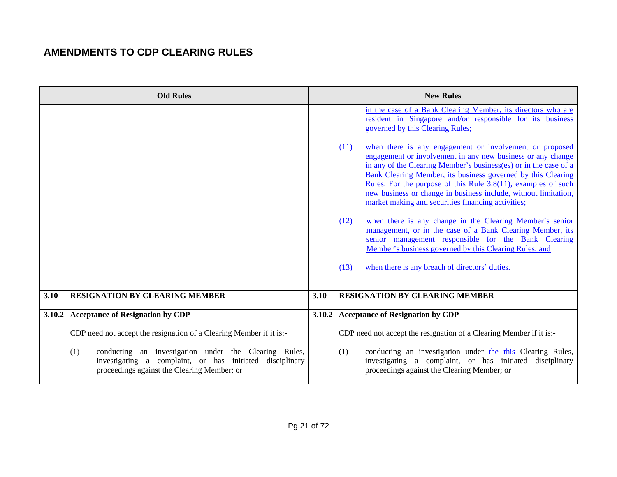|      | <b>Old Rules</b>                                                                                                                                                        |      | <b>New Rules</b>                                                                                                                                                                                                                                          |
|------|-------------------------------------------------------------------------------------------------------------------------------------------------------------------------|------|-----------------------------------------------------------------------------------------------------------------------------------------------------------------------------------------------------------------------------------------------------------|
|      |                                                                                                                                                                         |      | in the case of a Bank Clearing Member, its directors who are<br>resident in Singapore and/or responsible for its business<br>governed by this Clearing Rules;                                                                                             |
|      |                                                                                                                                                                         |      | when there is any engagement or involvement or proposed<br>(11)<br>engagement or involvement in any new business or any change<br>in any of the Clearing Member's business(es) or in the case of a                                                        |
|      |                                                                                                                                                                         |      | Bank Clearing Member, its business governed by this Clearing<br>Rules. For the purpose of this Rule $3.8(11)$ , examples of such<br>new business or change in business include, without limitation,<br>market making and securities financing activities; |
|      |                                                                                                                                                                         |      | (12)<br>when there is any change in the Clearing Member's senior<br>management, or in the case of a Bank Clearing Member, its<br>senior management responsible for the Bank Clearing<br>Member's business governed by this Clearing Rules; and            |
|      |                                                                                                                                                                         |      | when there is any breach of directors' duties.<br>(13)                                                                                                                                                                                                    |
| 3.10 | <b>RESIGNATION BY CLEARING MEMBER</b>                                                                                                                                   | 3.10 | <b>RESIGNATION BY CLEARING MEMBER</b>                                                                                                                                                                                                                     |
|      | 3.10.2 Acceptance of Resignation by CDP                                                                                                                                 |      | 3.10.2 Acceptance of Resignation by CDP                                                                                                                                                                                                                   |
|      | CDP need not accept the resignation of a Clearing Member if it is:-                                                                                                     |      | CDP need not accept the resignation of a Clearing Member if it is:-                                                                                                                                                                                       |
|      | conducting an investigation under the Clearing Rules,<br>(1)<br>investigating a complaint, or has initiated disciplinary<br>proceedings against the Clearing Member; or |      | conducting an investigation under the this Clearing Rules,<br>(1)<br>investigating a complaint, or has initiated disciplinary<br>proceedings against the Clearing Member; or                                                                              |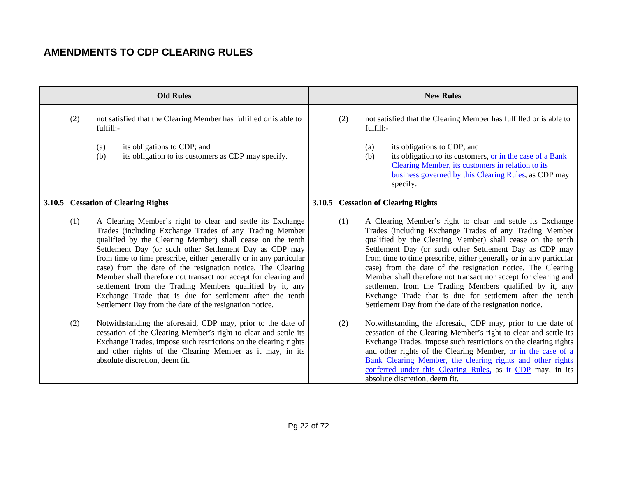|     | <b>Old Rules</b>                                                                                                                                                                                                                                                                                                                                                                                                                                                                                                                                                                                                                           |     | <b>New Rules</b>                                                                                                                                                                                                                                                                                                                                                                                                                                                                                                                                                                                                                           |
|-----|--------------------------------------------------------------------------------------------------------------------------------------------------------------------------------------------------------------------------------------------------------------------------------------------------------------------------------------------------------------------------------------------------------------------------------------------------------------------------------------------------------------------------------------------------------------------------------------------------------------------------------------------|-----|--------------------------------------------------------------------------------------------------------------------------------------------------------------------------------------------------------------------------------------------------------------------------------------------------------------------------------------------------------------------------------------------------------------------------------------------------------------------------------------------------------------------------------------------------------------------------------------------------------------------------------------------|
| (2) | not satisfied that the Clearing Member has fulfilled or is able to<br>fulfill:-                                                                                                                                                                                                                                                                                                                                                                                                                                                                                                                                                            | (2) | not satisfied that the Clearing Member has fulfilled or is able to<br>fulfill:-                                                                                                                                                                                                                                                                                                                                                                                                                                                                                                                                                            |
|     | its obligations to CDP; and<br>(a)<br>its obligation to its customers as CDP may specify.<br>(b)                                                                                                                                                                                                                                                                                                                                                                                                                                                                                                                                           |     | its obligations to CDP; and<br>(a)<br>its obligation to its customers, or in the case of a Bank<br>(b)<br>Clearing Member, its customers in relation to its<br>business governed by this Clearing Rules, as CDP may<br>specify.                                                                                                                                                                                                                                                                                                                                                                                                            |
|     | 3.10.5 Cessation of Clearing Rights                                                                                                                                                                                                                                                                                                                                                                                                                                                                                                                                                                                                        |     | 3.10.5 Cessation of Clearing Rights                                                                                                                                                                                                                                                                                                                                                                                                                                                                                                                                                                                                        |
| (1) | A Clearing Member's right to clear and settle its Exchange<br>Trades (including Exchange Trades of any Trading Member<br>qualified by the Clearing Member) shall cease on the tenth<br>Settlement Day (or such other Settlement Day as CDP may<br>from time to time prescribe, either generally or in any particular<br>case) from the date of the resignation notice. The Clearing<br>Member shall therefore not transact nor accept for clearing and<br>settlement from the Trading Members qualified by it, any<br>Exchange Trade that is due for settlement after the tenth<br>Settlement Day from the date of the resignation notice. | (1) | A Clearing Member's right to clear and settle its Exchange<br>Trades (including Exchange Trades of any Trading Member<br>qualified by the Clearing Member) shall cease on the tenth<br>Settlement Day (or such other Settlement Day as CDP may<br>from time to time prescribe, either generally or in any particular<br>case) from the date of the resignation notice. The Clearing<br>Member shall therefore not transact nor accept for clearing and<br>settlement from the Trading Members qualified by it, any<br>Exchange Trade that is due for settlement after the tenth<br>Settlement Day from the date of the resignation notice. |
| (2) | Notwithstanding the aforesaid, CDP may, prior to the date of<br>cessation of the Clearing Member's right to clear and settle its<br>Exchange Trades, impose such restrictions on the clearing rights<br>and other rights of the Clearing Member as it may, in its<br>absolute discretion, deem fit.                                                                                                                                                                                                                                                                                                                                        | (2) | Notwithstanding the aforesaid, CDP may, prior to the date of<br>cessation of the Clearing Member's right to clear and settle its<br>Exchange Trades, impose such restrictions on the clearing rights<br>and other rights of the Clearing Member, or in the case of a<br>Bank Clearing Member, the clearing rights and other rights<br>conferred under this Clearing Rules, as it CDP may, in its<br>absolute discretion, deem fit.                                                                                                                                                                                                         |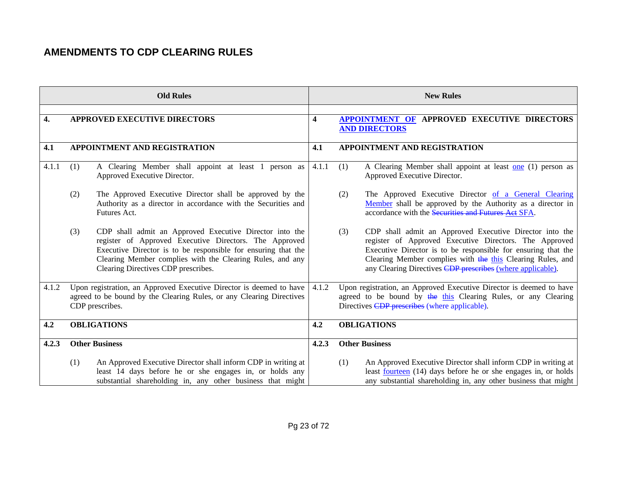| <b>Old Rules</b>   |                                                                                                                                                                                                                                                                                               |                         | <b>New Rules</b>                                                                                                                                                                                                                                                                                                      |  |
|--------------------|-----------------------------------------------------------------------------------------------------------------------------------------------------------------------------------------------------------------------------------------------------------------------------------------------|-------------------------|-----------------------------------------------------------------------------------------------------------------------------------------------------------------------------------------------------------------------------------------------------------------------------------------------------------------------|--|
| $\boldsymbol{4}$ . | <b>APPROVED EXECUTIVE DIRECTORS</b>                                                                                                                                                                                                                                                           | $\overline{\mathbf{4}}$ | <b>APPOINTMENT OF APPROVED EXECUTIVE DIRECTORS</b><br><b>AND DIRECTORS</b>                                                                                                                                                                                                                                            |  |
| 4.1                | <b>APPOINTMENT AND REGISTRATION</b>                                                                                                                                                                                                                                                           | 4.1                     | <b>APPOINTMENT AND REGISTRATION</b>                                                                                                                                                                                                                                                                                   |  |
| 4.1.1              | A Clearing Member shall appoint at least 1 person as<br>(1)<br>Approved Executive Director.                                                                                                                                                                                                   | 4.1.1                   | A Clearing Member shall appoint at least one (1) person as<br>(1)<br>Approved Executive Director.                                                                                                                                                                                                                     |  |
|                    | (2)<br>The Approved Executive Director shall be approved by the<br>Authority as a director in accordance with the Securities and<br>Futures Act.                                                                                                                                              |                         | The Approved Executive Director of a General Clearing<br>(2)<br>Member shall be approved by the Authority as a director in<br>accordance with the Securities and Futures Aet SFA.                                                                                                                                     |  |
|                    | CDP shall admit an Approved Executive Director into the<br>(3)<br>register of Approved Executive Directors. The Approved<br>Executive Director is to be responsible for ensuring that the<br>Clearing Member complies with the Clearing Rules, and any<br>Clearing Directives CDP prescribes. |                         | CDP shall admit an Approved Executive Director into the<br>(3)<br>register of Approved Executive Directors. The Approved<br>Executive Director is to be responsible for ensuring that the<br>Clearing Member complies with the this Clearing Rules, and<br>any Clearing Directives CDP prescribes (where applicable). |  |
| 4.1.2              | Upon registration, an Approved Executive Director is deemed to have<br>agreed to be bound by the Clearing Rules, or any Clearing Directives<br>CDP prescribes.                                                                                                                                | 4.1.2                   | Upon registration, an Approved Executive Director is deemed to have<br>agreed to be bound by the this Clearing Rules, or any Clearing<br>Directives CDP prescribes (where applicable).                                                                                                                                |  |
| 4.2                | <b>OBLIGATIONS</b>                                                                                                                                                                                                                                                                            | 4.2                     | <b>OBLIGATIONS</b>                                                                                                                                                                                                                                                                                                    |  |
| 4.2.3              | <b>Other Business</b>                                                                                                                                                                                                                                                                         | 4.2.3                   | <b>Other Business</b>                                                                                                                                                                                                                                                                                                 |  |
|                    | An Approved Executive Director shall inform CDP in writing at<br>(1)<br>least 14 days before he or she engages in, or holds any<br>substantial shareholding in, any other business that might                                                                                                 |                         | An Approved Executive Director shall inform CDP in writing at<br>(1)<br>least <u>fourteen</u> (14) days before he or she engages in, or holds<br>any substantial shareholding in, any other business that might                                                                                                       |  |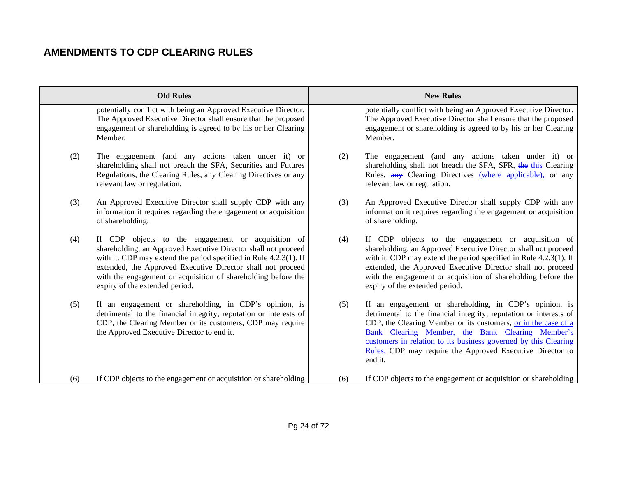|     | <b>Old Rules</b>                                                                                                                                                                                                                                                                                                                                            |     | <b>New Rules</b>                                                                                                                                                                                                                                                                                                                                                                              |
|-----|-------------------------------------------------------------------------------------------------------------------------------------------------------------------------------------------------------------------------------------------------------------------------------------------------------------------------------------------------------------|-----|-----------------------------------------------------------------------------------------------------------------------------------------------------------------------------------------------------------------------------------------------------------------------------------------------------------------------------------------------------------------------------------------------|
|     | potentially conflict with being an Approved Executive Director.<br>The Approved Executive Director shall ensure that the proposed<br>engagement or shareholding is agreed to by his or her Clearing<br>Member.                                                                                                                                              |     | potentially conflict with being an Approved Executive Director.<br>The Approved Executive Director shall ensure that the proposed<br>engagement or shareholding is agreed to by his or her Clearing<br>Member.                                                                                                                                                                                |
| (2) | The engagement (and any actions taken under it) or<br>shareholding shall not breach the SFA, Securities and Futures<br>Regulations, the Clearing Rules, any Clearing Directives or any<br>relevant law or regulation.                                                                                                                                       | (2) | The engagement (and any actions taken under it) or<br>shareholding shall not breach the SFA, SFR, the this Clearing<br>Rules, any Clearing Directives (where applicable), or any<br>relevant law or regulation.                                                                                                                                                                               |
| (3) | An Approved Executive Director shall supply CDP with any<br>information it requires regarding the engagement or acquisition<br>of shareholding.                                                                                                                                                                                                             | (3) | An Approved Executive Director shall supply CDP with any<br>information it requires regarding the engagement or acquisition<br>of shareholding.                                                                                                                                                                                                                                               |
| (4) | If CDP objects to the engagement or acquisition of<br>shareholding, an Approved Executive Director shall not proceed<br>with it. CDP may extend the period specified in Rule 4.2.3(1). If<br>extended, the Approved Executive Director shall not proceed<br>with the engagement or acquisition of shareholding before the<br>expiry of the extended period. | (4) | If CDP objects to the engagement or acquisition of<br>shareholding, an Approved Executive Director shall not proceed<br>with it. CDP may extend the period specified in Rule 4.2.3(1). If<br>extended, the Approved Executive Director shall not proceed<br>with the engagement or acquisition of shareholding before the<br>expiry of the extended period.                                   |
| (5) | If an engagement or shareholding, in CDP's opinion, is<br>detrimental to the financial integrity, reputation or interests of<br>CDP, the Clearing Member or its customers, CDP may require<br>the Approved Executive Director to end it.                                                                                                                    | (5) | If an engagement or shareholding, in CDP's opinion, is<br>detrimental to the financial integrity, reputation or interests of<br>CDP, the Clearing Member or its customers, or in the case of a<br>Bank Clearing Member, the Bank Clearing Member's<br>customers in relation to its business governed by this Clearing<br>Rules, CDP may require the Approved Executive Director to<br>end it. |
| (6) | If CDP objects to the engagement or acquisition or shareholding                                                                                                                                                                                                                                                                                             | (6) | If CDP objects to the engagement or acquisition or shareholding                                                                                                                                                                                                                                                                                                                               |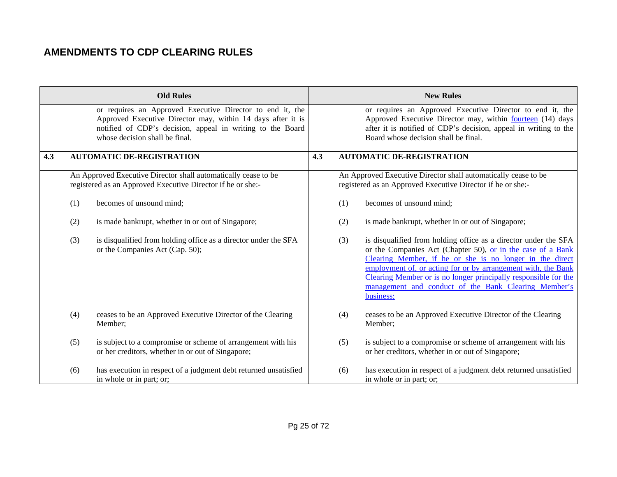|     |     | <b>Old Rules</b>                                                                                                                                                                                                         |     |     | <b>New Rules</b>                                                                                                                                                                                                                                                                                                                                                                                    |
|-----|-----|--------------------------------------------------------------------------------------------------------------------------------------------------------------------------------------------------------------------------|-----|-----|-----------------------------------------------------------------------------------------------------------------------------------------------------------------------------------------------------------------------------------------------------------------------------------------------------------------------------------------------------------------------------------------------------|
|     |     | or requires an Approved Executive Director to end it, the<br>Approved Executive Director may, within 14 days after it is<br>notified of CDP's decision, appeal in writing to the Board<br>whose decision shall be final. |     |     | or requires an Approved Executive Director to end it, the<br>Approved Executive Director may, within <b>fourteen</b> (14) days<br>after it is notified of CDP's decision, appeal in writing to the<br>Board whose decision shall be final.                                                                                                                                                          |
| 4.3 |     | <b>AUTOMATIC DE-REGISTRATION</b>                                                                                                                                                                                         | 4.3 |     | <b>AUTOMATIC DE-REGISTRATION</b>                                                                                                                                                                                                                                                                                                                                                                    |
|     |     | An Approved Executive Director shall automatically cease to be<br>registered as an Approved Executive Director if he or she:-                                                                                            |     |     | An Approved Executive Director shall automatically cease to be<br>registered as an Approved Executive Director if he or she:-                                                                                                                                                                                                                                                                       |
|     | (1) | becomes of unsound mind;                                                                                                                                                                                                 |     | (1) | becomes of unsound mind;                                                                                                                                                                                                                                                                                                                                                                            |
|     | (2) | is made bankrupt, whether in or out of Singapore;                                                                                                                                                                        |     | (2) | is made bankrupt, whether in or out of Singapore;                                                                                                                                                                                                                                                                                                                                                   |
|     | (3) | is disqualified from holding office as a director under the SFA<br>or the Companies Act (Cap. 50);                                                                                                                       |     | (3) | is disqualified from holding office as a director under the SFA<br>or the Companies Act (Chapter 50), or in the case of a Bank<br>Clearing Member, if he or she is no longer in the direct<br>employment of, or acting for or by arrangement with, the Bank<br>Clearing Member or is no longer principally responsible for the<br>management and conduct of the Bank Clearing Member's<br>business; |
|     | (4) | ceases to be an Approved Executive Director of the Clearing<br>Member;                                                                                                                                                   |     | (4) | ceases to be an Approved Executive Director of the Clearing<br>Member;                                                                                                                                                                                                                                                                                                                              |
|     | (5) | is subject to a compromise or scheme of arrangement with his<br>or her creditors, whether in or out of Singapore;                                                                                                        |     | (5) | is subject to a compromise or scheme of arrangement with his<br>or her creditors, whether in or out of Singapore;                                                                                                                                                                                                                                                                                   |
|     | (6) | has execution in respect of a judgment debt returned unsatisfied<br>in whole or in part; or;                                                                                                                             |     | (6) | has execution in respect of a judgment debt returned unsatisfied<br>in whole or in part; or;                                                                                                                                                                                                                                                                                                        |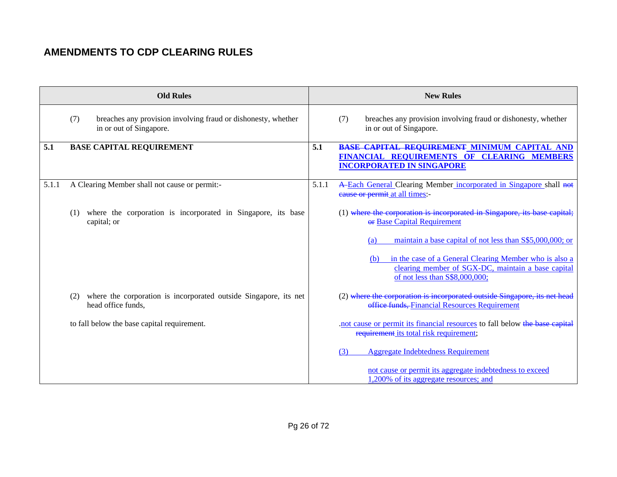|       | <b>Old Rules</b>                                                                                |       | <b>New Rules</b>                                                                                                                                                                                                          |
|-------|-------------------------------------------------------------------------------------------------|-------|---------------------------------------------------------------------------------------------------------------------------------------------------------------------------------------------------------------------------|
|       | breaches any provision involving fraud or dishonesty, whether<br>(7)<br>in or out of Singapore. |       | breaches any provision involving fraud or dishonesty, whether<br>(7)<br>in or out of Singapore.                                                                                                                           |
| 5.1   | <b>BASE CAPITAL REQUIREMENT</b>                                                                 | 5.1   | BASE CAPITAL REQUIREMENT MINIMUM CAPITAL AND<br>FINANCIAL REQUIREMENTS OF CLEARING MEMBERS<br><b>INCORPORATED IN SINGAPORE</b>                                                                                            |
| 5.1.1 | A Clearing Member shall not cause or permit:-                                                   | 5.1.1 | A-Each General Clearing Member incorporated in Singapore shall not<br>eause or permit at all times:-                                                                                                                      |
|       | where the corporation is incorporated in Singapore, its base<br>(1)<br>capital; or              |       | (1) where the corporation is incorporated in Singapore, its base capital;<br><b>ex Base Capital Requirement</b>                                                                                                           |
|       |                                                                                                 |       | maintain a base capital of not less than S\$5,000,000; or<br>(a)<br>in the case of a General Clearing Member who is also a<br>(b)<br>clearing member of SGX-DC, maintain a base capital<br>of not less than S\$8,000,000; |
|       | where the corporation is incorporated outside Singapore, its net<br>(2)<br>head office funds,   |       | (2) where the corporation is incorporated outside Singapore, its net head<br>office funds, Financial Resources Requirement                                                                                                |
|       | to fall below the base capital requirement.                                                     |       | not cause or permit its financial resources to fall below the base capital<br>requirement its total risk requirement;                                                                                                     |
|       |                                                                                                 |       | <b>Aggregate Indebtedness Requirement</b><br>(3)                                                                                                                                                                          |
|       |                                                                                                 |       | not cause or permit its aggregate indebtedness to exceed<br>1,200% of its aggregate resources; and                                                                                                                        |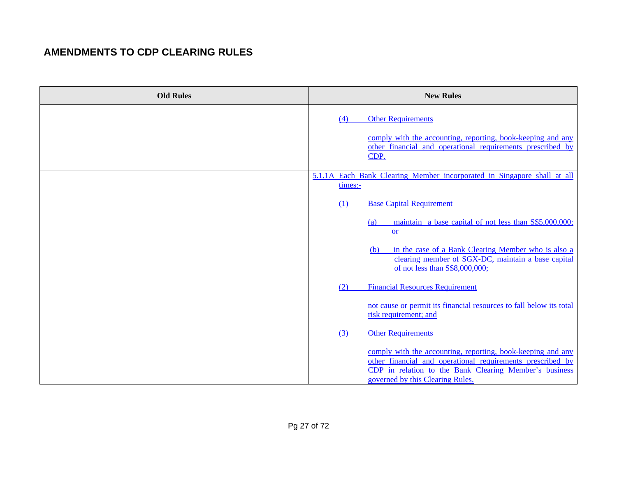| <b>Old Rules</b> | <b>New Rules</b>                                                                                                                                                                                                        |
|------------------|-------------------------------------------------------------------------------------------------------------------------------------------------------------------------------------------------------------------------|
|                  | <b>Other Requirements</b><br>(4)                                                                                                                                                                                        |
|                  | comply with the accounting, reporting, book-keeping and any<br>other financial and operational requirements prescribed by<br>CDP.                                                                                       |
|                  | 5.1.1A Each Bank Clearing Member incorporated in Singapore shall at all<br>times:-                                                                                                                                      |
|                  | <b>Base Capital Requirement</b><br>(1)                                                                                                                                                                                  |
|                  | maintain a base capital of not less than S\$5,000,000;<br>(a)<br>$or$                                                                                                                                                   |
|                  | in the case of a Bank Clearing Member who is also a<br>(b)<br>clearing member of SGX-DC, maintain a base capital<br>of not less than S\$8,000,000;                                                                      |
|                  | <b>Financial Resources Requirement</b><br>(2)                                                                                                                                                                           |
|                  | not cause or permit its financial resources to fall below its total<br>risk requirement; and                                                                                                                            |
|                  | <b>Other Requirements</b><br>(3)                                                                                                                                                                                        |
|                  | comply with the accounting, reporting, book-keeping and any<br>other financial and operational requirements prescribed by<br>CDP in relation to the Bank Clearing Member's business<br>governed by this Clearing Rules. |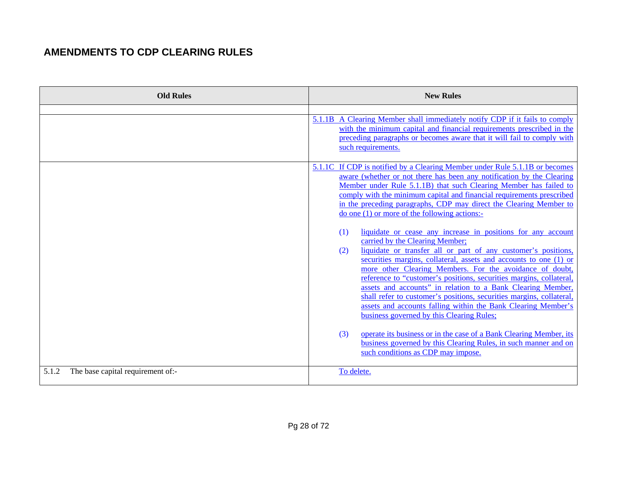| <b>Old Rules</b>                           | <b>New Rules</b>                                                                                                                                                                                                                                                                                                                                                                                                                                                                                                                                                                                                                                                                                                                                                                                                                                                                                                                                                                                                                                                                                                                                                                                                             |
|--------------------------------------------|------------------------------------------------------------------------------------------------------------------------------------------------------------------------------------------------------------------------------------------------------------------------------------------------------------------------------------------------------------------------------------------------------------------------------------------------------------------------------------------------------------------------------------------------------------------------------------------------------------------------------------------------------------------------------------------------------------------------------------------------------------------------------------------------------------------------------------------------------------------------------------------------------------------------------------------------------------------------------------------------------------------------------------------------------------------------------------------------------------------------------------------------------------------------------------------------------------------------------|
|                                            | 5.1.1B A Clearing Member shall immediately notify CDP if it fails to comply<br>with the minimum capital and financial requirements prescribed in the<br>preceding paragraphs or becomes aware that it will fail to comply with<br>such requirements.                                                                                                                                                                                                                                                                                                                                                                                                                                                                                                                                                                                                                                                                                                                                                                                                                                                                                                                                                                         |
|                                            | 5.1.1C If CDP is notified by a Clearing Member under Rule 5.1.1B or becomes<br>aware (whether or not there has been any notification by the Clearing<br>Member under Rule 5.1.1B) that such Clearing Member has failed to<br>comply with the minimum capital and financial requirements prescribed<br>in the preceding paragraphs, CDP may direct the Clearing Member to<br>$\phi$ one (1) or more of the following actions:-<br>liquidate or cease any increase in positions for any account<br>(1)<br>carried by the Clearing Member;<br>liquidate or transfer all or part of any customer's positions,<br>(2)<br>securities margins, collateral, assets and accounts to one (1) or<br>more other Clearing Members. For the avoidance of doubt,<br>reference to "customer's positions, securities margins, collateral<br>assets and accounts" in relation to a Bank Clearing Member.<br>shall refer to customer's positions, securities margins, collateral,<br>assets and accounts falling within the Bank Clearing Member's<br>business governed by this Clearing Rules;<br>operate its business or in the case of a Bank Clearing Member, its<br>(3)<br>business governed by this Clearing Rules, in such manner and on |
| The base capital requirement of:-<br>5.1.2 | such conditions as CDP may impose.<br>To delete.                                                                                                                                                                                                                                                                                                                                                                                                                                                                                                                                                                                                                                                                                                                                                                                                                                                                                                                                                                                                                                                                                                                                                                             |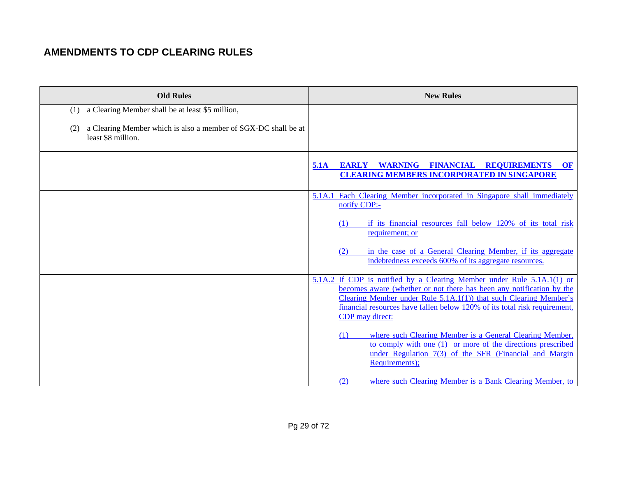| <b>Old Rules</b>                                                                            | <b>New Rules</b>                                                                                                                                                                                                                                                                                                    |
|---------------------------------------------------------------------------------------------|---------------------------------------------------------------------------------------------------------------------------------------------------------------------------------------------------------------------------------------------------------------------------------------------------------------------|
| a Clearing Member shall be at least \$5 million,<br>(1)                                     |                                                                                                                                                                                                                                                                                                                     |
| a Clearing Member which is also a member of SGX-DC shall be at<br>(2)<br>least \$8 million. |                                                                                                                                                                                                                                                                                                                     |
|                                                                                             | EARLY WARNING FINANCIAL<br><b>REQUIREMENTS</b><br>5.1A<br>OF<br><b>CLEARING MEMBERS INCORPORATED IN SINGAPORE</b>                                                                                                                                                                                                   |
|                                                                                             | 5.1A.1 Each Clearing Member incorporated in Singapore shall immediately<br>notify CDP:-                                                                                                                                                                                                                             |
|                                                                                             | if its financial resources fall below 120% of its total risk<br>(1)<br>requirement; or                                                                                                                                                                                                                              |
|                                                                                             | in the case of a General Clearing Member, if its aggregate<br>(2)<br>indebtedness exceeds 600% of its aggregate resources.                                                                                                                                                                                          |
|                                                                                             | 5.1A.2 If CDP is notified by a Clearing Member under Rule 5.1A.1(1) or<br>becomes aware (whether or not there has been any notification by the<br>Clearing Member under Rule 5.1A.1(1)) that such Clearing Member's<br>financial resources have fallen below 120% of its total risk requirement,<br>CDP may direct: |
|                                                                                             | where such Clearing Member is a General Clearing Member,<br>(1)<br>to comply with one (1) or more of the directions prescribed<br>under Regulation 7(3) of the SFR (Financial and Margin<br>Requirements);                                                                                                          |
|                                                                                             | where such Clearing Member is a Bank Clearing Member, to<br>(2)                                                                                                                                                                                                                                                     |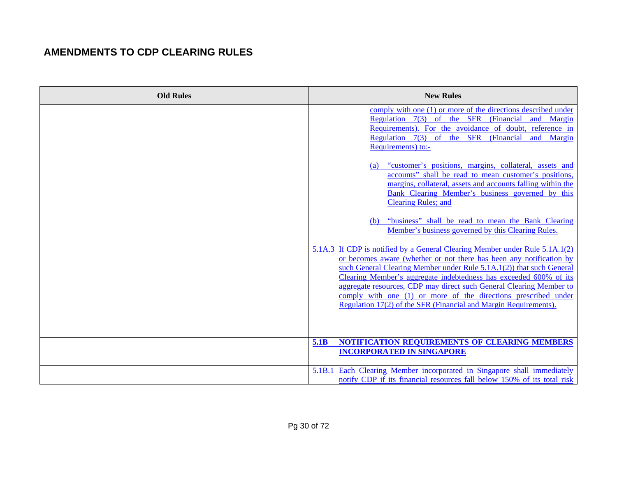| <b>Old Rules</b> | <b>New Rules</b>                                                                                                                                                                                                                                                                                                                                                                                                                                                                                                                                                                                                                                        |
|------------------|---------------------------------------------------------------------------------------------------------------------------------------------------------------------------------------------------------------------------------------------------------------------------------------------------------------------------------------------------------------------------------------------------------------------------------------------------------------------------------------------------------------------------------------------------------------------------------------------------------------------------------------------------------|
|                  | comply with one (1) or more of the directions described under<br>Regulation 7(3) of the SFR (Financial<br>and Margin<br>Requirements). For the avoidance of doubt, reference in<br>Regulation 7(3) of the SFR (Financial<br>and Margin<br>Requirements) to:-<br>"customer's positions, margins, collateral, assets and<br>(a)<br>accounts" shall be read to mean customer's positions,<br>margins, collateral, assets and accounts falling within the<br>Bank Clearing Member's business governed by this<br><b>Clearing Rules; and</b><br>(b) "business" shall be read to mean the Bank Clearing<br>Member's business governed by this Clearing Rules. |
|                  | 5.1A.3 If CDP is notified by a General Clearing Member under Rule 5.1A.1(2)<br>or becomes aware (whether or not there has been any notification by<br>such General Clearing Member under Rule 5.1A.1(2)) that such General<br>Clearing Member's aggregate indebtedness has exceeded 600% of its<br>aggregate resources, CDP may direct such General Clearing Member to<br>comply with one (1) or more of the directions prescribed under<br>Regulation 17(2) of the SFR (Financial and Margin Requirements).<br>NOTIFICATION REQUIREMENTS OF CLEARING MEMBERS<br><b>5.1B</b><br><b>INCORPORATED IN SINGAPORE</b>                                        |
|                  | 5.1B.1 Each Clearing Member incorporated in Singapore shall immediately<br>notify CDP if its financial resources fall below 150% of its total risk                                                                                                                                                                                                                                                                                                                                                                                                                                                                                                      |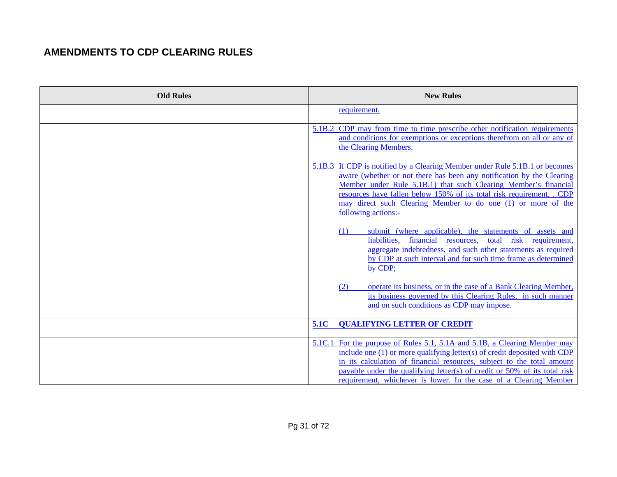| <b>Old Rules</b> | <b>New Rules</b>                                                                                                                                                                                                                                                                                                                                                                                                                                                                                                                                                                                                                                                                                                                                                                                                                                           |
|------------------|------------------------------------------------------------------------------------------------------------------------------------------------------------------------------------------------------------------------------------------------------------------------------------------------------------------------------------------------------------------------------------------------------------------------------------------------------------------------------------------------------------------------------------------------------------------------------------------------------------------------------------------------------------------------------------------------------------------------------------------------------------------------------------------------------------------------------------------------------------|
|                  | requirement.                                                                                                                                                                                                                                                                                                                                                                                                                                                                                                                                                                                                                                                                                                                                                                                                                                               |
|                  | 5.1B.2 CDP may from time to time prescribe other notification requirements<br>and conditions for exemptions or exceptions therefrom on all or any of<br>the Clearing Members.                                                                                                                                                                                                                                                                                                                                                                                                                                                                                                                                                                                                                                                                              |
|                  | 5.1B.3 If CDP is notified by a Clearing Member under Rule 5.1B.1 or becomes<br>aware (whether or not there has been any notification by the Clearing<br>Member under Rule 5.1B.1) that such Clearing Member's financial<br>resources have fallen below 150% of its total risk requirement, , CDP<br>may direct such Clearing Member to do one (1) or more of the<br>following actions:-<br>submit (where applicable), the statements of assets and<br>(1)<br>liabilities, financial resources, total risk requirement,<br>aggregate indebtedness, and such other statements as required<br>by CDP at such interval and for such time frame as determined<br>by CDP;<br>operate its business, or in the case of a Bank Clearing Member,<br>(2)<br>its business governed by this Clearing Rules, in such manner<br>and on such conditions as CDP may impose. |
|                  | <b>QUALIFYING LETTER OF CREDIT</b><br><b>5.1C</b>                                                                                                                                                                                                                                                                                                                                                                                                                                                                                                                                                                                                                                                                                                                                                                                                          |
|                  | 5.1C.1 For the purpose of Rules 5.1, 5.1A and 5.1B, a Clearing Member may<br>include one (1) or more qualifying letter(s) of credit deposited with CDP<br>in its calculation of financial resources, subject to the total amount<br>payable under the qualifying letter(s) of credit or 50% of its total risk<br>requirement, whichever is lower. In the case of a Clearing Member                                                                                                                                                                                                                                                                                                                                                                                                                                                                         |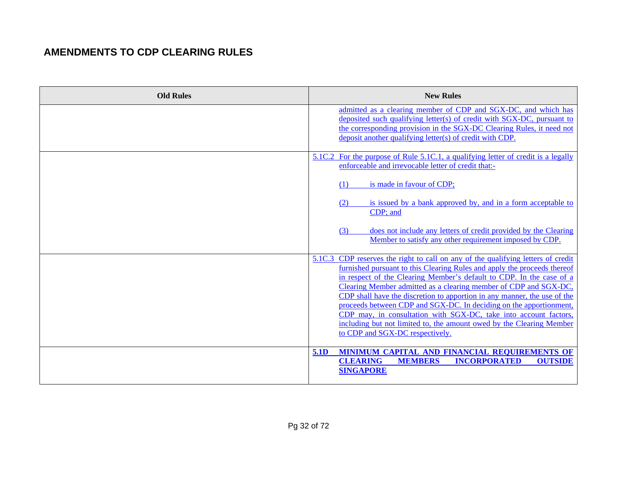| <b>Old Rules</b> | <b>New Rules</b>                                                                                                                                                                                                                                                                                                                                                                                                                                                                                                                                                                                                                          |
|------------------|-------------------------------------------------------------------------------------------------------------------------------------------------------------------------------------------------------------------------------------------------------------------------------------------------------------------------------------------------------------------------------------------------------------------------------------------------------------------------------------------------------------------------------------------------------------------------------------------------------------------------------------------|
|                  | admitted as a clearing member of CDP and SGX-DC, and which has<br>deposited such qualifying letter(s) of credit with SGX-DC, pursuant to<br>the corresponding provision in the SGX-DC Clearing Rules, it need not<br>deposit another qualifying letter(s) of credit with CDP.                                                                                                                                                                                                                                                                                                                                                             |
|                  | 5.1C.2 For the purpose of Rule 5.1C.1, a qualifying letter of credit is a legally<br>enforceable and irrevocable letter of credit that:-                                                                                                                                                                                                                                                                                                                                                                                                                                                                                                  |
|                  | (1)<br>is made in favour of CDP;                                                                                                                                                                                                                                                                                                                                                                                                                                                                                                                                                                                                          |
|                  | is issued by a bank approved by, and in a form acceptable to<br>(2)<br>CDP; and                                                                                                                                                                                                                                                                                                                                                                                                                                                                                                                                                           |
|                  | does not include any letters of credit provided by the Clearing<br>(3)<br>Member to satisfy any other requirement imposed by CDP.                                                                                                                                                                                                                                                                                                                                                                                                                                                                                                         |
|                  | 5.1C.3 CDP reserves the right to call on any of the qualifying letters of credit<br>furnished pursuant to this Clearing Rules and apply the proceeds thereof<br>in respect of the Clearing Member's default to CDP. In the case of a<br>Clearing Member admitted as a clearing member of CDP and SGX-DC,<br>CDP shall have the discretion to apportion in any manner, the use of the<br>proceeds between CDP and SGX-DC. In deciding on the apportionment.<br>CDP may, in consultation with SGX-DC, take into account factors,<br>including but not limited to, the amount owed by the Clearing Member<br>to CDP and SGX-DC respectively. |
|                  | MINIMUM CAPITAL AND FINANCIAL REQUIREMENTS OF<br>5.1D<br><b>CLEARING</b><br><b>MEMBERS</b><br><b>INCORPORATED</b><br><b>OUTSIDE</b><br><b>SINGAPORE</b>                                                                                                                                                                                                                                                                                                                                                                                                                                                                                   |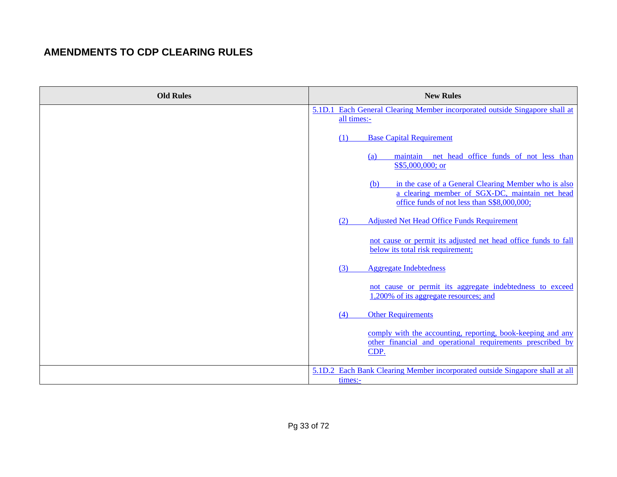| <b>Old Rules</b> | <b>New Rules</b>                                                                                                          |
|------------------|---------------------------------------------------------------------------------------------------------------------------|
|                  | 5.1D.1 Each General Clearing Member incorporated outside Singapore shall at                                               |
|                  | all times:-                                                                                                               |
|                  | <b>Base Capital Requirement</b><br>(1)                                                                                    |
|                  | maintain net head office funds of not less than<br>(a)                                                                    |
|                  | S\$5,000,000; or                                                                                                          |
|                  | in the case of a General Clearing Member who is also<br>(b)                                                               |
|                  | a clearing member of SGX-DC, maintain net head<br>office funds of not less than S\$8,000,000;                             |
|                  | <b>Adjusted Net Head Office Funds Requirement</b><br>(2)                                                                  |
|                  |                                                                                                                           |
|                  | not cause or permit its adjusted net head office funds to fall<br>below its total risk requirement;                       |
|                  | <b>Aggregate Indebtedness</b><br>(3)                                                                                      |
|                  |                                                                                                                           |
|                  | not cause or permit its aggregate indebtedness to exceed<br>1,200% of its aggregate resources; and                        |
|                  | <b>Other Requirements</b><br>(4)                                                                                          |
|                  |                                                                                                                           |
|                  | comply with the accounting, reporting, book-keeping and any<br>other financial and operational requirements prescribed by |
|                  | CDP.                                                                                                                      |
|                  | 5.1D.2 Each Bank Clearing Member incorporated outside Singapore shall at all                                              |
|                  | times:-                                                                                                                   |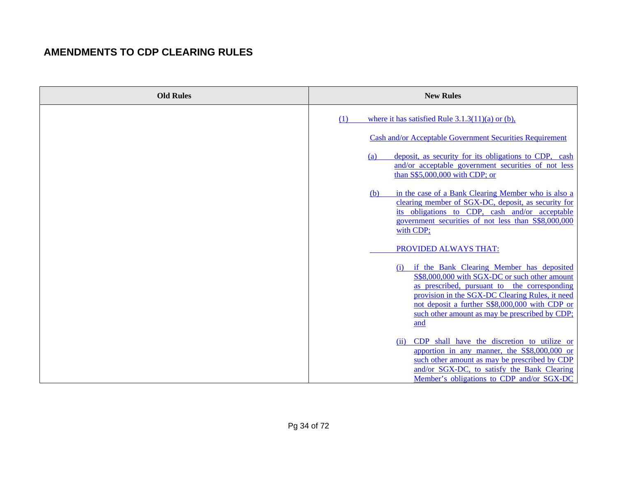| <b>Old Rules</b> | <b>New Rules</b>                                                                                                                                                                                                                                                                                                                                                                                                                                                                                                                                                                                                                                                                                                                                           |
|------------------|------------------------------------------------------------------------------------------------------------------------------------------------------------------------------------------------------------------------------------------------------------------------------------------------------------------------------------------------------------------------------------------------------------------------------------------------------------------------------------------------------------------------------------------------------------------------------------------------------------------------------------------------------------------------------------------------------------------------------------------------------------|
|                  | where it has satisfied Rule $3.1.3(11)(a)$ or (b),<br>(1)<br>Cash and/or Acceptable Government Securities Requirement<br>deposit, as security for its obligations to CDP, cash<br>(a)<br>and/or acceptable government securities of not less<br>than S\$5,000,000 with CDP; or<br>in the case of a Bank Clearing Member who is also a<br>(b)<br>clearing member of SGX-DC, deposit, as security for<br>its obligations to CDP, cash and/or acceptable<br>government securities of not less than S\$8,000,000<br>with CDP;<br>PROVIDED ALWAYS THAT:<br>if the Bank Clearing Member has deposited<br>(1)<br>S\$8,000,000 with SGX-DC or such other amount<br>as prescribed, pursuant to the corresponding<br>provision in the SGX-DC Clearing Rules, it need |
|                  | not deposit a further S\$8,000,000 with CDP or<br>such other amount as may be prescribed by CDP;<br>and<br>CDP shall have the discretion to utilize or<br>(ii)<br>apportion in any manner, the S\$8,000,000 or<br>such other amount as may be prescribed by CDP<br>and/or SGX-DC, to satisfy the Bank Clearing<br>Member's obligations to CDP and/or SGX-DC                                                                                                                                                                                                                                                                                                                                                                                                |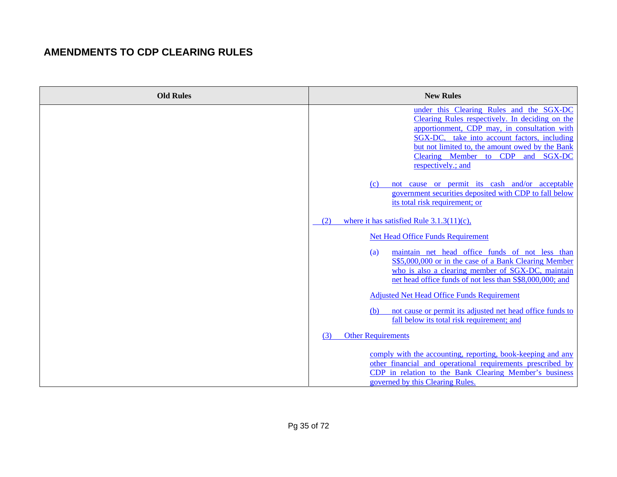| <b>Old Rules</b> | <b>New Rules</b>                                                                                                                                                                                                                                                                                          |
|------------------|-----------------------------------------------------------------------------------------------------------------------------------------------------------------------------------------------------------------------------------------------------------------------------------------------------------|
|                  | under this Clearing Rules and the SGX-DC<br>Clearing Rules respectively. In deciding on the<br>apportionment, CDP may, in consultation with<br>SGX-DC, take into account factors, including<br>but not limited to, the amount owed by the Bank<br>Clearing Member to CDP and SGX-DC<br>respectively.; and |
|                  | not cause or permit its cash and/or acceptable<br>(c)<br>government securities deposited with CDP to fall below<br>its total risk requirement; or                                                                                                                                                         |
|                  | where it has satisfied Rule $3.1.3(11)(c)$ ,<br>(2)<br><b>Net Head Office Funds Requirement</b>                                                                                                                                                                                                           |
|                  | maintain net head office funds of not less than<br>(a)<br>S\$5,000,000 or in the case of a Bank Clearing Member<br>who is also a clearing member of SGX-DC, maintain<br>net head office funds of not less than S\$8,000,000; and                                                                          |
|                  | <b>Adjusted Net Head Office Funds Requirement</b>                                                                                                                                                                                                                                                         |
|                  | not cause or permit its adjusted net head office funds to<br>(b)<br>fall below its total risk requirement; and                                                                                                                                                                                            |
|                  | <b>Other Requirements</b><br>(3)                                                                                                                                                                                                                                                                          |
|                  | comply with the accounting, reporting, book-keeping and any<br>other financial and operational requirements prescribed by<br>CDP in relation to the Bank Clearing Member's business<br>governed by this Clearing Rules.                                                                                   |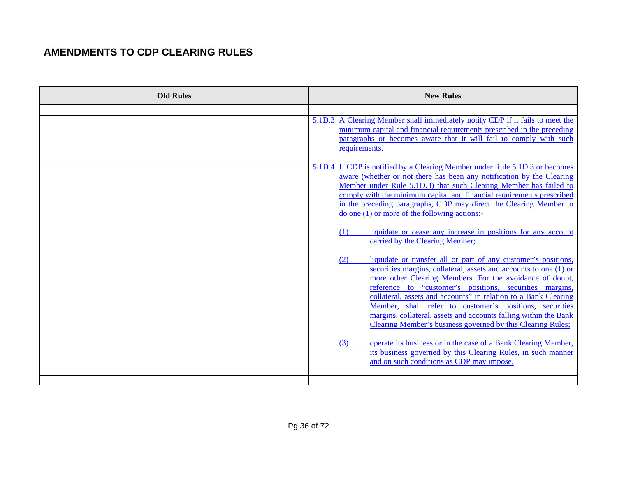| 5.1D.3 A Clearing Member shall immediately notify CDP if it fails to meet the<br>minimum capital and financial requirements prescribed in the preceding<br>paragraphs or becomes aware that it will fail to comply with such<br>requirements.<br>5.1D.4 If CDP is notified by a Clearing Member under Rule 5.1D.3 or becomes<br>aware (whether or not there has been any notification by the Clearing<br>Member under Rule 5.1D.3) that such Clearing Member has failed to<br>comply with the minimum capital and financial requirements prescribed<br>in the preceding paragraphs, CDP may direct the Clearing Member to<br>$\phi$ one (1) or more of the following actions:-<br>liquidate or cease any increase in positions for any account<br>(1)<br>carried by the Clearing Member;<br>liquidate or transfer all or part of any customer's positions,<br>(2)<br>securities margins, collateral, assets and accounts to one (1) or<br>more other Clearing Members. For the avoidance of doubt.<br>reference to "customer's positions, securities margins<br>collateral, assets and accounts" in relation to a Bank Clearing<br>Member, shall refer to customer's positions, securities<br>margins, collateral, assets and accounts falling within the Bank<br>Clearing Member's business governed by this Clearing Rules;<br>operate its business or in the case of a Bank Clearing Member,<br>(3)<br>its business governed by this Clearing Rules, in such manner<br>and on such conditions as CDP may impose. | <b>Old Rules</b> | <b>New Rules</b> |
|---------------------------------------------------------------------------------------------------------------------------------------------------------------------------------------------------------------------------------------------------------------------------------------------------------------------------------------------------------------------------------------------------------------------------------------------------------------------------------------------------------------------------------------------------------------------------------------------------------------------------------------------------------------------------------------------------------------------------------------------------------------------------------------------------------------------------------------------------------------------------------------------------------------------------------------------------------------------------------------------------------------------------------------------------------------------------------------------------------------------------------------------------------------------------------------------------------------------------------------------------------------------------------------------------------------------------------------------------------------------------------------------------------------------------------------------------------------------------------------------------------------------|------------------|------------------|
|                                                                                                                                                                                                                                                                                                                                                                                                                                                                                                                                                                                                                                                                                                                                                                                                                                                                                                                                                                                                                                                                                                                                                                                                                                                                                                                                                                                                                                                                                                                     |                  |                  |
|                                                                                                                                                                                                                                                                                                                                                                                                                                                                                                                                                                                                                                                                                                                                                                                                                                                                                                                                                                                                                                                                                                                                                                                                                                                                                                                                                                                                                                                                                                                     |                  |                  |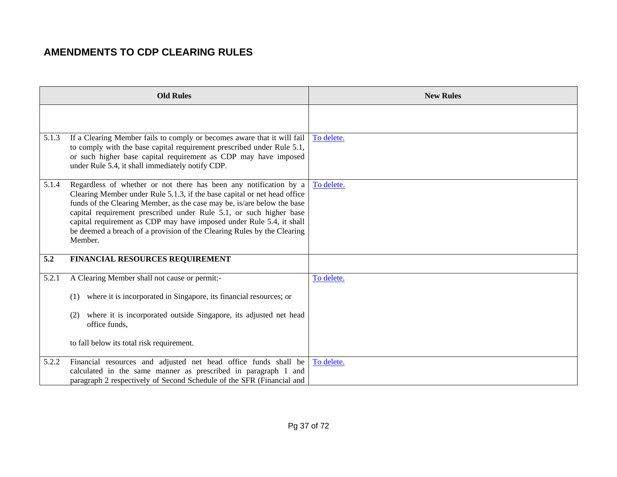|       | <b>Old Rules</b>                                                                                                                                                                                                                                                                                                                                                                                                                                             | <b>New Rules</b> |
|-------|--------------------------------------------------------------------------------------------------------------------------------------------------------------------------------------------------------------------------------------------------------------------------------------------------------------------------------------------------------------------------------------------------------------------------------------------------------------|------------------|
|       |                                                                                                                                                                                                                                                                                                                                                                                                                                                              |                  |
| 5.1.3 | If a Clearing Member fails to comply or becomes aware that it will fail<br>to comply with the base capital requirement prescribed under Rule 5.1,<br>or such higher base capital requirement as CDP may have imposed<br>under Rule 5.4, it shall immediately notify CDP.                                                                                                                                                                                     | To delete.       |
| 5.1.4 | Regardless of whether or not there has been any notification by a<br>Clearing Member under Rule 5.1.3, if the base capital or net head office<br>funds of the Clearing Member, as the case may be, is/are below the base<br>capital requirement prescribed under Rule 5.1, or such higher base<br>capital requirement as CDP may have imposed under Rule 5.4, it shall<br>be deemed a breach of a provision of the Clearing Rules by the Clearing<br>Member. | To delete.       |
| 5.2   | FINANCIAL RESOURCES REQUIREMENT                                                                                                                                                                                                                                                                                                                                                                                                                              |                  |
| 5.2.1 | A Clearing Member shall not cause or permit:-<br>where it is incorporated in Singapore, its financial resources; or<br>(1)<br>where it is incorporated outside Singapore, its adjusted net head<br>(2)<br>office funds,<br>to fall below its total risk requirement.                                                                                                                                                                                         | To delete.       |
| 5.2.2 | Financial resources and adjusted net head office funds shall be<br>calculated in the same manner as prescribed in paragraph 1 and<br>paragraph 2 respectively of Second Schedule of the SFR (Financial and                                                                                                                                                                                                                                                   | To delete.       |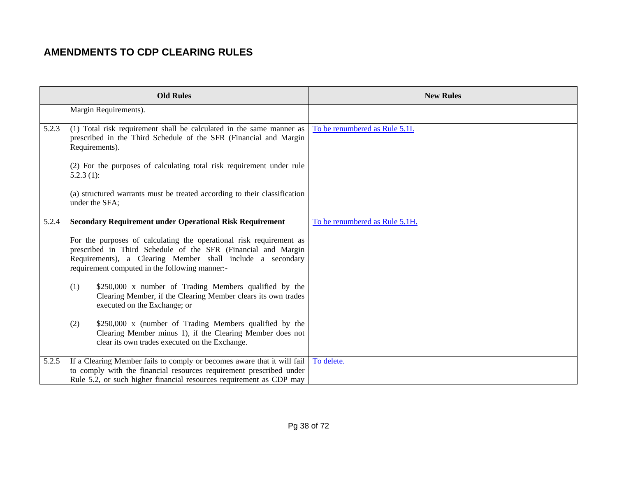|       | <b>Old Rules</b>                                                                                                                                                                                                                                     | <b>New Rules</b>               |
|-------|------------------------------------------------------------------------------------------------------------------------------------------------------------------------------------------------------------------------------------------------------|--------------------------------|
|       | Margin Requirements).                                                                                                                                                                                                                                |                                |
| 5.2.3 | (1) Total risk requirement shall be calculated in the same manner as<br>prescribed in the Third Schedule of the SFR (Financial and Margin<br>Requirements).                                                                                          | To be renumbered as Rule 5.1I. |
|       | (2) For the purposes of calculating total risk requirement under rule<br>$5.2.3(1)$ :                                                                                                                                                                |                                |
|       | (a) structured warrants must be treated according to their classification<br>under the SFA;                                                                                                                                                          |                                |
| 5.2.4 | <b>Secondary Requirement under Operational Risk Requirement</b>                                                                                                                                                                                      | To be renumbered as Rule 5.1H. |
|       | For the purposes of calculating the operational risk requirement as<br>prescribed in Third Schedule of the SFR (Financial and Margin<br>Requirements), a Clearing Member shall include a secondary<br>requirement computed in the following manner:- |                                |
|       | \$250,000 x number of Trading Members qualified by the<br>(1)<br>Clearing Member, if the Clearing Member clears its own trades<br>executed on the Exchange; or                                                                                       |                                |
|       | \$250,000 x (number of Trading Members qualified by the<br>(2)<br>Clearing Member minus 1), if the Clearing Member does not<br>clear its own trades executed on the Exchange.                                                                        |                                |
| 5.2.5 | If a Clearing Member fails to comply or becomes aware that it will fail<br>to comply with the financial resources requirement prescribed under<br>Rule 5.2, or such higher financial resources requirement as CDP may                                | To delete.                     |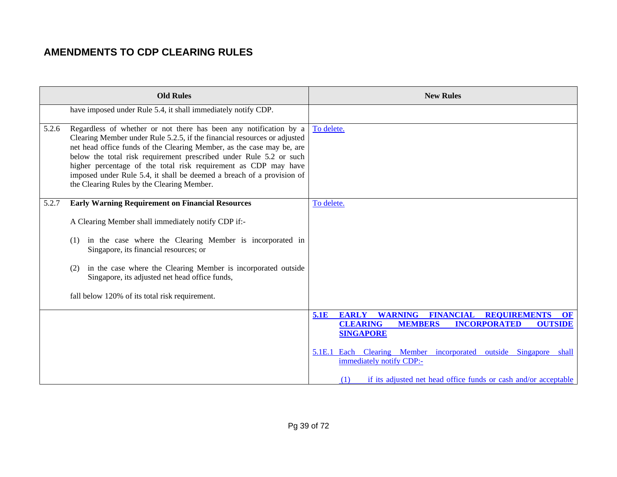| <b>Old Rules</b>                                                                                                                                                                                                                                                                                                                                                                                                                                                                                | <b>New Rules</b>                                                                                                                                                                          |
|-------------------------------------------------------------------------------------------------------------------------------------------------------------------------------------------------------------------------------------------------------------------------------------------------------------------------------------------------------------------------------------------------------------------------------------------------------------------------------------------------|-------------------------------------------------------------------------------------------------------------------------------------------------------------------------------------------|
| have imposed under Rule 5.4, it shall immediately notify CDP.                                                                                                                                                                                                                                                                                                                                                                                                                                   |                                                                                                                                                                                           |
| Regardless of whether or not there has been any notification by a<br>5.2.6<br>Clearing Member under Rule 5.2.5, if the financial resources or adjusted<br>net head office funds of the Clearing Member, as the case may be, are<br>below the total risk requirement prescribed under Rule 5.2 or such<br>higher percentage of the total risk requirement as CDP may have<br>imposed under Rule 5.4, it shall be deemed a breach of a provision of<br>the Clearing Rules by the Clearing Member. | To delete.                                                                                                                                                                                |
| <b>Early Warning Requirement on Financial Resources</b><br>5.2.7                                                                                                                                                                                                                                                                                                                                                                                                                                | To delete.                                                                                                                                                                                |
| A Clearing Member shall immediately notify CDP if:-                                                                                                                                                                                                                                                                                                                                                                                                                                             |                                                                                                                                                                                           |
| in the case where the Clearing Member is incorporated in<br>(1)<br>Singapore, its financial resources; or                                                                                                                                                                                                                                                                                                                                                                                       |                                                                                                                                                                                           |
| in the case where the Clearing Member is incorporated outside<br>(2)<br>Singapore, its adjusted net head office funds,                                                                                                                                                                                                                                                                                                                                                                          |                                                                                                                                                                                           |
| fall below 120% of its total risk requirement.                                                                                                                                                                                                                                                                                                                                                                                                                                                  |                                                                                                                                                                                           |
|                                                                                                                                                                                                                                                                                                                                                                                                                                                                                                 | <b>WARNING</b><br><b>FINANCIAL</b><br><b>REQUIREMENTS</b><br>5.1E<br><b>EARLY</b><br>OF<br><b>CLEARING</b><br><b>INCORPORATED</b><br><b>OUTSIDE</b><br><b>MEMBERS</b><br><b>SINGAPORE</b> |
|                                                                                                                                                                                                                                                                                                                                                                                                                                                                                                 | 5.1E.1 Each Clearing Member incorporated outside Singapore shall<br>immediately notify CDP:-                                                                                              |
|                                                                                                                                                                                                                                                                                                                                                                                                                                                                                                 | if its adjusted net head office funds or cash and/or acceptable<br>(1)                                                                                                                    |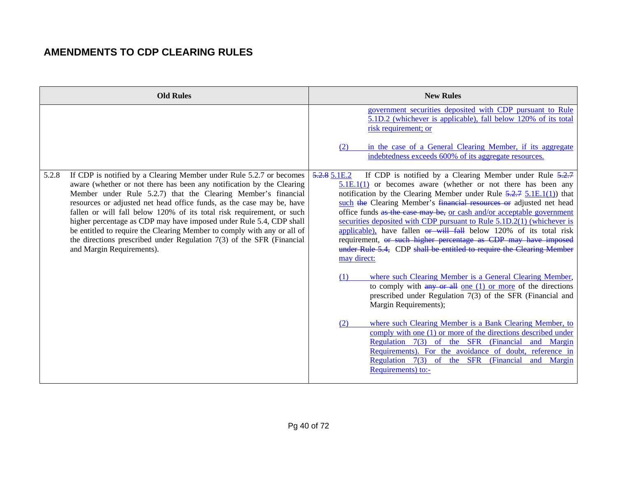| <b>Old Rules</b>                                                                                                                                                                                                                                                                                                                                                                                                                                                                                                                                                                                                                   | <b>New Rules</b>                                                                                                                                                                                                                                                                                                                                                                                                                                                                                                                                                                                                                                                                                                                                                                                                                                                                                                                                                                                                                                                                                                                                                                                                                                                                              |
|------------------------------------------------------------------------------------------------------------------------------------------------------------------------------------------------------------------------------------------------------------------------------------------------------------------------------------------------------------------------------------------------------------------------------------------------------------------------------------------------------------------------------------------------------------------------------------------------------------------------------------|-----------------------------------------------------------------------------------------------------------------------------------------------------------------------------------------------------------------------------------------------------------------------------------------------------------------------------------------------------------------------------------------------------------------------------------------------------------------------------------------------------------------------------------------------------------------------------------------------------------------------------------------------------------------------------------------------------------------------------------------------------------------------------------------------------------------------------------------------------------------------------------------------------------------------------------------------------------------------------------------------------------------------------------------------------------------------------------------------------------------------------------------------------------------------------------------------------------------------------------------------------------------------------------------------|
|                                                                                                                                                                                                                                                                                                                                                                                                                                                                                                                                                                                                                                    | government securities deposited with CDP pursuant to Rule<br>5.1D.2 (whichever is applicable), fall below 120% of its total<br>risk requirement; or<br>in the case of a General Clearing Member, if its aggregate<br>(2)<br>indebtedness exceeds 600% of its aggregate resources.                                                                                                                                                                                                                                                                                                                                                                                                                                                                                                                                                                                                                                                                                                                                                                                                                                                                                                                                                                                                             |
| 5.2.8<br>If CDP is notified by a Clearing Member under Rule 5.2.7 or becomes<br>aware (whether or not there has been any notification by the Clearing<br>Member under Rule 5.2.7) that the Clearing Member's financial<br>resources or adjusted net head office funds, as the case may be, have<br>fallen or will fall below 120% of its total risk requirement, or such<br>higher percentage as CDP may have imposed under Rule 5.4, CDP shall<br>be entitled to require the Clearing Member to comply with any or all of<br>the directions prescribed under Regulation $7(3)$ of the SFR (Financial<br>and Margin Requirements). | If CDP is notified by a Clearing Member under Rule $5.2.7$<br>5.2.85.1E.2<br>$5.1E.1(1)$ or becomes aware (whether or not there has been any<br>notification by the Clearing Member under Rule $\frac{5.2.7}{5.1E.1(1)}$ that<br>such the Clearing Member's financial resources or adjusted net head<br>office funds as the case may be, or cash and/or acceptable government<br>securities deposited with CDP pursuant to Rule 5.1D.2(1) (whichever is<br>applicable), have fallen or will fall below 120% of its total risk<br>requirement, or such higher percentage as CDP may have imposed<br>under Rule 5.4, CDP shall be entitled to require the Clearing Member<br>may direct:<br>where such Clearing Member is a General Clearing Member,<br>(1)<br>to comply with $\frac{any}{any}$ or $\frac{all}{only}$ on $(1)$ or more of the directions<br>prescribed under Regulation 7(3) of the SFR (Financial and<br>Margin Requirements);<br>where such Clearing Member is a Bank Clearing Member, to<br>(2)<br>comply with one (1) or more of the directions described under<br>7(3) of the SFR (Financial<br><b>Regulation</b><br>and Margin<br>Requirements). For the avoidance of doubt, reference in<br>Regulation 7(3) of the SFR (Financial<br>and<br>Margin<br>Requirements) to:- |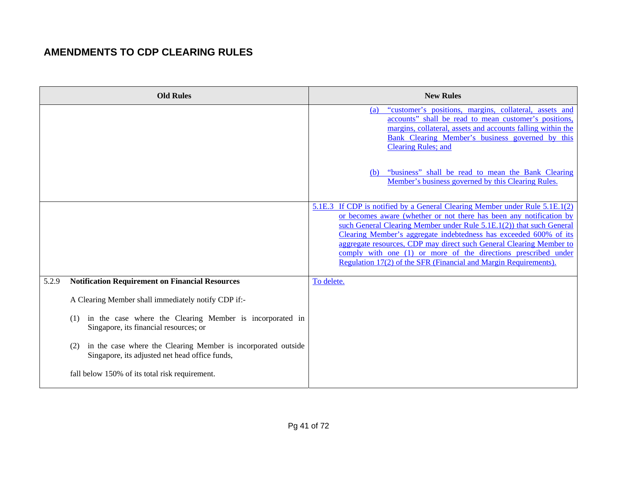| <b>Old Rules</b>                                                                                                       | <b>New Rules</b>                                                                                                                                                                                                                                                                                                                                                                                                                                                                                             |
|------------------------------------------------------------------------------------------------------------------------|--------------------------------------------------------------------------------------------------------------------------------------------------------------------------------------------------------------------------------------------------------------------------------------------------------------------------------------------------------------------------------------------------------------------------------------------------------------------------------------------------------------|
|                                                                                                                        | "customer's positions, margins, collateral, assets and<br>(a)<br>accounts" shall be read to mean customer's positions,<br>margins, collateral, assets and accounts falling within the<br>Bank Clearing Member's business governed by this<br><b>Clearing Rules; and</b>                                                                                                                                                                                                                                      |
|                                                                                                                        | "business" shall be read to mean the Bank Clearing<br>(b)<br>Member's business governed by this Clearing Rules.                                                                                                                                                                                                                                                                                                                                                                                              |
|                                                                                                                        | 5.1E.3 If CDP is notified by a General Clearing Member under Rule 5.1E.1(2)<br>or becomes aware (whether or not there has been any notification by<br>such General Clearing Member under Rule 5.1E.1(2)) that such General<br>Clearing Member's aggregate indebtedness has exceeded 600% of its<br>aggregate resources, CDP may direct such General Clearing Member to<br>comply with one (1) or more of the directions prescribed under<br>Regulation 17(2) of the SFR (Financial and Margin Requirements). |
| <b>Notification Requirement on Financial Resources</b><br>5.2.9                                                        | To delete.                                                                                                                                                                                                                                                                                                                                                                                                                                                                                                   |
| A Clearing Member shall immediately notify CDP if:-                                                                    |                                                                                                                                                                                                                                                                                                                                                                                                                                                                                                              |
| in the case where the Clearing Member is incorporated in<br>(1)<br>Singapore, its financial resources; or              |                                                                                                                                                                                                                                                                                                                                                                                                                                                                                                              |
| in the case where the Clearing Member is incorporated outside<br>(2)<br>Singapore, its adjusted net head office funds, |                                                                                                                                                                                                                                                                                                                                                                                                                                                                                                              |
| fall below 150% of its total risk requirement.                                                                         |                                                                                                                                                                                                                                                                                                                                                                                                                                                                                                              |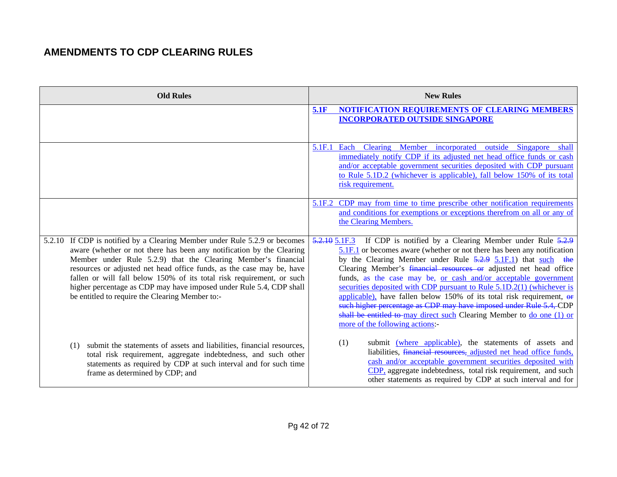| <b>Old Rules</b>                                                                                                                                                                                                                                                                                                                                                                                                                                                                                 | <b>New Rules</b>                                                                                                                                                                                                                                                                                                                                                                                                                                                                                                                                                                                                                                                                                     |
|--------------------------------------------------------------------------------------------------------------------------------------------------------------------------------------------------------------------------------------------------------------------------------------------------------------------------------------------------------------------------------------------------------------------------------------------------------------------------------------------------|------------------------------------------------------------------------------------------------------------------------------------------------------------------------------------------------------------------------------------------------------------------------------------------------------------------------------------------------------------------------------------------------------------------------------------------------------------------------------------------------------------------------------------------------------------------------------------------------------------------------------------------------------------------------------------------------------|
|                                                                                                                                                                                                                                                                                                                                                                                                                                                                                                  | NOTIFICATION REQUIREMENTS OF CLEARING MEMBERS<br>5.1F<br><b>INCORPORATED OUTSIDE SINGAPORE</b>                                                                                                                                                                                                                                                                                                                                                                                                                                                                                                                                                                                                       |
|                                                                                                                                                                                                                                                                                                                                                                                                                                                                                                  | 5.1F.1<br>Each<br>Member incorporated<br>outside<br>Singapore<br><b>Clearing</b><br>shall<br>immediately notify CDP if its adjusted net head office funds or cash<br>and/or acceptable government securities deposited with CDP pursuant<br>to Rule 5.1D.2 (whichever is applicable), fall below 150% of its total<br>risk requirement.                                                                                                                                                                                                                                                                                                                                                              |
|                                                                                                                                                                                                                                                                                                                                                                                                                                                                                                  | 5.1F.2 CDP may from time to time prescribe other notification requirements<br>and conditions for exemptions or exceptions therefrom on all or any of<br>the Clearing Members.                                                                                                                                                                                                                                                                                                                                                                                                                                                                                                                        |
| 5.2.10 If CDP is notified by a Clearing Member under Rule 5.2.9 or becomes<br>aware (whether or not there has been any notification by the Clearing<br>Member under Rule 5.2.9) that the Clearing Member's financial<br>resources or adjusted net head office funds, as the case may be, have<br>fallen or will fall below 150% of its total risk requirement, or such<br>higher percentage as CDP may have imposed under Rule 5.4, CDP shall<br>be entitled to require the Clearing Member to:- | 5.2.10 5.1F.3 If CDP is notified by a Clearing Member under Rule 5.2.9<br>5.1F.1 or becomes aware (whether or not there has been any notification<br>by the Clearing Member under Rule 5.2.9 5.1F.1) that such the<br>Clearing Member's financial resources or adjusted net head office<br>funds, as the case may be, or cash and/or acceptable government<br>securities deposited with CDP pursuant to Rule 5.1D.2(1) (whichever is<br>applicable), have fallen below 150% of its total risk requirement, $\theta$<br>such higher percentage as CDP may have imposed under Rule 5.4, CDP<br>shall be entitled to may direct such Clearing Member to do one (1) or<br>more of the following actions: |
| submit the statements of assets and liabilities, financial resources,<br>(1)<br>total risk requirement, aggregate indebtedness, and such other<br>statements as required by CDP at such interval and for such time<br>frame as determined by CDP; and                                                                                                                                                                                                                                            | (1)<br>submit (where applicable), the statements of assets and<br>liabilities, financial resources, adjusted net head office funds,<br>cash and/or acceptable government securities deposited with<br>CDP, aggregate indebtedness, total risk requirement, and such<br>other statements as required by CDP at such interval and for                                                                                                                                                                                                                                                                                                                                                                  |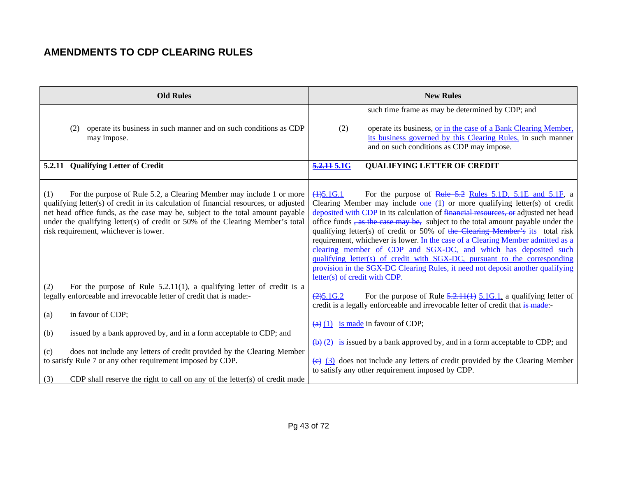| <b>Old Rules</b>                                                                                                                                                                                                                                                                                                                                                                  | <b>New Rules</b>                                                                                                                                                                                                                                                                                                                                                                                                                                                                                                                                                                                                                                                                                                                                                                            |
|-----------------------------------------------------------------------------------------------------------------------------------------------------------------------------------------------------------------------------------------------------------------------------------------------------------------------------------------------------------------------------------|---------------------------------------------------------------------------------------------------------------------------------------------------------------------------------------------------------------------------------------------------------------------------------------------------------------------------------------------------------------------------------------------------------------------------------------------------------------------------------------------------------------------------------------------------------------------------------------------------------------------------------------------------------------------------------------------------------------------------------------------------------------------------------------------|
| operate its business in such manner and on such conditions as CDP<br>(2)                                                                                                                                                                                                                                                                                                          | such time frame as may be determined by CDP; and<br>operate its business, or in the case of a Bank Clearing Member,<br>(2)                                                                                                                                                                                                                                                                                                                                                                                                                                                                                                                                                                                                                                                                  |
| may impose.                                                                                                                                                                                                                                                                                                                                                                       | its business governed by this Clearing Rules, in such manner<br>and on such conditions as CDP may impose.                                                                                                                                                                                                                                                                                                                                                                                                                                                                                                                                                                                                                                                                                   |
| 5.2.11 Qualifying Letter of Credit                                                                                                                                                                                                                                                                                                                                                | <b>QUALIFYING LETTER OF CREDIT</b><br>5.2.11 5.1G                                                                                                                                                                                                                                                                                                                                                                                                                                                                                                                                                                                                                                                                                                                                           |
| (1)<br>For the purpose of Rule 5.2, a Clearing Member may include 1 or more<br>qualifying letter(s) of credit in its calculation of financial resources, or adjusted<br>net head office funds, as the case may be, subject to the total amount payable<br>under the qualifying letter(s) of credit or 50% of the Clearing Member's total<br>risk requirement, whichever is lower. | $(4)$ 5.1G.1<br>For the purpose of Rule 5.2 Rules 5.1D, 5.1E and 5.1F, a<br>Clearing Member may include <u>one</u> $(1)$ or more qualifying letter(s) of credit<br>deposited with CDP in its calculation of financial resources, or adjusted net head<br>office funds <del>, as the case may be,</del> subject to the total amount payable under the<br>qualifying letter(s) of credit or 50% of the Clearing Member's its total risk<br>requirement, whichever is lower. In the case of a Clearing Member admitted as a<br>clearing member of CDP and SGX-DC, and which has deposited such<br>qualifying letter(s) of credit with SGX-DC, pursuant to the corresponding<br>provision in the SGX-DC Clearing Rules, it need not deposit another qualifying<br>letter(s) of credit with CDP. |
| For the purpose of Rule $5.2.11(1)$ , a qualifying letter of credit is a<br>(2)<br>legally enforceable and irrevocable letter of credit that is made:-<br>in favour of CDP;<br>(a)                                                                                                                                                                                                | $(2)$ 5.1G.2<br>For the purpose of Rule $\frac{5.2.11(1)}{2.1.6}$ 5.1G.1, a qualifying letter of<br>credit is a legally enforceable and irrevocable letter of credit that is made:-                                                                                                                                                                                                                                                                                                                                                                                                                                                                                                                                                                                                         |
| issued by a bank approved by, and in a form acceptable to CDP; and<br>(b)                                                                                                                                                                                                                                                                                                         | $\left(\frac{a}{b}\right)$ (1) is made in favour of CDP;                                                                                                                                                                                                                                                                                                                                                                                                                                                                                                                                                                                                                                                                                                                                    |
| does not include any letters of credit provided by the Clearing Member<br>(c)<br>to satisfy Rule 7 or any other requirement imposed by CDP.                                                                                                                                                                                                                                       | $\frac{1}{2}$ (2) is issued by a bank approved by, and in a form acceptable to CDP; and<br>$\overline{(e)}$ (3) does not include any letters of credit provided by the Clearing Member<br>to satisfy any other requirement imposed by CDP.                                                                                                                                                                                                                                                                                                                                                                                                                                                                                                                                                  |
| CDP shall reserve the right to call on any of the letter(s) of credit made<br>(3)                                                                                                                                                                                                                                                                                                 |                                                                                                                                                                                                                                                                                                                                                                                                                                                                                                                                                                                                                                                                                                                                                                                             |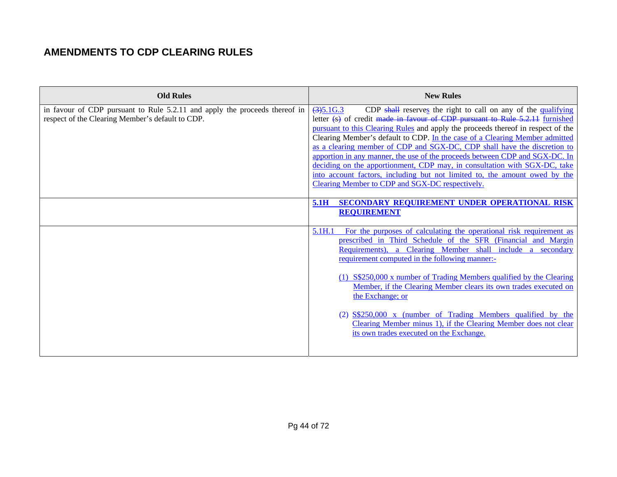| <b>Old Rules</b>                                                                                                               | <b>New Rules</b>                                                                                                                                                                                                                                                                                                                                                                                                                                                                                                                                                                                                                                                                                                                                                                     |
|--------------------------------------------------------------------------------------------------------------------------------|--------------------------------------------------------------------------------------------------------------------------------------------------------------------------------------------------------------------------------------------------------------------------------------------------------------------------------------------------------------------------------------------------------------------------------------------------------------------------------------------------------------------------------------------------------------------------------------------------------------------------------------------------------------------------------------------------------------------------------------------------------------------------------------|
| in favour of CDP pursuant to Rule 5.2.11 and apply the proceeds thereof in<br>respect of the Clearing Member's default to CDP. | CDP shall reserves the right to call on any of the qualifying<br>(3)5.1G.3<br>letter (s) of credit made in favour of CDP pursuant to Rule 5.2.11 furnished<br>pursuant to this Clearing Rules and apply the proceeds thereof in respect of the<br>Clearing Member's default to CDP. In the case of a Clearing Member admitted<br>as a clearing member of CDP and SGX-DC, CDP shall have the discretion to<br>apportion in any manner, the use of the proceeds between CDP and SGX-DC. In<br>deciding on the apportionment, CDP may, in consultation with SGX-DC, take<br>into account factors, including but not limited to, the amount owed by the<br>Clearing Member to CDP and SGX-DC respectively.<br>SECONDARY REQUIREMENT UNDER OPERATIONAL RISK<br>5.1H<br><b>REQUIREMENT</b> |
|                                                                                                                                | For the purposes of calculating the operational risk requirement as<br>5.1H.1<br>prescribed in Third Schedule of the SFR (Financial and Margin<br>Requirements), a Clearing Member shall include a secondary<br>requirement computed in the following manner:-<br>(1) S\$250,000 x number of Trading Members qualified by the Clearing<br>Member, if the Clearing Member clears its own trades executed on<br>the Exchange; or<br>$(2)$ $S\$ 250,000 x (number of Trading Members qualified by the<br>Clearing Member minus 1), if the Clearing Member does not clear<br>its own trades executed on the Exchange.                                                                                                                                                                    |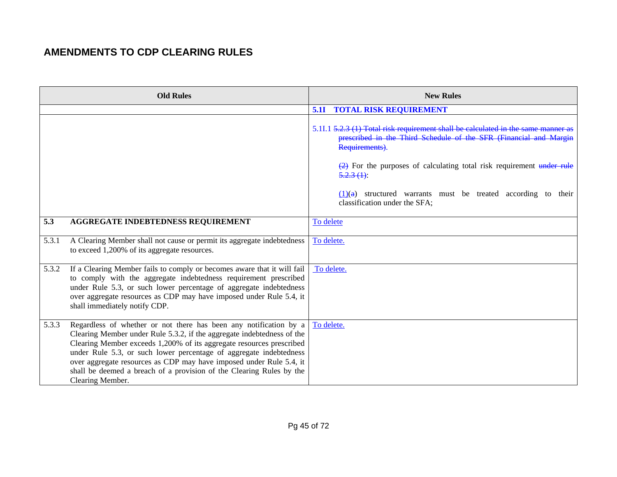|       | <b>Old Rules</b>                                                                                                                                                                                                                                                                                                                                                                                                                                             | <b>New Rules</b>                                                                                                                                                                                                                                                                                                                                                                 |
|-------|--------------------------------------------------------------------------------------------------------------------------------------------------------------------------------------------------------------------------------------------------------------------------------------------------------------------------------------------------------------------------------------------------------------------------------------------------------------|----------------------------------------------------------------------------------------------------------------------------------------------------------------------------------------------------------------------------------------------------------------------------------------------------------------------------------------------------------------------------------|
|       |                                                                                                                                                                                                                                                                                                                                                                                                                                                              | <b>TOTAL RISK REQUIREMENT</b><br><b>5.1I</b>                                                                                                                                                                                                                                                                                                                                     |
|       |                                                                                                                                                                                                                                                                                                                                                                                                                                                              | 5.11.1 5.2.3 (1) Total risk requirement shall be calculated in the<br>prescribed in the Third Schedule of the SFR (Financial and Margin<br>Requirements).<br>$\left(\frac{2}{2}\right)$ For the purposes of calculating total risk requirement under rule<br>$5.2.3(1)$ :<br>$(1)(a)$ structured warrants must be treated according to<br>their<br>classification under the SFA; |
| 5.3   | AGGREGATE INDEBTEDNESS REQUIREMENT                                                                                                                                                                                                                                                                                                                                                                                                                           | To delete                                                                                                                                                                                                                                                                                                                                                                        |
|       |                                                                                                                                                                                                                                                                                                                                                                                                                                                              |                                                                                                                                                                                                                                                                                                                                                                                  |
| 5.3.1 | A Clearing Member shall not cause or permit its aggregate indebtedness<br>to exceed 1,200% of its aggregate resources.                                                                                                                                                                                                                                                                                                                                       | To delete.                                                                                                                                                                                                                                                                                                                                                                       |
| 5.3.2 | If a Clearing Member fails to comply or becomes aware that it will fail<br>to comply with the aggregate indebtedness requirement prescribed<br>under Rule 5.3, or such lower percentage of aggregate indebtedness<br>over aggregate resources as CDP may have imposed under Rule 5.4, it<br>shall immediately notify CDP.                                                                                                                                    | To delete.                                                                                                                                                                                                                                                                                                                                                                       |
| 5.3.3 | Regardless of whether or not there has been any notification by a<br>Clearing Member under Rule 5.3.2, if the aggregate indebtedness of the<br>Clearing Member exceeds 1,200% of its aggregate resources prescribed<br>under Rule 5.3, or such lower percentage of aggregate indebtedness<br>over aggregate resources as CDP may have imposed under Rule 5.4, it<br>shall be deemed a breach of a provision of the Clearing Rules by the<br>Clearing Member. | To delete.                                                                                                                                                                                                                                                                                                                                                                       |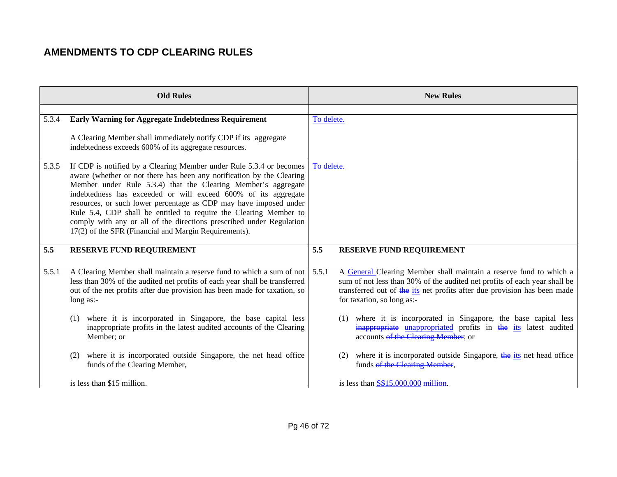| <b>Old Rules</b> |                                                                                                                                                                                                                                                                                                                                                                                                                                                                                                                                                            | <b>New Rules</b>                                                                                                                                                                                                                                                   |  |
|------------------|------------------------------------------------------------------------------------------------------------------------------------------------------------------------------------------------------------------------------------------------------------------------------------------------------------------------------------------------------------------------------------------------------------------------------------------------------------------------------------------------------------------------------------------------------------|--------------------------------------------------------------------------------------------------------------------------------------------------------------------------------------------------------------------------------------------------------------------|--|
| 5.3.4            | <b>Early Warning for Aggregate Indebtedness Requirement</b>                                                                                                                                                                                                                                                                                                                                                                                                                                                                                                | To delete.                                                                                                                                                                                                                                                         |  |
|                  | A Clearing Member shall immediately notify CDP if its aggregate<br>indebtedness exceeds 600% of its aggregate resources.                                                                                                                                                                                                                                                                                                                                                                                                                                   |                                                                                                                                                                                                                                                                    |  |
| 5.3.5            | If CDP is notified by a Clearing Member under Rule 5.3.4 or becomes<br>aware (whether or not there has been any notification by the Clearing<br>Member under Rule 5.3.4) that the Clearing Member's aggregate<br>indebtedness has exceeded or will exceed 600% of its aggregate<br>resources, or such lower percentage as CDP may have imposed under<br>Rule 5.4, CDP shall be entitled to require the Clearing Member to<br>comply with any or all of the directions prescribed under Regulation<br>17(2) of the SFR (Financial and Margin Requirements). | To delete.                                                                                                                                                                                                                                                         |  |
| 5.5              | <b>RESERVE FUND REQUIREMENT</b>                                                                                                                                                                                                                                                                                                                                                                                                                                                                                                                            | 5.5<br><b>RESERVE FUND REQUIREMENT</b>                                                                                                                                                                                                                             |  |
| 5.5.1            | A Clearing Member shall maintain a reserve fund to which a sum of not<br>less than 30% of the audited net profits of each year shall be transferred<br>out of the net profits after due provision has been made for taxation, so<br>long $as:-$                                                                                                                                                                                                                                                                                                            | A General Clearing Member shall maintain a reserve fund to which a<br>5.5.1<br>sum of not less than 30% of the audited net profits of each year shall be<br>transferred out of the its net profits after due provision has been made<br>for taxation, so long as:- |  |
|                  | where it is incorporated in Singapore, the base capital less<br>(1)<br>inappropriate profits in the latest audited accounts of the Clearing<br>Member; or                                                                                                                                                                                                                                                                                                                                                                                                  | where it is incorporated in Singapore, the base capital less<br>(1)<br>inappropriate unappropriated profits in the its latest audited<br>accounts of the Clearing Member; or                                                                                       |  |
|                  | where it is incorporated outside Singapore, the net head office<br>(2)<br>funds of the Clearing Member,                                                                                                                                                                                                                                                                                                                                                                                                                                                    | where it is incorporated outside Singapore, the its net head office<br>(2)<br>funds of the Clearing Member,                                                                                                                                                        |  |
|                  | is less than \$15 million.                                                                                                                                                                                                                                                                                                                                                                                                                                                                                                                                 | is less than $S$15,000,000$ million.                                                                                                                                                                                                                               |  |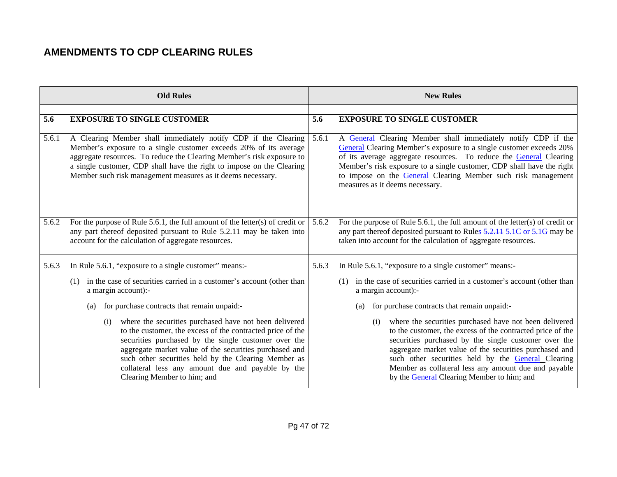|       | <b>Old Rules</b>                                                                                                                                                                                                                                                                                                                                                                          |       | <b>New Rules</b>                                                                                                                                                                                                                                                                                                                                                                                                 |
|-------|-------------------------------------------------------------------------------------------------------------------------------------------------------------------------------------------------------------------------------------------------------------------------------------------------------------------------------------------------------------------------------------------|-------|------------------------------------------------------------------------------------------------------------------------------------------------------------------------------------------------------------------------------------------------------------------------------------------------------------------------------------------------------------------------------------------------------------------|
|       |                                                                                                                                                                                                                                                                                                                                                                                           |       |                                                                                                                                                                                                                                                                                                                                                                                                                  |
| 5.6   | <b>EXPOSURE TO SINGLE CUSTOMER</b>                                                                                                                                                                                                                                                                                                                                                        | 5.6   | <b>EXPOSURE TO SINGLE CUSTOMER</b>                                                                                                                                                                                                                                                                                                                                                                               |
| 5.6.1 | A Clearing Member shall immediately notify CDP if the Clearing<br>Member's exposure to a single customer exceeds 20% of its average<br>aggregate resources. To reduce the Clearing Member's risk exposure to<br>a single customer, CDP shall have the right to impose on the Clearing<br>Member such risk management measures as it deems necessary.                                      | 5.6.1 | A General Clearing Member shall immediately notify CDP if the<br>General Clearing Member's exposure to a single customer exceeds 20%<br>of its average aggregate resources. To reduce the General Clearing<br>Member's risk exposure to a single customer, CDP shall have the right<br>to impose on the General Clearing Member such risk management<br>measures as it deems necessary.                          |
| 5.6.2 | For the purpose of Rule 5.6.1, the full amount of the letter(s) of credit or<br>any part thereof deposited pursuant to Rule 5.2.11 may be taken into<br>account for the calculation of aggregate resources.                                                                                                                                                                               | 5.6.2 | For the purpose of Rule 5.6.1, the full amount of the letter(s) of credit or<br>any part thereof deposited pursuant to Rules 5.2.11 5.1C or 5.1G may be<br>taken into account for the calculation of aggregate resources.                                                                                                                                                                                        |
| 5.6.3 | In Rule 5.6.1, "exposure to a single customer" means:-                                                                                                                                                                                                                                                                                                                                    | 5.6.3 | In Rule 5.6.1, "exposure to a single customer" means:-                                                                                                                                                                                                                                                                                                                                                           |
|       | in the case of securities carried in a customer's account (other than<br>(1)<br>a margin account):-                                                                                                                                                                                                                                                                                       |       | in the case of securities carried in a customer's account (other than<br>(1)<br>a margin account):-                                                                                                                                                                                                                                                                                                              |
|       | for purchase contracts that remain unpaid:-<br>(a)                                                                                                                                                                                                                                                                                                                                        |       | for purchase contracts that remain unpaid:-<br>(a)                                                                                                                                                                                                                                                                                                                                                               |
|       | where the securities purchased have not been delivered<br>(i)<br>to the customer, the excess of the contracted price of the<br>securities purchased by the single customer over the<br>aggregate market value of the securities purchased and<br>such other securities held by the Clearing Member as<br>collateral less any amount due and payable by the<br>Clearing Member to him; and |       | where the securities purchased have not been delivered<br>(i)<br>to the customer, the excess of the contracted price of the<br>securities purchased by the single customer over the<br>aggregate market value of the securities purchased and<br>such other securities held by the <b>General Clearing</b><br>Member as collateral less any amount due and payable<br>by the General Clearing Member to him; and |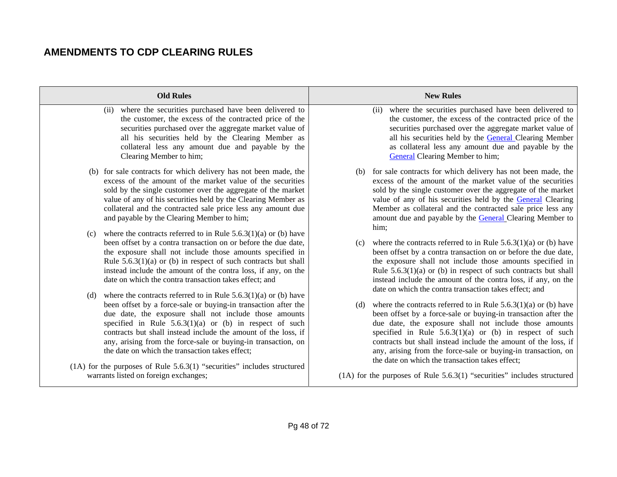| <b>Old Rules</b>                                                                                                                                                                                                                                                                                                                                                                                                                                            | <b>New Rules</b>                                                                                                                                                                                                                                                                                                                                                                                                                                        |
|-------------------------------------------------------------------------------------------------------------------------------------------------------------------------------------------------------------------------------------------------------------------------------------------------------------------------------------------------------------------------------------------------------------------------------------------------------------|---------------------------------------------------------------------------------------------------------------------------------------------------------------------------------------------------------------------------------------------------------------------------------------------------------------------------------------------------------------------------------------------------------------------------------------------------------|
| where the securities purchased have been delivered to<br>(ii)<br>the customer, the excess of the contracted price of the<br>securities purchased over the aggregate market value of<br>all his securities held by the Clearing Member as<br>collateral less any amount due and payable by the<br>Clearing Member to him;                                                                                                                                    | where the securities purchased have been delivered to<br>(ii)<br>the customer, the excess of the contracted price of the<br>securities purchased over the aggregate market value of<br>all his securities held by the General Clearing Member<br>as collateral less any amount due and payable by the<br><b>General</b> Clearing Member to him;                                                                                                         |
| (b) for sale contracts for which delivery has not been made, the<br>excess of the amount of the market value of the securities<br>sold by the single customer over the aggregate of the market<br>value of any of his securities held by the Clearing Member as<br>collateral and the contracted sale price less any amount due<br>and payable by the Clearing Member to him;<br>where the contracts referred to in Rule $5.6.3(1)(a)$ or (b) have<br>(c)   | for sale contracts for which delivery has not been made, the<br>(b)<br>excess of the amount of the market value of the securities<br>sold by the single customer over the aggregate of the market<br>value of any of his securities held by the General Clearing<br>Member as collateral and the contracted sale price less any<br>amount due and payable by the General Clearing Member to<br>him;                                                     |
| been offset by a contra transaction on or before the due date,<br>the exposure shall not include those amounts specified in<br>Rule $5.6.3(1)(a)$ or (b) in respect of such contracts but shall<br>instead include the amount of the contra loss, if any, on the<br>date on which the contra transaction takes effect; and<br>where the contracts referred to in Rule $5.6.3(1)(a)$ or (b) have<br>(d)                                                      | where the contracts referred to in Rule $5.6.3(1)(a)$ or (b) have<br>(c)<br>been offset by a contra transaction on or before the due date,<br>the exposure shall not include those amounts specified in<br>Rule $5.6.3(1)(a)$ or (b) in respect of such contracts but shall<br>instead include the amount of the contra loss, if any, on the<br>date on which the contra transaction takes effect; and                                                  |
| been offset by a force-sale or buying-in transaction after the<br>due date, the exposure shall not include those amounts<br>specified in Rule $5.6.3(1)(a)$ or (b) in respect of such<br>contracts but shall instead include the amount of the loss, if<br>any, arising from the force-sale or buying-in transaction, on<br>the date on which the transaction takes effect;<br>$(1A)$ for the purposes of Rule 5.6.3 $(1)$ "securities" includes structured | where the contracts referred to in Rule $5.6.3(1)(a)$ or (b) have<br>(d)<br>been offset by a force-sale or buying-in transaction after the<br>due date, the exposure shall not include those amounts<br>specified in Rule $5.6.3(1)(a)$ or (b) in respect of such<br>contracts but shall instead include the amount of the loss, if<br>any, arising from the force-sale or buying-in transaction, on<br>the date on which the transaction takes effect; |
| warrants listed on foreign exchanges;                                                                                                                                                                                                                                                                                                                                                                                                                       | $(1A)$ for the purposes of Rule 5.6.3 $(1)$ "securities" includes structured                                                                                                                                                                                                                                                                                                                                                                            |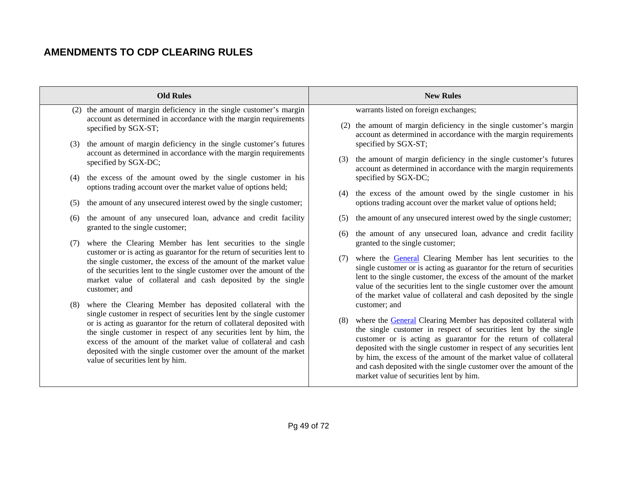| <b>Old Rules</b> |     | <b>New Rules</b>                                                                                                                                                                                                                                                                                                      |            |                                                                                                                                                                                                                                                                                                                                                                                                                                                                             |
|------------------|-----|-----------------------------------------------------------------------------------------------------------------------------------------------------------------------------------------------------------------------------------------------------------------------------------------------------------------------|------------|-----------------------------------------------------------------------------------------------------------------------------------------------------------------------------------------------------------------------------------------------------------------------------------------------------------------------------------------------------------------------------------------------------------------------------------------------------------------------------|
|                  |     |                                                                                                                                                                                                                                                                                                                       |            |                                                                                                                                                                                                                                                                                                                                                                                                                                                                             |
|                  |     | (2) the amount of margin deficiency in the single customer's margin<br>account as determined in accordance with the margin requirements<br>specified by SGX-ST;                                                                                                                                                       |            | warrants listed on foreign exchanges;<br>(2) the amount of margin deficiency in the single customer's margin<br>account as determined in accordance with the margin requirements                                                                                                                                                                                                                                                                                            |
|                  | (3) | the amount of margin deficiency in the single customer's futures<br>account as determined in accordance with the margin requirements<br>specified by SGX-DC;                                                                                                                                                          | (3)        | specified by SGX-ST;<br>the amount of margin deficiency in the single customer's futures<br>account as determined in accordance with the margin requirements                                                                                                                                                                                                                                                                                                                |
|                  | (4) | the excess of the amount owed by the single customer in his<br>options trading account over the market value of options held;                                                                                                                                                                                         | (4)        | specified by SGX-DC;<br>the excess of the amount owed by the single customer in his                                                                                                                                                                                                                                                                                                                                                                                         |
|                  | (5) | the amount of any unsecured interest owed by the single customer;                                                                                                                                                                                                                                                     |            | options trading account over the market value of options held;                                                                                                                                                                                                                                                                                                                                                                                                              |
|                  | (6) | the amount of any unsecured loan, advance and credit facility<br>granted to the single customer;                                                                                                                                                                                                                      | (5)<br>(6) | the amount of any unsecured interest owed by the single customer;<br>the amount of any unsecured loan, advance and credit facility                                                                                                                                                                                                                                                                                                                                          |
|                  | (7) | where the Clearing Member has lent securities to the single<br>customer or is acting as guarantor for the return of securities lent to                                                                                                                                                                                |            | granted to the single customer;                                                                                                                                                                                                                                                                                                                                                                                                                                             |
|                  |     | the single customer, the excess of the amount of the market value<br>of the securities lent to the single customer over the amount of the<br>market value of collateral and cash deposited by the single<br>customer; and                                                                                             | (7)        | where the <b>General</b> Clearing Member has lent securities to the<br>single customer or is acting as guarantor for the return of securities<br>lent to the single customer, the excess of the amount of the market<br>value of the securities lent to the single customer over the amount<br>of the market value of collateral and cash deposited by the single                                                                                                           |
|                  | (8) | where the Clearing Member has deposited collateral with the<br>single customer in respect of securities lent by the single customer                                                                                                                                                                                   |            | customer; and                                                                                                                                                                                                                                                                                                                                                                                                                                                               |
|                  |     | or is acting as guarantor for the return of collateral deposited with<br>the single customer in respect of any securities lent by him, the<br>excess of the amount of the market value of collateral and cash<br>deposited with the single customer over the amount of the market<br>value of securities lent by him. | (8)        | where the <b>General</b> Clearing Member has deposited collateral with<br>the single customer in respect of securities lent by the single<br>customer or is acting as guarantor for the return of collateral<br>deposited with the single customer in respect of any securities lent<br>by him, the excess of the amount of the market value of collateral<br>and cash deposited with the single customer over the amount of the<br>market value of securities lent by him. |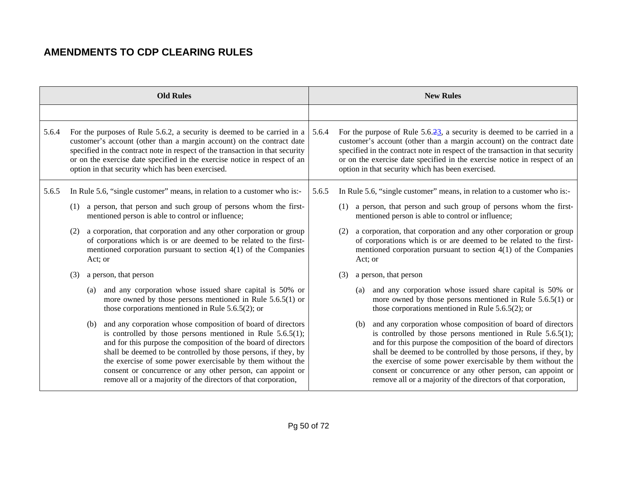|       |     |         | <b>Old Rules</b>                                                                                                                                                                                                                                                                                                                                                                                                                                               |       |     |         | <b>New Rules</b>                                                                                                                                                                                                                                                                                                                                                                                                                                               |
|-------|-----|---------|----------------------------------------------------------------------------------------------------------------------------------------------------------------------------------------------------------------------------------------------------------------------------------------------------------------------------------------------------------------------------------------------------------------------------------------------------------------|-------|-----|---------|----------------------------------------------------------------------------------------------------------------------------------------------------------------------------------------------------------------------------------------------------------------------------------------------------------------------------------------------------------------------------------------------------------------------------------------------------------------|
|       |     |         |                                                                                                                                                                                                                                                                                                                                                                                                                                                                |       |     |         |                                                                                                                                                                                                                                                                                                                                                                                                                                                                |
| 5.6.4 |     |         | For the purposes of Rule 5.6.2, a security is deemed to be carried in a<br>customer's account (other than a margin account) on the contract date<br>specified in the contract note in respect of the transaction in that security<br>or on the exercise date specified in the exercise notice in respect of an<br>option in that security which has been exercised.                                                                                            | 5.6.4 |     |         | For the purpose of Rule $5.6.\overline{23}$ , a security is deemed to be carried in a<br>customer's account (other than a margin account) on the contract date<br>specified in the contract note in respect of the transaction in that security<br>or on the exercise date specified in the exercise notice in respect of an<br>option in that security which has been exercised.                                                                              |
| 5.6.5 |     |         | In Rule 5.6, "single customer" means, in relation to a customer who is:-                                                                                                                                                                                                                                                                                                                                                                                       | 5.6.5 |     |         | In Rule 5.6, "single customer" means, in relation to a customer who is:-                                                                                                                                                                                                                                                                                                                                                                                       |
|       | (1) |         | a person, that person and such group of persons whom the first-<br>mentioned person is able to control or influence;                                                                                                                                                                                                                                                                                                                                           |       |     |         | (1) a person, that person and such group of persons whom the first-<br>mentioned person is able to control or influence;                                                                                                                                                                                                                                                                                                                                       |
|       |     | Act; or | a corporation, that corporation and any other corporation or group<br>of corporations which is or are deemed to be related to the first-<br>mentioned corporation pursuant to section $4(1)$ of the Companies                                                                                                                                                                                                                                                  |       |     | Act; or | a corporation, that corporation and any other corporation or group<br>of corporations which is or are deemed to be related to the first-<br>mentioned corporation pursuant to section $4(1)$ of the Companies                                                                                                                                                                                                                                                  |
|       |     |         | a person, that person                                                                                                                                                                                                                                                                                                                                                                                                                                          |       | (3) |         | a person, that person                                                                                                                                                                                                                                                                                                                                                                                                                                          |
|       |     | (a)     | and any corporation whose issued share capital is 50% or<br>more owned by those persons mentioned in Rule $5.6.5(1)$ or<br>those corporations mentioned in Rule $5.6.5(2)$ ; or                                                                                                                                                                                                                                                                                |       |     | (a)     | and any corporation whose issued share capital is 50% or<br>more owned by those persons mentioned in Rule $5.6.5(1)$ or<br>those corporations mentioned in Rule $5.6.5(2)$ ; or                                                                                                                                                                                                                                                                                |
|       |     | (b)     | and any corporation whose composition of board of directors<br>is controlled by those persons mentioned in Rule $5.6.5(1)$ ;<br>and for this purpose the composition of the board of directors<br>shall be deemed to be controlled by those persons, if they, by<br>the exercise of some power exercisable by them without the<br>consent or concurrence or any other person, can appoint or<br>remove all or a majority of the directors of that corporation, |       |     | (b)     | and any corporation whose composition of board of directors<br>is controlled by those persons mentioned in Rule $5.6.5(1)$ ;<br>and for this purpose the composition of the board of directors<br>shall be deemed to be controlled by those persons, if they, by<br>the exercise of some power exercisable by them without the<br>consent or concurrence or any other person, can appoint or<br>remove all or a majority of the directors of that corporation, |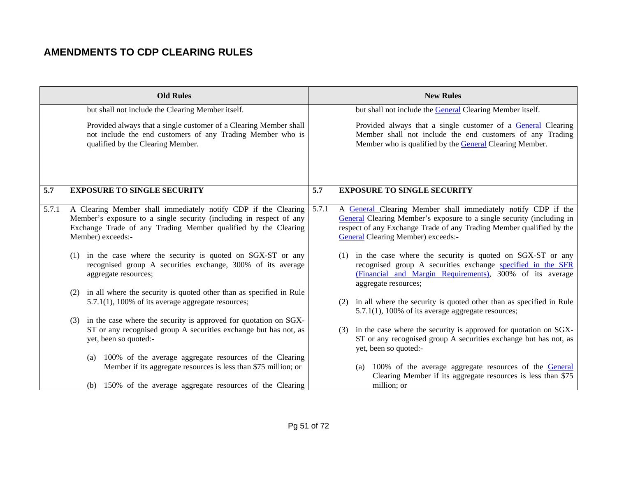|       | <b>Old Rules</b>                                                                                                                                                                                                             | <b>New Rules</b>                                                                                                                                                                                                                                                     |  |
|-------|------------------------------------------------------------------------------------------------------------------------------------------------------------------------------------------------------------------------------|----------------------------------------------------------------------------------------------------------------------------------------------------------------------------------------------------------------------------------------------------------------------|--|
|       | but shall not include the Clearing Member itself.                                                                                                                                                                            | but shall not include the General Clearing Member itself.                                                                                                                                                                                                            |  |
|       | Provided always that a single customer of a Clearing Member shall<br>not include the end customers of any Trading Member who is<br>qualified by the Clearing Member.                                                         | Provided always that a single customer of a General Clearing<br>Member shall not include the end customers of any Trading<br>Member who is qualified by the General Clearing Member.                                                                                 |  |
| 5.7   | <b>EXPOSURE TO SINGLE SECURITY</b>                                                                                                                                                                                           | 5.7<br><b>EXPOSURE TO SINGLE SECURITY</b>                                                                                                                                                                                                                            |  |
| 5.7.1 | A Clearing Member shall immediately notify CDP if the Clearing<br>Member's exposure to a single security (including in respect of any<br>Exchange Trade of any Trading Member qualified by the Clearing<br>Member) exceeds:- | 5.7.1<br>A General Clearing Member shall immediately notify CDP if the<br>General Clearing Member's exposure to a single security (including in<br>respect of any Exchange Trade of any Trading Member qualified by the<br><b>General Clearing Member) exceeds:-</b> |  |
|       | in the case where the security is quoted on SGX-ST or any<br>(1)<br>recognised group A securities exchange, 300% of its average<br>aggregate resources;                                                                      | in the case where the security is quoted on SGX-ST or any<br>(1)<br>recognised group A securities exchange specified in the SFR<br>(Financial and Margin Requirements), 300% of its average<br>aggregate resources;                                                  |  |
|       | in all where the security is quoted other than as specified in Rule<br>(2)<br>5.7.1(1), 100% of its average aggregate resources;                                                                                             | in all where the security is quoted other than as specified in Rule<br>(2)<br>5.7.1(1), 100% of its average aggregate resources;                                                                                                                                     |  |
|       | in the case where the security is approved for quotation on SGX-<br>(3)<br>ST or any recognised group A securities exchange but has not, as<br>yet, been so quoted:-                                                         | in the case where the security is approved for quotation on SGX-<br>(3)<br>ST or any recognised group A securities exchange but has not, as<br>yet, been so quoted:-                                                                                                 |  |
|       | (a) 100% of the average aggregate resources of the Clearing<br>Member if its aggregate resources is less than \$75 million; or                                                                                               | (a) 100% of the average aggregate resources of the General<br>Clearing Member if its aggregate resources is less than \$75                                                                                                                                           |  |
|       | (b) 150% of the average aggregate resources of the Clearing                                                                                                                                                                  | million; or                                                                                                                                                                                                                                                          |  |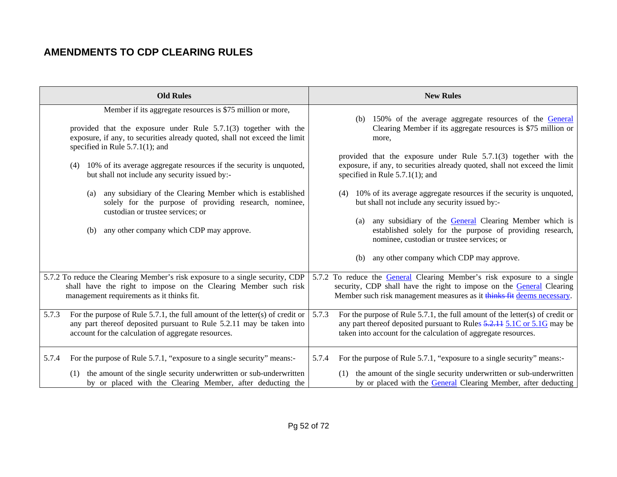| <b>Old Rules</b>                                                                                                                                                                                                                                                                                                                                                                                                                                                                                                                                                                                         | <b>New Rules</b>                                                                                                                                                                                                                                                                                                                                                                                                                                                                                                                                                                                                                               |
|----------------------------------------------------------------------------------------------------------------------------------------------------------------------------------------------------------------------------------------------------------------------------------------------------------------------------------------------------------------------------------------------------------------------------------------------------------------------------------------------------------------------------------------------------------------------------------------------------------|------------------------------------------------------------------------------------------------------------------------------------------------------------------------------------------------------------------------------------------------------------------------------------------------------------------------------------------------------------------------------------------------------------------------------------------------------------------------------------------------------------------------------------------------------------------------------------------------------------------------------------------------|
|                                                                                                                                                                                                                                                                                                                                                                                                                                                                                                                                                                                                          |                                                                                                                                                                                                                                                                                                                                                                                                                                                                                                                                                                                                                                                |
| Member if its aggregate resources is \$75 million or more,<br>provided that the exposure under Rule $5.7.1(3)$ together with the<br>exposure, if any, to securities already quoted, shall not exceed the limit<br>specified in Rule $5.7.1(1)$ ; and<br>(4) 10% of its average aggregate resources if the security is unquoted,<br>but shall not include any security issued by:-<br>any subsidiary of the Clearing Member which is established<br>(a)<br>solely for the purpose of providing research, nominee,<br>custodian or trustee services; or<br>any other company which CDP may approve.<br>(b) | (b) 150% of the average aggregate resources of the General<br>Clearing Member if its aggregate resources is \$75 million or<br>more,<br>provided that the exposure under Rule $5.7.1(3)$ together with the<br>exposure, if any, to securities already quoted, shall not exceed the limit<br>specified in Rule $5.7.1(1)$ ; and<br>(4) 10% of its average aggregate resources if the security is unquoted,<br>but shall not include any security issued by:-<br>any subsidiary of the <b>General</b> Clearing Member which is<br>(a)<br>established solely for the purpose of providing research,<br>nominee, custodian or trustee services; or |
|                                                                                                                                                                                                                                                                                                                                                                                                                                                                                                                                                                                                          | any other company which CDP may approve.<br>(b)                                                                                                                                                                                                                                                                                                                                                                                                                                                                                                                                                                                                |
| 5.7.2 To reduce the Clearing Member's risk exposure to a single security, CDP<br>shall have the right to impose on the Clearing Member such risk<br>management requirements as it thinks fit.                                                                                                                                                                                                                                                                                                                                                                                                            | 5.7.2 To reduce the General Clearing Member's risk exposure to a single<br>security, CDP shall have the right to impose on the General Clearing<br>Member such risk management measures as it thinks fit deems necessary.                                                                                                                                                                                                                                                                                                                                                                                                                      |
| For the purpose of Rule $5.7.1$ , the full amount of the letter(s) of credit or<br>5.7.3<br>any part thereof deposited pursuant to Rule 5.2.11 may be taken into<br>account for the calculation of aggregate resources.                                                                                                                                                                                                                                                                                                                                                                                  | 5.7.3<br>For the purpose of Rule 5.7.1, the full amount of the letter(s) of credit or<br>any part thereof deposited pursuant to Rules 5.2.11 5.1C or 5.1G may be<br>taken into account for the calculation of aggregate resources.                                                                                                                                                                                                                                                                                                                                                                                                             |
| For the purpose of Rule 5.7.1, "exposure to a single security" means:-<br>5.7.4<br>the amount of the single security underwritten or sub-underwritten<br>(1)<br>by or placed with the Clearing Member, after deducting the                                                                                                                                                                                                                                                                                                                                                                               | For the purpose of Rule 5.7.1, "exposure to a single security" means:-<br>5.7.4<br>(1) the amount of the single security underwritten or sub-underwritten<br>by or placed with the General Clearing Member, after deducting                                                                                                                                                                                                                                                                                                                                                                                                                    |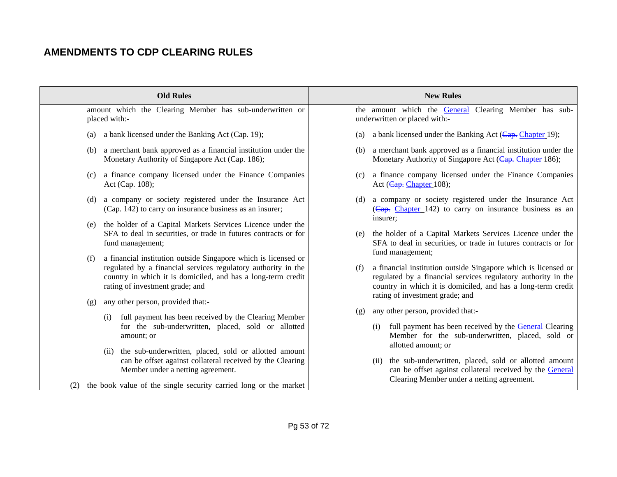| <b>Old Rules</b>                                                                                                                                                                                                                           | <b>New Rules</b>                                                                                                                                                        |
|--------------------------------------------------------------------------------------------------------------------------------------------------------------------------------------------------------------------------------------------|-------------------------------------------------------------------------------------------------------------------------------------------------------------------------|
| amount which the Clearing Member has sub-underwritten or<br>placed with:-                                                                                                                                                                  | the amount which the General<br>Clearing Member has sub-<br>underwritten or placed with:-                                                                               |
| a bank licensed under the Banking Act (Cap. 19);                                                                                                                                                                                           | a bank licensed under the Banking Act ( $\overline{\text{Cap.}}$ Chapter 19);                                                                                           |
| (a)                                                                                                                                                                                                                                        | (a)                                                                                                                                                                     |
| a merchant bank approved as a financial institution under the                                                                                                                                                                              | a merchant bank approved as a financial institution under the                                                                                                           |
| (b)                                                                                                                                                                                                                                        | (b)                                                                                                                                                                     |
| Monetary Authority of Singapore Act (Cap. 186);                                                                                                                                                                                            | Monetary Authority of Singapore Act (Cap. Chapter 186);                                                                                                                 |
| a finance company licensed under the Finance Companies                                                                                                                                                                                     | a finance company licensed under the Finance Companies                                                                                                                  |
| (c)                                                                                                                                                                                                                                        | (c)                                                                                                                                                                     |
| Act (Cap. 108);                                                                                                                                                                                                                            | Act (Cap. Chapter 108);                                                                                                                                                 |
| a company or society registered under the Insurance Act                                                                                                                                                                                    | a company or society registered under the Insurance Act                                                                                                                 |
| (d)                                                                                                                                                                                                                                        | (d)                                                                                                                                                                     |
| (Cap. 142) to carry on insurance business as an insurer;                                                                                                                                                                                   | $(Cap. Chapter 142)$ to carry on insurance business as an                                                                                                               |
| the holder of a Capital Markets Services Licence under the<br>(e)<br>SFA to deal in securities, or trade in futures contracts or for<br>fund management;                                                                                   | insurer:<br>the holder of a Capital Markets Services Licence under the<br>(e)<br>SFA to deal in securities, or trade in futures contracts or for<br>fund management;    |
| a financial institution outside Singapore which is licensed or                                                                                                                                                                             | a financial institution outside Singapore which is licensed or                                                                                                          |
| (f)                                                                                                                                                                                                                                        | (f)                                                                                                                                                                     |
| regulated by a financial services regulatory authority in the                                                                                                                                                                              | regulated by a financial services regulatory authority in the                                                                                                           |
| country in which it is domiciled, and has a long-term credit                                                                                                                                                                               | country in which it is domiciled, and has a long-term credit                                                                                                            |
| rating of investment grade; and                                                                                                                                                                                                            | rating of investment grade; and                                                                                                                                         |
| any other person, provided that:-                                                                                                                                                                                                          | any other person, provided that:-                                                                                                                                       |
| (g)                                                                                                                                                                                                                                        | (g)                                                                                                                                                                     |
| full payment has been received by the Clearing Member                                                                                                                                                                                      | full payment has been received by the <b>General</b> Clearing                                                                                                           |
| (i)                                                                                                                                                                                                                                        | (i)                                                                                                                                                                     |
| for the sub-underwritten, placed, sold or allotted                                                                                                                                                                                         | Member for the sub-underwritten, placed, sold or                                                                                                                        |
| amount; or                                                                                                                                                                                                                                 | allotted amount; or                                                                                                                                                     |
| the sub-underwritten, placed, sold or allotted amount<br>(ii)<br>can be offset against collateral received by the Clearing<br>Member under a netting agreement.<br>the book value of the single security carried long or the market<br>(2) | the sub-underwritten, placed, sold or allotted amount<br>(ii)<br>can be offset against collateral received by the General<br>Clearing Member under a netting agreement. |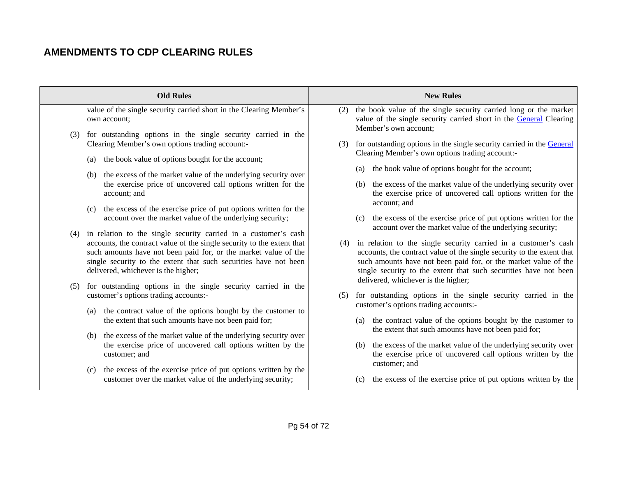|     | <b>Old Rules</b>                                                                                                                                                                                                                                                                                                            | <b>New Rules</b>                                                                                                                                                                                                                                                                        |
|-----|-----------------------------------------------------------------------------------------------------------------------------------------------------------------------------------------------------------------------------------------------------------------------------------------------------------------------------|-----------------------------------------------------------------------------------------------------------------------------------------------------------------------------------------------------------------------------------------------------------------------------------------|
|     | value of the single security carried short in the Clearing Member's<br>own account;<br>(3) for outstanding options in the single security carried in the                                                                                                                                                                    | (2) the book value of the single security carried long or the market<br>value of the single security carried short in the General Clearing<br>Member's own account;                                                                                                                     |
|     | Clearing Member's own options trading account:-<br>the book value of options bought for the account;<br>(a)                                                                                                                                                                                                                 | for outstanding options in the single security carried in the General<br>(3)<br>Clearing Member's own options trading account:-                                                                                                                                                         |
|     | (b) the excess of the market value of the underlying security over                                                                                                                                                                                                                                                          | the book value of options bought for the account;<br>(a)                                                                                                                                                                                                                                |
|     | the exercise price of uncovered call options written for the<br>account; and                                                                                                                                                                                                                                                | the excess of the market value of the underlying security over<br>(b)<br>the exercise price of uncovered call options written for the<br>account; and                                                                                                                                   |
|     | the excess of the exercise price of put options written for the<br>(c)<br>account over the market value of the underlying security;                                                                                                                                                                                         | the excess of the exercise price of put options written for the<br>(c)<br>account over the market value of the underlying security;                                                                                                                                                     |
|     | (4) in relation to the single security carried in a customer's cash<br>accounts, the contract value of the single security to the extent that<br>such amounts have not been paid for, or the market value of the<br>single security to the extent that such securities have not been<br>delivered, whichever is the higher; | in relation to the single security carried in a customer's cash<br>(4)<br>accounts, the contract value of the single security to the extent that<br>such amounts have not been paid for, or the market value of the<br>single security to the extent that such securities have not been |
| (5) | for outstanding options in the single security carried in the                                                                                                                                                                                                                                                               | delivered, whichever is the higher;                                                                                                                                                                                                                                                     |
|     | customer's options trading accounts:-                                                                                                                                                                                                                                                                                       | for outstanding options in the single security carried in the<br>(5)<br>customer's options trading accounts:-                                                                                                                                                                           |
|     | (a) the contract value of the options bought by the customer to<br>the extent that such amounts have not been paid for;                                                                                                                                                                                                     | the contract value of the options bought by the customer to<br>(a)<br>the extent that such amounts have not been paid for;                                                                                                                                                              |
|     | (b) the excess of the market value of the underlying security over<br>the exercise price of uncovered call options written by the<br>customer; and                                                                                                                                                                          | the excess of the market value of the underlying security over<br>(b)<br>the exercise price of uncovered call options written by the<br>customer; and                                                                                                                                   |
|     | the excess of the exercise price of put options written by the<br>(c)<br>customer over the market value of the underlying security;                                                                                                                                                                                         | the excess of the exercise price of put options written by the<br>(c)                                                                                                                                                                                                                   |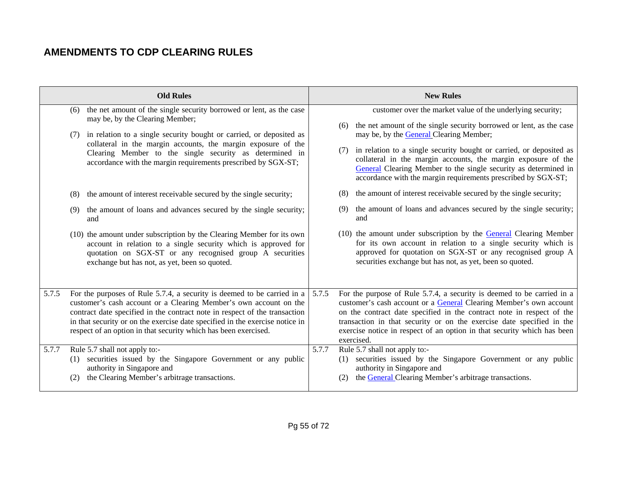|       |     | <b>Old Rules</b>                                                                                                                                                                                                                                     |       | <b>New Rules</b>                                                                                                                                                                                                                                                                |
|-------|-----|------------------------------------------------------------------------------------------------------------------------------------------------------------------------------------------------------------------------------------------------------|-------|---------------------------------------------------------------------------------------------------------------------------------------------------------------------------------------------------------------------------------------------------------------------------------|
|       | (6) | the net amount of the single security borrowed or lent, as the case<br>may be, by the Clearing Member;                                                                                                                                               |       | customer over the market value of the underlying security;<br>the net amount of the single security borrowed or lent, as the case<br>(6)                                                                                                                                        |
|       |     | in relation to a single security bought or carried, or deposited as<br>collateral in the margin accounts, the margin exposure of the                                                                                                                 |       | may be, by the <b>General</b> Clearing Member;                                                                                                                                                                                                                                  |
|       |     | Clearing Member to the single security as determined in<br>accordance with the margin requirements prescribed by SGX-ST;                                                                                                                             |       | in relation to a single security bought or carried, or deposited as<br>(7)<br>collateral in the margin accounts, the margin exposure of the<br>General Clearing Member to the single security as determined in<br>accordance with the margin requirements prescribed by SGX-ST; |
|       | (8) | the amount of interest receivable secured by the single security;                                                                                                                                                                                    |       | the amount of interest receivable secured by the single security;<br>(8)                                                                                                                                                                                                        |
|       | (9) | the amount of loans and advances secured by the single security;<br>and                                                                                                                                                                              |       | the amount of loans and advances secured by the single security;<br>(9)<br>and                                                                                                                                                                                                  |
|       |     | (10) the amount under subscription by the Clearing Member for its own<br>account in relation to a single security which is approved for<br>quotation on SGX-ST or any recognised group A securities<br>exchange but has not, as yet, been so quoted. |       | $(10)$ the amount under subscription by the General Clearing Member<br>for its own account in relation to a single security which is<br>approved for quotation on SGX-ST or any recognised group A<br>securities exchange but has not, as yet, been so quoted.                  |
| 5.7.5 |     | For the purposes of Rule 5.7.4, a security is deemed to be carried in a<br>customer's cash account or a Clearing Member's own account on the<br>contract date specified in the contract note in respect of the transaction                           | 5.7.5 | For the purpose of Rule 5.7.4, a security is deemed to be carried in a<br>customer's cash account or a General Clearing Member's own account<br>on the contract date specified in the contract note in respect of the                                                           |
|       |     | in that security or on the exercise date specified in the exercise notice in<br>respect of an option in that security which has been exercised.                                                                                                      |       | transaction in that security or on the exercise date specified in the<br>exercise notice in respect of an option in that security which has been<br>exercised.                                                                                                                  |
| 5.7.7 |     | Rule 5.7 shall not apply to:-                                                                                                                                                                                                                        | 5.7.7 | Rule 5.7 shall not apply to:-                                                                                                                                                                                                                                                   |
|       | (1) | securities issued by the Singapore Government or any public<br>authority in Singapore and                                                                                                                                                            |       | securities issued by the Singapore Government or any public<br>(1)<br>authority in Singapore and                                                                                                                                                                                |
|       | (2) | the Clearing Member's arbitrage transactions.                                                                                                                                                                                                        |       | the General Clearing Member's arbitrage transactions.<br>(2)                                                                                                                                                                                                                    |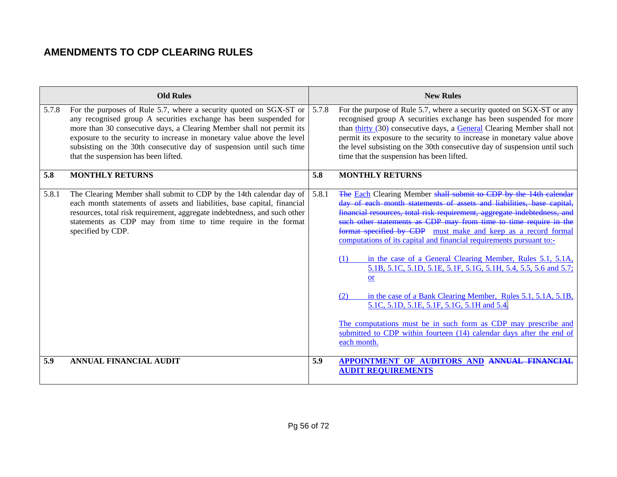|       | <b>Old Rules</b>                                                                                                                                                                                                                                                                                                                                                                                           |       | <b>New Rules</b>                                                                                                                                                                                                                                                                                                                                                                                                                                                                                                                                                                                                                                                                                                                                                                                                                                                       |
|-------|------------------------------------------------------------------------------------------------------------------------------------------------------------------------------------------------------------------------------------------------------------------------------------------------------------------------------------------------------------------------------------------------------------|-------|------------------------------------------------------------------------------------------------------------------------------------------------------------------------------------------------------------------------------------------------------------------------------------------------------------------------------------------------------------------------------------------------------------------------------------------------------------------------------------------------------------------------------------------------------------------------------------------------------------------------------------------------------------------------------------------------------------------------------------------------------------------------------------------------------------------------------------------------------------------------|
| 5.7.8 | For the purposes of Rule 5.7, where a security quoted on SGX-ST or<br>any recognised group A securities exchange has been suspended for<br>more than 30 consecutive days, a Clearing Member shall not permit its<br>exposure to the security to increase in monetary value above the level<br>subsisting on the 30th consecutive day of suspension until such time<br>that the suspension has been lifted. | 5.7.8 | For the purpose of Rule 5.7, where a security quoted on SGX-ST or any<br>recognised group A securities exchange has been suspended for more<br>than thirty (30) consecutive days, a General Clearing Member shall not<br>permit its exposure to the security to increase in monetary value above<br>the level subsisting on the 30th consecutive day of suspension until such<br>time that the suspension has been lifted.                                                                                                                                                                                                                                                                                                                                                                                                                                             |
| 5.8   | <b>MONTHLY RETURNS</b>                                                                                                                                                                                                                                                                                                                                                                                     | 5.8   | <b>MONTHLY RETURNS</b>                                                                                                                                                                                                                                                                                                                                                                                                                                                                                                                                                                                                                                                                                                                                                                                                                                                 |
| 5.8.1 | The Clearing Member shall submit to CDP by the 14th calendar day of<br>each month statements of assets and liabilities, base capital, financial<br>resources, total risk requirement, aggregate indebtedness, and such other<br>statements as CDP may from time to time require in the format<br>specified by CDP.                                                                                         | 5.8.1 | The Each Clearing Member shall submit to CDP by the 14th calendar<br>day of each month statements of assets and liabilities, base capital,<br>financial resources, total risk requirement, aggregate indebtedness,<br>such other statements as CDP may from time to time require in the<br>format specified by CDP must make and keep as a record formal<br>computations of its capital and financial requirements pursuant to:-<br>in the case of a General Clearing Member, Rules 5.1, 5.1A,<br>(1)<br>5.1B, 5.1C, 5.1D, 5.1E, 5.1F, 5.1G, 5.1H, 5.4, 5.5, 5.6 and 5.7;<br><b>or</b><br>in the case of a Bank Clearing Member, Rules 5.1, 5.1A, 5.1B,<br>(2)<br>5.1C, 5.1D, 5.1E, 5.1F, 5.1G, 5.1H and 5.4.<br>The computations must be in such form as CDP may prescribe and<br>submitted to CDP within fourteen (14) calendar days after the end of<br>each month. |
| 5.9   | <b>ANNUAL FINANCIAL AUDIT</b>                                                                                                                                                                                                                                                                                                                                                                              | 5.9   | APPOINTMENT OF AUDITORS AND ANNUAL FINANCIAL<br><b>AUDIT REQUIREMENTS</b>                                                                                                                                                                                                                                                                                                                                                                                                                                                                                                                                                                                                                                                                                                                                                                                              |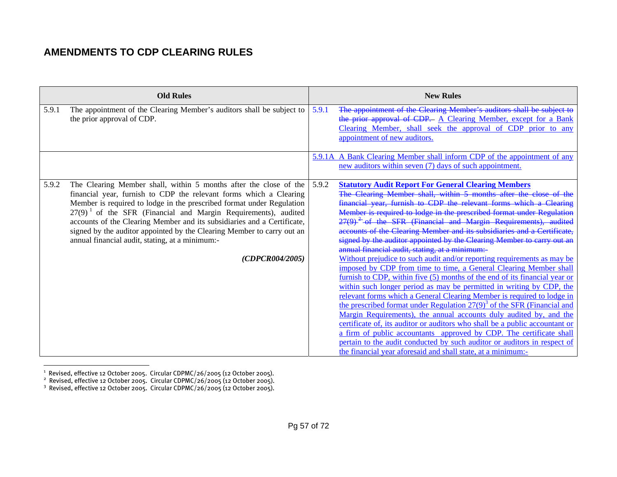| <b>Old Rules</b>                                                                                                                                                                                                                                                                                                                                                                                                                                                                                                                     | <b>New Rules</b>                                                                                                                                                                                                                                                                                                                                                                                                                                                                                                                                                                                                                                                                                                                                                                                                                                                                                                                                                                                                                                                                                                                                                                                                                                                                                                                                                                                                      |
|--------------------------------------------------------------------------------------------------------------------------------------------------------------------------------------------------------------------------------------------------------------------------------------------------------------------------------------------------------------------------------------------------------------------------------------------------------------------------------------------------------------------------------------|-----------------------------------------------------------------------------------------------------------------------------------------------------------------------------------------------------------------------------------------------------------------------------------------------------------------------------------------------------------------------------------------------------------------------------------------------------------------------------------------------------------------------------------------------------------------------------------------------------------------------------------------------------------------------------------------------------------------------------------------------------------------------------------------------------------------------------------------------------------------------------------------------------------------------------------------------------------------------------------------------------------------------------------------------------------------------------------------------------------------------------------------------------------------------------------------------------------------------------------------------------------------------------------------------------------------------------------------------------------------------------------------------------------------------|
| The appointment of the Clearing Member's auditors shall be subject to<br>5.9.1<br>the prior approval of CDP.                                                                                                                                                                                                                                                                                                                                                                                                                         | The appointment of the Clearing Member's auditors shall be subject to<br>5.9.1<br>the prior approval of CDP. A Clearing Member, except for a Bank<br>Clearing Member, shall seek the approval of CDP prior to any<br>appointment of new auditors.                                                                                                                                                                                                                                                                                                                                                                                                                                                                                                                                                                                                                                                                                                                                                                                                                                                                                                                                                                                                                                                                                                                                                                     |
|                                                                                                                                                                                                                                                                                                                                                                                                                                                                                                                                      | 5.9.1A A Bank Clearing Member shall inform CDP of the appointment of any<br>new auditors within seven (7) days of such appointment.                                                                                                                                                                                                                                                                                                                                                                                                                                                                                                                                                                                                                                                                                                                                                                                                                                                                                                                                                                                                                                                                                                                                                                                                                                                                                   |
| The Clearing Member shall, within 5 months after the close of the<br>5.9.2<br>financial year, furnish to CDP the relevant forms which a Clearing<br>Member is required to lodge in the prescribed format under Regulation<br>$27(9)$ <sup>1</sup> of the SFR (Financial and Margin Requirements), audited<br>accounts of the Clearing Member and its subsidiaries and a Certificate,<br>signed by the auditor appointed by the Clearing Member to carry out an<br>annual financial audit, stating, at a minimum:-<br>(CDPCR004/2005) | 5.9.2<br><b>Statutory Audit Report For General Clearing Members</b><br>The Clearing Member shall, within 5 months after the close of the<br>financial year, furnish to CDP the relevant forms which a Clearing<br>Member is required to lodge in the prescribed format under Regulation<br>$27(9)$ <sup>2</sup> of the SFR (Financial and Margin Requirements), audited<br>accounts of the Clearing Member and its subsidiaries and a Certificate,<br>signed by the auditor appointed by the Clearing Member to carry out an<br>annual financial audit, stating, at a minimum:-<br>Without prejudice to such audit and/or reporting requirements as may be<br>imposed by CDP from time to time, a General Clearing Member shall<br>furnish to CDP, within five (5) months of the end of its financial year or<br>within such longer period as may be permitted in writing by CDP, the<br>relevant forms which a General Clearing Member is required to lodge in<br>the prescribed format under Regulation $27(9)^3$ of the SFR (Financial and<br>Margin Requirements), the annual accounts duly audited by, and the<br>certificate of, its auditor or auditors who shall be a public accountant or<br>a firm of public accountants approved by CDP. The certificate shall<br>pertain to the audit conducted by such auditor or auditors in respect of<br>the financial year aforesaid and shall state, at a minimum:- |

 $^{\rm 1}$  Revised, effective 12 October 2005. Circular CDPMC/26/2005 (12 October 2005).

 $^2$  Revised, effective 12 October 2005. Circular CDPMC/26/2005 (12 October 2005).

 $3$  Revised, effective 12 October 2005. Circular CDPMC/26/2005 (12 October 2005).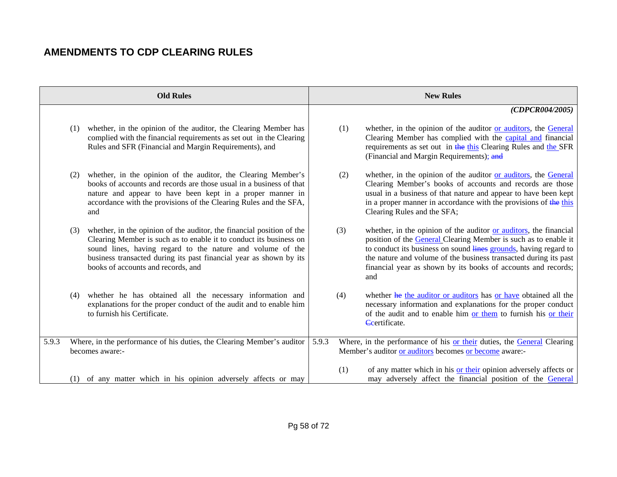|       |     | <b>Old Rules</b>                                                                                                                                                                                                                                                                                                      |       |     | <b>New Rules</b>                                                                                                                                                                                                                                                                                                                                     |
|-------|-----|-----------------------------------------------------------------------------------------------------------------------------------------------------------------------------------------------------------------------------------------------------------------------------------------------------------------------|-------|-----|------------------------------------------------------------------------------------------------------------------------------------------------------------------------------------------------------------------------------------------------------------------------------------------------------------------------------------------------------|
|       |     |                                                                                                                                                                                                                                                                                                                       |       |     | (CDPCR004/2005)                                                                                                                                                                                                                                                                                                                                      |
|       | (1) | whether, in the opinion of the auditor, the Clearing Member has<br>complied with the financial requirements as set out in the Clearing<br>Rules and SFR (Financial and Margin Requirements), and                                                                                                                      |       | (1) | whether, in the opinion of the auditor or auditors, the General<br>Clearing Member has complied with the capital and financial<br>requirements as set out in the this Clearing Rules and the SFR<br>(Financial and Margin Requirements); and                                                                                                         |
|       | (2) | whether, in the opinion of the auditor, the Clearing Member's<br>books of accounts and records are those usual in a business of that<br>nature and appear to have been kept in a proper manner in<br>accordance with the provisions of the Clearing Rules and the SFA,<br>and                                         |       | (2) | whether, in the opinion of the auditor or auditors, the General<br>Clearing Member's books of accounts and records are those<br>usual in a business of that nature and appear to have been kept<br>in a proper manner in accordance with the provisions of the this<br>Clearing Rules and the SFA;                                                   |
|       | (3) | whether, in the opinion of the auditor, the financial position of the<br>Clearing Member is such as to enable it to conduct its business on<br>sound lines, having regard to the nature and volume of the<br>business transacted during its past financial year as shown by its<br>books of accounts and records, and |       | (3) | whether, in the opinion of the auditor or auditors, the financial<br>position of the General Clearing Member is such as to enable it<br>to conduct its business on sound lines grounds, having regard to<br>the nature and volume of the business transacted during its past<br>financial year as shown by its books of accounts and records;<br>and |
|       | (4) | whether he has obtained all the necessary information and<br>explanations for the proper conduct of the audit and to enable him<br>to furnish his Certificate.                                                                                                                                                        |       | (4) | whether he the auditor or auditors has or have obtained all the<br>necessary information and explanations for the proper conduct<br>of the audit and to enable him or them to furnish his or their<br>Certificate.                                                                                                                                   |
| 5.9.3 |     | Where, in the performance of his duties, the Clearing Member's auditor<br>becomes aware:-                                                                                                                                                                                                                             | 5.9.3 |     | Where, in the performance of his or their duties, the General Clearing<br>Member's auditor or auditors becomes or become aware:-                                                                                                                                                                                                                     |
|       | (1) | of any matter which in his opinion adversely affects or may                                                                                                                                                                                                                                                           |       | (1) | of any matter which in his or their opinion adversely affects or<br>may adversely affect the financial position of the General                                                                                                                                                                                                                       |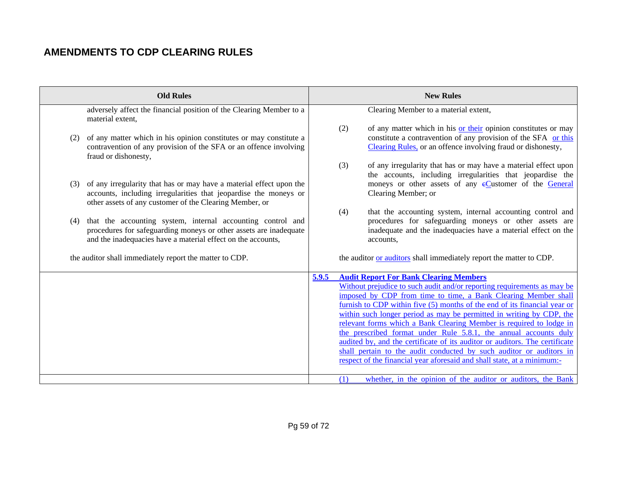| <b>Old Rules</b>                                                                                                                                                                                                                                                                                                                                                                                                                                                                                                                                                                                                                                                                                                                                     | <b>New Rules</b>                                                                                                                                                                                                                                                                                                                                                                                                                                                                                                                                                                                                                                                                                                                                                                                            |
|------------------------------------------------------------------------------------------------------------------------------------------------------------------------------------------------------------------------------------------------------------------------------------------------------------------------------------------------------------------------------------------------------------------------------------------------------------------------------------------------------------------------------------------------------------------------------------------------------------------------------------------------------------------------------------------------------------------------------------------------------|-------------------------------------------------------------------------------------------------------------------------------------------------------------------------------------------------------------------------------------------------------------------------------------------------------------------------------------------------------------------------------------------------------------------------------------------------------------------------------------------------------------------------------------------------------------------------------------------------------------------------------------------------------------------------------------------------------------------------------------------------------------------------------------------------------------|
| adversely affect the financial position of the Clearing Member to a<br>material extent,<br>of any matter which in his opinion constitutes or may constitute a<br>(2)<br>contravention of any provision of the SFA or an offence involving<br>fraud or dishonesty,<br>of any irregularity that has or may have a material effect upon the<br>(3)<br>accounts, including irregularities that jeopardise the moneys or<br>other assets of any customer of the Clearing Member, or<br>that the accounting system, internal accounting control and<br>(4)<br>procedures for safeguarding moneys or other assets are inadequate<br>and the inadequacies have a material effect on the accounts,<br>the auditor shall immediately report the matter to CDP. | Clearing Member to a material extent,<br>(2)<br>of any matter which in his or their opinion constitutes or may<br>constitute a contravention of any provision of the SFA or this<br>Clearing Rules, or an offence involving fraud or dishonesty,<br>of any irregularity that has or may have a material effect upon<br>(3)<br>the accounts, including irregularities that jeopardise the<br>moneys or other assets of any eCustomer of the General<br>Clearing Member; or<br>that the accounting system, internal accounting control and<br>(4)<br>procedures for safeguarding moneys or other assets are<br>inadequate and the inadequacies have a material effect on the<br>accounts,<br>the auditor or auditors shall immediately report the matter to CDP.                                              |
|                                                                                                                                                                                                                                                                                                                                                                                                                                                                                                                                                                                                                                                                                                                                                      | <b>Audit Report For Bank Clearing Members</b><br>5.9.5<br>Without prejudice to such audit and/or reporting requirements as may be<br>imposed by CDP from time to time, a Bank Clearing Member shall<br>furnish to CDP within five (5) months of the end of its financial year or<br>within such longer period as may be permitted in writing by CDP, the<br>relevant forms which a Bank Clearing Member is required to lodge in<br>the prescribed format under Rule 5.8.1, the annual accounts duly<br>audited by, and the certificate of its auditor or auditors. The certificate<br>shall pertain to the audit conducted by such auditor or auditors in<br>respect of the financial year aforesaid and shall state, at a minimum:-<br>whether, in the opinion of the auditor or auditors, the Bank<br>(1) |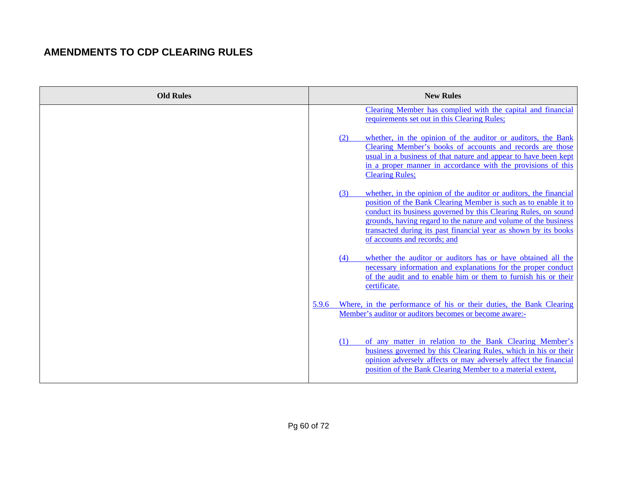| <b>Old Rules</b> | <b>New Rules</b>                                                                                                                                                                                                                                                                                                                                                                    |
|------------------|-------------------------------------------------------------------------------------------------------------------------------------------------------------------------------------------------------------------------------------------------------------------------------------------------------------------------------------------------------------------------------------|
|                  | Clearing Member has complied with the capital and financial<br>requirements set out in this Clearing Rules;                                                                                                                                                                                                                                                                         |
|                  | whether, in the opinion of the auditor or auditors, the Bank<br>(2)<br>Clearing Member's books of accounts and records are those<br>usual in a business of that nature and appear to have been kept<br>in a proper manner in accordance with the provisions of this<br><b>Clearing Rules;</b>                                                                                       |
|                  | whether, in the opinion of the auditor or auditors, the financial<br>(3)<br>position of the Bank Clearing Member is such as to enable it to<br>conduct its business governed by this Clearing Rules, on sound<br>grounds, having regard to the nature and volume of the business<br>transacted during its past financial year as shown by its books<br>of accounts and records; and |
|                  | whether the auditor or auditors has or have obtained all the<br>(4)<br>necessary information and explanations for the proper conduct<br>of the audit and to enable him or them to furnish his or their<br>certificate.                                                                                                                                                              |
|                  | Where, in the performance of his or their duties, the Bank Clearing<br>5.9.6<br>Member's auditor or auditors becomes or become aware:-                                                                                                                                                                                                                                              |
|                  | of any matter in relation to the Bank Clearing Member's<br>(1)<br>business governed by this Clearing Rules, which in his or their<br>opinion adversely affects or may adversely affect the financial<br>position of the Bank Clearing Member to a material extent,                                                                                                                  |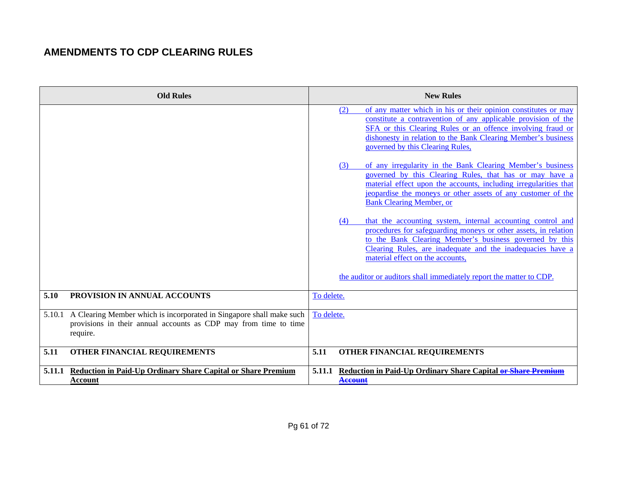| <b>Old Rules</b>                                                                                                                                            | <b>New Rules</b><br>of any matter which in his or their opinion constitutes or may<br>(2)<br>constitute a contravention of any applicable provision of the<br>SFA or this Clearing Rules or an offence involving fraud or<br>dishonesty in relation to the Bank Clearing Member's business<br>governed by this Clearing Rules,<br>of any irregularity in the Bank Clearing Member's business<br>(3)<br>governed by this Clearing Rules, that has or may have a<br>material effect upon the accounts, including irregularities that<br>jeopardise the moneys or other assets of any customer of the<br><b>Bank Clearing Member, or</b><br>that the accounting system, internal accounting control and<br>(4)<br>procedures for safeguarding moneys or other assets, in relation<br>to the Bank Clearing Member's business governed by this<br>Clearing Rules, are inadequate and the inadequacies have a<br>material effect on the accounts, |
|-------------------------------------------------------------------------------------------------------------------------------------------------------------|---------------------------------------------------------------------------------------------------------------------------------------------------------------------------------------------------------------------------------------------------------------------------------------------------------------------------------------------------------------------------------------------------------------------------------------------------------------------------------------------------------------------------------------------------------------------------------------------------------------------------------------------------------------------------------------------------------------------------------------------------------------------------------------------------------------------------------------------------------------------------------------------------------------------------------------------|
|                                                                                                                                                             | the auditor or auditors shall immediately report the matter to CDP.                                                                                                                                                                                                                                                                                                                                                                                                                                                                                                                                                                                                                                                                                                                                                                                                                                                                         |
| PROVISION IN ANNUAL ACCOUNTS<br>5.10                                                                                                                        | To delete.                                                                                                                                                                                                                                                                                                                                                                                                                                                                                                                                                                                                                                                                                                                                                                                                                                                                                                                                  |
| 5.10.1 A Clearing Member which is incorporated in Singapore shall make such<br>provisions in their annual accounts as CDP may from time to time<br>require. | To delete.                                                                                                                                                                                                                                                                                                                                                                                                                                                                                                                                                                                                                                                                                                                                                                                                                                                                                                                                  |
| 5.11<br>OTHER FINANCIAL REQUIREMENTS                                                                                                                        | OTHER FINANCIAL REQUIREMENTS<br>5.11                                                                                                                                                                                                                                                                                                                                                                                                                                                                                                                                                                                                                                                                                                                                                                                                                                                                                                        |
| <b>Reduction in Paid-Up Ordinary Share Capital or Share Premium</b><br>5.11.1<br>Account                                                                    | Reduction in Paid-Up Ordinary Share Capital or Share Premium<br>5.11.1<br><b>Account</b>                                                                                                                                                                                                                                                                                                                                                                                                                                                                                                                                                                                                                                                                                                                                                                                                                                                    |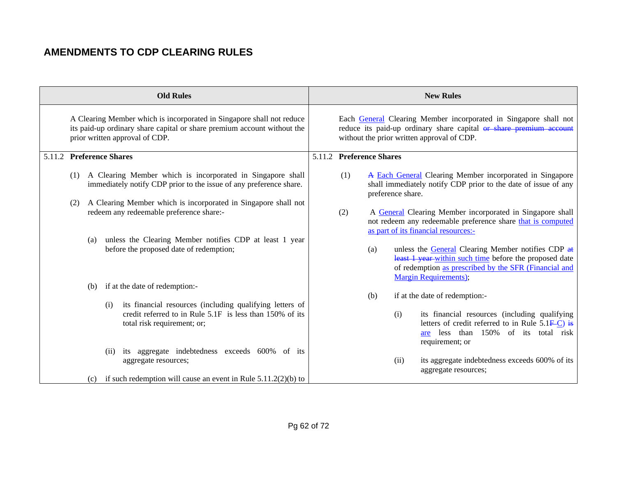|                          |     |     |      | <b>Old Rules</b>                                                                                                                                                                   |     |                          |                   | <b>New Rules</b>                                                                                                                                                                                             |
|--------------------------|-----|-----|------|------------------------------------------------------------------------------------------------------------------------------------------------------------------------------------|-----|--------------------------|-------------------|--------------------------------------------------------------------------------------------------------------------------------------------------------------------------------------------------------------|
|                          |     |     |      | A Clearing Member which is incorporated in Singapore shall not reduce<br>its paid-up ordinary share capital or share premium account without the<br>prior written approval of CDP. |     |                          |                   | Each General Clearing Member incorporated in Singapore shall not<br>reduce its paid-up ordinary share capital or share premium account<br>without the prior written approval of CDP.                         |
| 5.11.2 Preference Shares |     |     |      |                                                                                                                                                                                    |     | 5.11.2 Preference Shares |                   |                                                                                                                                                                                                              |
|                          | (1) |     |      | A Clearing Member which is incorporated in Singapore shall<br>immediately notify CDP prior to the issue of any preference share.                                                   | (1) |                          | preference share. | A Each General Clearing Member incorporated in Singapore<br>shall immediately notify CDP prior to the date of issue of any                                                                                   |
|                          | (2) |     |      | A Clearing Member which is incorporated in Singapore shall not<br>redeem any redeemable preference share:-                                                                         | (2) |                          |                   | A General Clearing Member incorporated in Singapore shall<br>not redeem any redeemable preference share that is computed<br>as part of its financial resources:-                                             |
|                          |     | (a) |      | unless the Clearing Member notifies CDP at least 1 year<br>before the proposed date of redemption;                                                                                 |     | (a)                      |                   | unless the General Clearing Member notifies CDP at<br>least 1 year-within such time before the proposed date<br>of redemption as prescribed by the SFR (Financial and<br><b>Margin Requirements</b> );       |
|                          |     | (b) |      | if at the date of redemption:-                                                                                                                                                     |     |                          |                   |                                                                                                                                                                                                              |
|                          |     |     | (i)  | its financial resources (including qualifying letters of<br>credit referred to in Rule 5.1F is less than 150% of its<br>total risk requirement; or;                                |     | (b)                      | (i)               | if at the date of redemption:-<br>its financial resources (including qualifying<br>letters of credit referred to in Rule $5.1\overline{F-C}$ ) is<br>are less than 150% of its total risk<br>requirement; or |
|                          |     | (c) | (ii) | its aggregate indebtedness exceeds 600% of its<br>aggregate resources;<br>if such redemption will cause an event in Rule $5.11.2(2)(b)$ to                                         |     |                          | (ii)              | its aggregate indebtedness exceeds 600% of its<br>aggregate resources;                                                                                                                                       |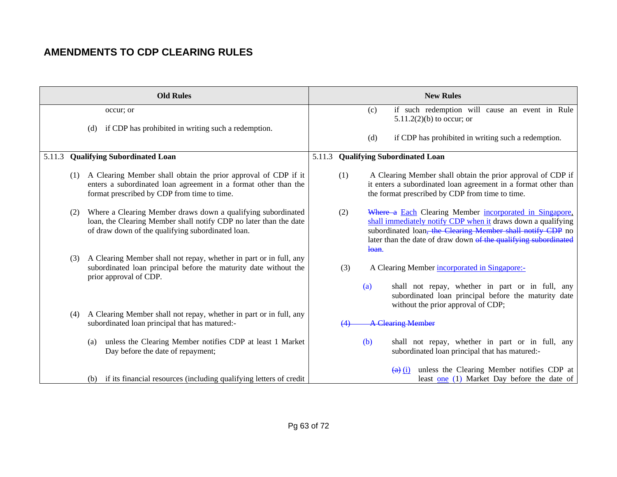|        |     | <b>Old Rules</b>                                                                                                                                                                       |        |     |            | <b>New Rules</b>                                                                                                                                                                                                                                                     |
|--------|-----|----------------------------------------------------------------------------------------------------------------------------------------------------------------------------------------|--------|-----|------------|----------------------------------------------------------------------------------------------------------------------------------------------------------------------------------------------------------------------------------------------------------------------|
|        |     | occur; or<br>if CDP has prohibited in writing such a redemption.<br>(d)                                                                                                                |        |     | (c)<br>(d) | if such redemption will cause an event in Rule<br>5.11.2(2)(b) to occur; or<br>if CDP has prohibited in writing such a redemption.                                                                                                                                   |
| 5.11.3 |     | <b>Qualifying Subordinated Loan</b>                                                                                                                                                    | 5.11.3 |     |            | <b>Qualifying Subordinated Loan</b>                                                                                                                                                                                                                                  |
|        | (1) | A Clearing Member shall obtain the prior approval of CDP if it<br>enters a subordinated loan agreement in a format other than the<br>format prescribed by CDP from time to time.       |        | (1) |            | A Clearing Member shall obtain the prior approval of CDP if<br>it enters a subordinated loan agreement in a format other than<br>the format prescribed by CDP from time to time.                                                                                     |
|        | (2) | Where a Clearing Member draws down a qualifying subordinated<br>loan, the Clearing Member shall notify CDP no later than the date<br>of draw down of the qualifying subordinated loan. |        | (2) | $1 1 1$    | Where a Each Clearing Member incorporated in Singapore,<br>shall immediately notify CDP when it draws down a qualifying<br>subordinated loan <del>, the Clearing Member shall notify CDP</del> no<br>later than the date of draw down of the qualifying subordinated |
|        | (3) | A Clearing Member shall not repay, whether in part or in full, any<br>subordinated loan principal before the maturity date without the<br>prior approval of CDP.                       |        | (3) | (a)        | A Clearing Member incorporated in Singapore:-<br>shall not repay, whether in part or in full, any<br>subordinated loan principal before the maturity date                                                                                                            |
|        | (4) | A Clearing Member shall not repay, whether in part or in full, any<br>subordinated loan principal that has matured:-                                                                   |        |     |            | without the prior approval of CDP;<br><b>A Clearing Member</b>                                                                                                                                                                                                       |
|        |     | unless the Clearing Member notifies CDP at least 1 Market<br>(a)<br>Day before the date of repayment;                                                                                  |        |     | (b)        | shall not repay, whether in part or in full, any<br>subordinated loan principal that has matured:-                                                                                                                                                                   |
|        |     | (b) if its financial resources (including qualifying letters of credit                                                                                                                 |        |     |            | unless the Clearing Member notifies CDP at<br>$\left(\text{a}\right)$ (i)<br>least one (1) Market Day before the date of                                                                                                                                             |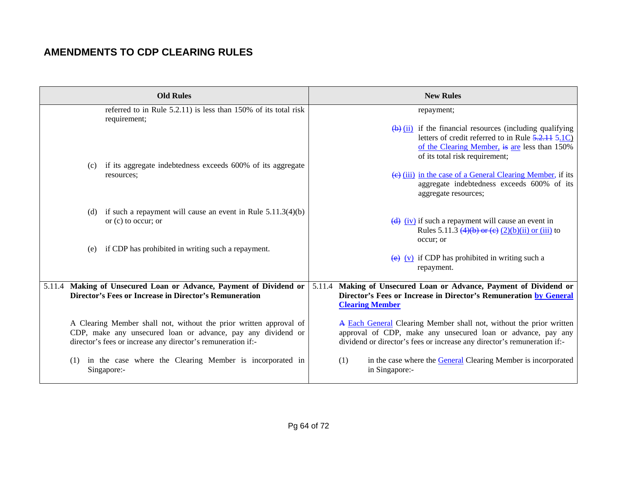| <b>Old Rules</b>                                                                                                                                                                                   | <b>New Rules</b>                                                                                                                                                                                                         |
|----------------------------------------------------------------------------------------------------------------------------------------------------------------------------------------------------|--------------------------------------------------------------------------------------------------------------------------------------------------------------------------------------------------------------------------|
| referred to in Rule 5.2.11) is less than 150% of its total risk<br>requirement;                                                                                                                    | repayment;<br>$\overline{(b)}$ (ii) if the financial resources (including qualifying<br>letters of credit referred to in Rule 5.2.11 5.1C)<br>of the Clearing Member, is are less than 150%                              |
| (c) if its aggregate indebtedness exceeds 600% of its aggregate<br>resources;                                                                                                                      | of its total risk requirement;<br>(e) (iii) in the case of a General Clearing Member, if its<br>aggregate indebtedness exceeds 600% of its<br>aggregate resources;                                                       |
| (d) if such a repayment will cause an event in Rule $5.11.3(4)(b)$<br>or $(c)$ to occur; or<br>if CDP has prohibited in writing such a repayment.<br>(e)                                           | $\overline{(d)}$ (iv) if such a repayment will cause an event in<br>Rules 5.11.3 $(4)(b)$ or $(e)$ $(2)(b)(ii)$ or $(iii)$ to<br>occur; or<br>$\overline{(e)}$ (v) if CDP has prohibited in writing such a<br>repayment. |
| 5.11.4 Making of Unsecured Loan or Advance, Payment of Dividend or<br><b>Director's Fees or Increase in Director's Remuneration</b>                                                                | 5.11.4 Making of Unsecured Loan or Advance, Payment of Dividend or<br>Director's Fees or Increase in Director's Remuneration by General<br><b>Clearing Member</b>                                                        |
| A Clearing Member shall not, without the prior written approval of<br>CDP, make any unsecured loan or advance, pay any dividend or<br>director's fees or increase any director's remuneration if:- | A Each General Clearing Member shall not, without the prior written<br>approval of CDP, make any unsecured loan or advance, pay any<br>dividend or director's fees or increase any director's remuneration if:-          |
| in the case where the Clearing Member is incorporated in<br>(1)<br>Singapore:-                                                                                                                     | in the case where the <b>General Clearing Member</b> is incorporated<br>(1)<br>in Singapore:-                                                                                                                            |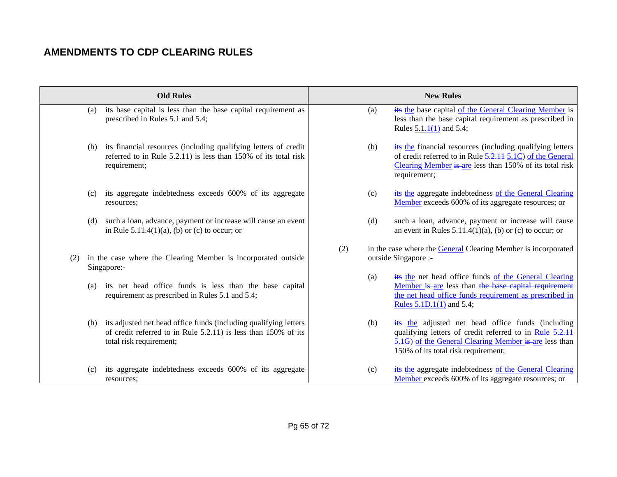|     | <b>Old Rules</b>                                                                                                                                                      | <b>New Rules</b>                                                                                                                                                                                                    |
|-----|-----------------------------------------------------------------------------------------------------------------------------------------------------------------------|---------------------------------------------------------------------------------------------------------------------------------------------------------------------------------------------------------------------|
|     | its base capital is less than the base capital requirement as<br>(a)<br>prescribed in Rules 5.1 and 5.4;                                                              | its the base capital of the General Clearing Member is<br>(a)<br>less than the base capital requirement as prescribed in<br>Rules $5.1.1(1)$ and $5.4$ ;                                                            |
|     | its financial resources (including qualifying letters of credit<br>(b)<br>referred to in Rule 5.2.11) is less than 150% of its total risk<br>requirement;             | its the financial resources (including qualifying letters)<br>(b)<br>of credit referred to in Rule 5.2.11 5.1C) of the General<br>Clearing Member is are less than 150% of its total risk<br>requirement;           |
|     | its aggregate indebtedness exceeds 600% of its aggregate<br>(c)<br>resources;                                                                                         | its the aggregate indebtedness of the General Clearing<br>(c)<br>Member exceeds 600% of its aggregate resources; or                                                                                                 |
|     | such a loan, advance, payment or increase will cause an event<br>(d)<br>in Rule $5.11.4(1)(a)$ , (b) or (c) to occur; or                                              | (d)<br>such a loan, advance, payment or increase will cause<br>an event in Rules $5.11.4(1)(a)$ , (b) or (c) to occur; or                                                                                           |
| (2) | in the case where the Clearing Member is incorporated outside<br>Singapore:-                                                                                          | (2)<br>in the case where the <b>General Clearing Member</b> is incorporated<br>outside Singapore :-                                                                                                                 |
|     | its net head office funds is less than the base capital<br>(a)<br>requirement as prescribed in Rules 5.1 and 5.4;                                                     | its the net head office funds of the General Clearing<br>(a)<br>Member is are less than the base capital requirement<br>the net head office funds requirement as prescribed in<br>Rules $5.1D.1(1)$ and $5.4$ ;     |
|     | its adjusted net head office funds (including qualifying letters)<br>(b)<br>of credit referred to in Rule 5.2.11) is less than 150% of its<br>total risk requirement; | its the adjusted net head office funds (including<br>(b)<br>qualifying letters of credit referred to in Rule 5.2.11<br>5.1G) of the General Clearing Member is are less than<br>150% of its total risk requirement; |
|     | its aggregate indebtedness exceeds 600% of its aggregate<br>(c)<br>resources:                                                                                         | its the aggregate indebtedness of the General Clearing<br>(c)<br>Member exceeds 600% of its aggregate resources; or                                                                                                 |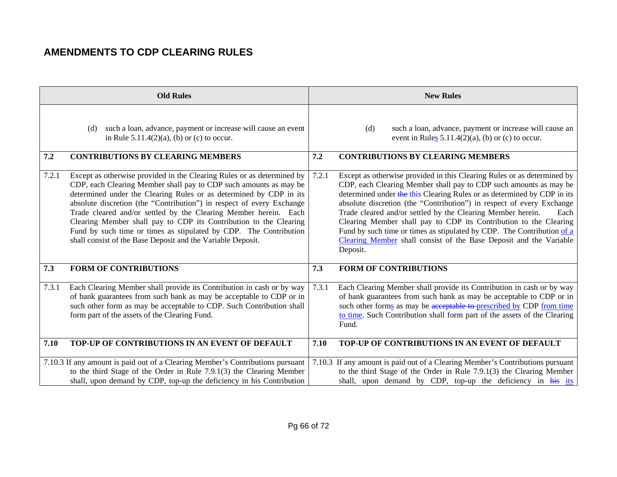|       | <b>Old Rules</b>                                                                                                                                                                                                                                                                                                                                                                                                                                                                                                                                                        |       | <b>New Rules</b>                                                                                                                                                                                                                                                                                                                                                                                                                                                                                                                                                                                         |
|-------|-------------------------------------------------------------------------------------------------------------------------------------------------------------------------------------------------------------------------------------------------------------------------------------------------------------------------------------------------------------------------------------------------------------------------------------------------------------------------------------------------------------------------------------------------------------------------|-------|----------------------------------------------------------------------------------------------------------------------------------------------------------------------------------------------------------------------------------------------------------------------------------------------------------------------------------------------------------------------------------------------------------------------------------------------------------------------------------------------------------------------------------------------------------------------------------------------------------|
|       | such a loan, advance, payment or increase will cause an event<br>(d)<br>in Rule $5.11.4(2)(a)$ , (b) or (c) to occur.                                                                                                                                                                                                                                                                                                                                                                                                                                                   |       | (d)<br>such a loan, advance, payment or increase will cause an<br>event in Rules $5.11.4(2)(a)$ , (b) or (c) to occur.                                                                                                                                                                                                                                                                                                                                                                                                                                                                                   |
| 7.2   | <b>CONTRIBUTIONS BY CLEARING MEMBERS</b>                                                                                                                                                                                                                                                                                                                                                                                                                                                                                                                                | 7.2   | <b>CONTRIBUTIONS BY CLEARING MEMBERS</b>                                                                                                                                                                                                                                                                                                                                                                                                                                                                                                                                                                 |
| 7.2.1 | Except as otherwise provided in the Clearing Rules or as determined by<br>CDP, each Clearing Member shall pay to CDP such amounts as may be<br>determined under the Clearing Rules or as determined by CDP in its<br>absolute discretion (the "Contribution") in respect of every Exchange<br>Trade cleared and/or settled by the Clearing Member herein. Each<br>Clearing Member shall pay to CDP its Contribution to the Clearing<br>Fund by such time or times as stipulated by CDP. The Contribution<br>shall consist of the Base Deposit and the Variable Deposit. | 7.2.1 | Except as otherwise provided in this Clearing Rules or as determined by<br>CDP, each Clearing Member shall pay to CDP such amounts as may be<br>determined under the this Clearing Rules or as determined by CDP in its<br>absolute discretion (the "Contribution") in respect of every Exchange<br>Trade cleared and/or settled by the Clearing Member herein.<br>Each<br>Clearing Member shall pay to CDP its Contribution to the Clearing<br>Fund by such time or times as stipulated by CDP. The Contribution of a<br>Clearing Member shall consist of the Base Deposit and the Variable<br>Deposit. |
| 7.3   | <b>FORM OF CONTRIBUTIONS</b>                                                                                                                                                                                                                                                                                                                                                                                                                                                                                                                                            | 7.3   | <b>FORM OF CONTRIBUTIONS</b>                                                                                                                                                                                                                                                                                                                                                                                                                                                                                                                                                                             |
| 7.3.1 | Each Clearing Member shall provide its Contribution in cash or by way<br>of bank guarantees from such bank as may be acceptable to CDP or in<br>such other form as may be acceptable to CDP. Such Contribution shall<br>form part of the assets of the Clearing Fund.                                                                                                                                                                                                                                                                                                   | 7.3.1 | Each Clearing Member shall provide its Contribution in cash or by way<br>of bank guarantees from such bank as may be acceptable to CDP or in<br>such other forms as may be acceptable to prescribed by CDP from time<br>to time. Such Contribution shall form part of the assets of the Clearing<br>Fund.                                                                                                                                                                                                                                                                                                |
| 7.10  | TOP-UP OF CONTRIBUTIONS IN AN EVENT OF DEFAULT                                                                                                                                                                                                                                                                                                                                                                                                                                                                                                                          | 7.10  | TOP-UP OF CONTRIBUTIONS IN AN EVENT OF DEFAULT                                                                                                                                                                                                                                                                                                                                                                                                                                                                                                                                                           |
|       | 7.10.3 If any amount is paid out of a Clearing Member's Contributions pursuant<br>to the third Stage of the Order in Rule 7.9.1(3) the Clearing Member<br>shall, upon demand by CDP, top-up the deficiency in his Contribution                                                                                                                                                                                                                                                                                                                                          |       | 7.10.3 If any amount is paid out of a Clearing Member's Contributions pursuant<br>to the third Stage of the Order in Rule 7.9.1(3) the Clearing Member<br>shall, upon demand by CDP, top-up the deficiency in his its                                                                                                                                                                                                                                                                                                                                                                                    |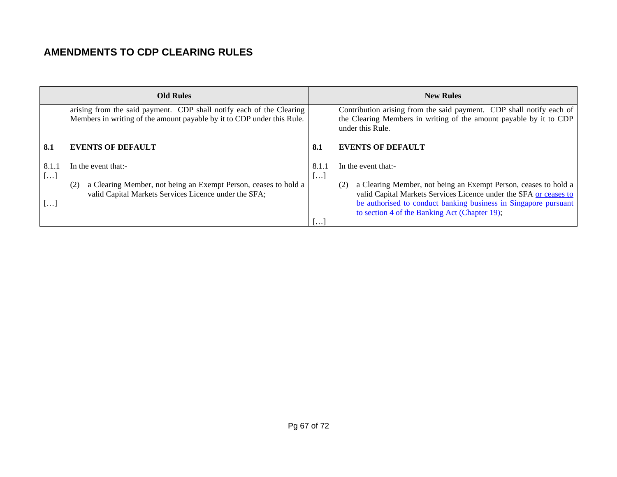| <b>Old Rules</b>                 |                                                                                                                                                |                                   | <b>New Rules</b>                                                                                                                                                                                                                                                |
|----------------------------------|------------------------------------------------------------------------------------------------------------------------------------------------|-----------------------------------|-----------------------------------------------------------------------------------------------------------------------------------------------------------------------------------------------------------------------------------------------------------------|
|                                  | arising from the said payment. CDP shall notify each of the Clearing<br>Members in writing of the amount payable by it to CDP under this Rule. |                                   | Contribution arising from the said payment. CDP shall notify each of<br>the Clearing Members in writing of the amount payable by it to CDP<br>under this Rule.                                                                                                  |
| 8.1                              | <b>EVENTS OF DEFAULT</b>                                                                                                                       | 8.1                               | <b>EVENTS OF DEFAULT</b>                                                                                                                                                                                                                                        |
| 8.1.1<br>$\left[ \ldots \right]$ | In the event that:-                                                                                                                            | 8.1.1<br>$\lfloor \cdots \rfloor$ | In the event that:-                                                                                                                                                                                                                                             |
| <b></b>                          | a Clearing Member, not being an Exempt Person, ceases to hold a<br>(2)<br>valid Capital Markets Services Licence under the SFA;                |                                   | a Clearing Member, not being an Exempt Person, ceases to hold a<br>(2)<br>valid Capital Markets Services Licence under the SFA or ceases to<br>be authorised to conduct banking business in Singapore pursuant<br>to section 4 of the Banking Act (Chapter 19); |
|                                  |                                                                                                                                                | $\cdot \cdot \cdot$               |                                                                                                                                                                                                                                                                 |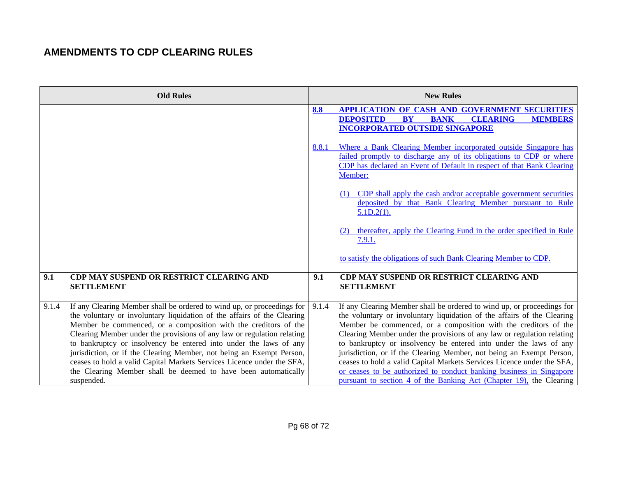|       | <b>Old Rules</b>                                                                                                                                                                                                                                                                                                                                                                                                                                                                                                                                                                                      |       | <b>New Rules</b>                                                                                                                                                                                                                                                                                                                                                                                                                                                                                                                                                                                                                                                    |
|-------|-------------------------------------------------------------------------------------------------------------------------------------------------------------------------------------------------------------------------------------------------------------------------------------------------------------------------------------------------------------------------------------------------------------------------------------------------------------------------------------------------------------------------------------------------------------------------------------------------------|-------|---------------------------------------------------------------------------------------------------------------------------------------------------------------------------------------------------------------------------------------------------------------------------------------------------------------------------------------------------------------------------------------------------------------------------------------------------------------------------------------------------------------------------------------------------------------------------------------------------------------------------------------------------------------------|
|       |                                                                                                                                                                                                                                                                                                                                                                                                                                                                                                                                                                                                       | 8.8   | <b>APPLICATION OF CASH AND GOVERNMENT SECURITIES</b><br><b>CLEARING</b><br><b>DEPOSITED</b><br><b>BY</b><br><b>BANK</b><br><b>MEMBERS</b><br><b>INCORPORATED OUTSIDE SINGAPORE</b>                                                                                                                                                                                                                                                                                                                                                                                                                                                                                  |
|       |                                                                                                                                                                                                                                                                                                                                                                                                                                                                                                                                                                                                       | 8.8.1 | Where a Bank Clearing Member incorporated outside Singapore has<br>failed promptly to discharge any of its obligations to CDP or where<br>CDP has declared an Event of Default in respect of that Bank Clearing<br>Member:                                                                                                                                                                                                                                                                                                                                                                                                                                          |
|       |                                                                                                                                                                                                                                                                                                                                                                                                                                                                                                                                                                                                       |       | (1) CDP shall apply the cash and/or acceptable government securities<br>deposited by that Bank Clearing Member pursuant to Rule<br>5.1D.2(1),                                                                                                                                                                                                                                                                                                                                                                                                                                                                                                                       |
|       |                                                                                                                                                                                                                                                                                                                                                                                                                                                                                                                                                                                                       |       | thereafter, apply the Clearing Fund in the order specified in Rule<br>7.9.1.                                                                                                                                                                                                                                                                                                                                                                                                                                                                                                                                                                                        |
|       |                                                                                                                                                                                                                                                                                                                                                                                                                                                                                                                                                                                                       |       | to satisfy the obligations of such Bank Clearing Member to CDP.                                                                                                                                                                                                                                                                                                                                                                                                                                                                                                                                                                                                     |
| 9.1   | CDP MAY SUSPEND OR RESTRICT CLEARING AND<br><b>SETTLEMENT</b>                                                                                                                                                                                                                                                                                                                                                                                                                                                                                                                                         | 9.1   | CDP MAY SUSPEND OR RESTRICT CLEARING AND<br><b>SETTLEMENT</b>                                                                                                                                                                                                                                                                                                                                                                                                                                                                                                                                                                                                       |
| 9.1.4 | If any Clearing Member shall be ordered to wind up, or proceedings for<br>the voluntary or involuntary liquidation of the affairs of the Clearing<br>Member be commenced, or a composition with the creditors of the<br>Clearing Member under the provisions of any law or regulation relating<br>to bankruptcy or insolvency be entered into under the laws of any<br>jurisdiction, or if the Clearing Member, not being an Exempt Person,<br>ceases to hold a valid Capital Markets Services Licence under the SFA,<br>the Clearing Member shall be deemed to have been automatically<br>suspended. | 9.1.4 | If any Clearing Member shall be ordered to wind up, or proceedings for<br>the voluntary or involuntary liquidation of the affairs of the Clearing<br>Member be commenced, or a composition with the creditors of the<br>Clearing Member under the provisions of any law or regulation relating<br>to bankruptcy or insolvency be entered into under the laws of any<br>jurisdiction, or if the Clearing Member, not being an Exempt Person,<br>ceases to hold a valid Capital Markets Services Licence under the SFA,<br>or ceases to be authorized to conduct banking business in Singapore<br>pursuant to section 4 of the Banking Act (Chapter 19), the Clearing |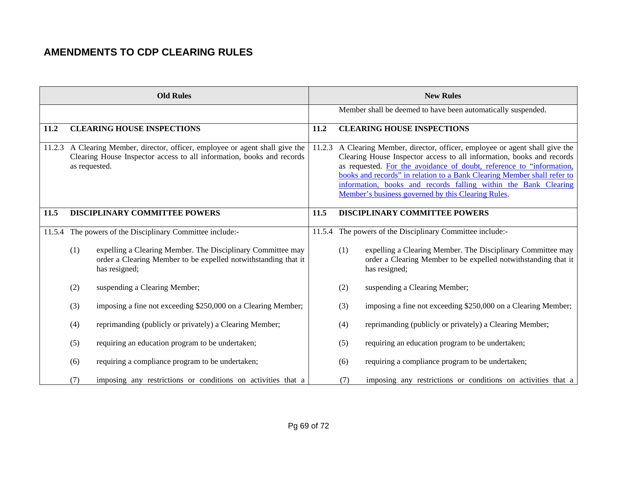|      |               | <b>Old Rules</b>                                                                                                                                       |      |     | <b>New Rules</b>                                                                                                                                                                                                                                                                                                                                                                                                                   |
|------|---------------|--------------------------------------------------------------------------------------------------------------------------------------------------------|------|-----|------------------------------------------------------------------------------------------------------------------------------------------------------------------------------------------------------------------------------------------------------------------------------------------------------------------------------------------------------------------------------------------------------------------------------------|
|      |               |                                                                                                                                                        |      |     | Member shall be deemed to have been automatically suspended.                                                                                                                                                                                                                                                                                                                                                                       |
| 11.2 |               | <b>CLEARING HOUSE INSPECTIONS</b>                                                                                                                      | 11.2 |     | <b>CLEARING HOUSE INSPECTIONS</b>                                                                                                                                                                                                                                                                                                                                                                                                  |
|      | as requested. | 11.2.3 A Clearing Member, director, officer, employee or agent shall give the<br>Clearing House Inspector access to all information, books and records |      |     | 11.2.3 A Clearing Member, director, officer, employee or agent shall give the<br>Clearing House Inspector access to all information, books and records<br>as requested. For the avoidance of doubt, reference to "information,<br>books and records" in relation to a Bank Clearing Member shall refer to<br>information, books and records falling within the Bank Clearing<br>Member's business governed by this Clearing Rules. |
| 11.5 |               | DISCIPLINARY COMMITTEE POWERS                                                                                                                          | 11.5 |     | <b>DISCIPLINARY COMMITTEE POWERS</b>                                                                                                                                                                                                                                                                                                                                                                                               |
|      |               | 11.5.4 The powers of the Disciplinary Committee include:-                                                                                              |      |     | 11.5.4 The powers of the Disciplinary Committee include:-                                                                                                                                                                                                                                                                                                                                                                          |
|      | (1)           | expelling a Clearing Member. The Disciplinary Committee may<br>order a Clearing Member to be expelled notwithstanding that it<br>has resigned;         |      | (1) | expelling a Clearing Member. The Disciplinary Committee may<br>order a Clearing Member to be expelled notwithstanding that it<br>has resigned;                                                                                                                                                                                                                                                                                     |
|      | (2)           | suspending a Clearing Member;                                                                                                                          |      | (2) | suspending a Clearing Member;                                                                                                                                                                                                                                                                                                                                                                                                      |
|      | (3)           | imposing a fine not exceeding \$250,000 on a Clearing Member;                                                                                          |      | (3) | imposing a fine not exceeding \$250,000 on a Clearing Member;                                                                                                                                                                                                                                                                                                                                                                      |
|      | (4)           | reprimanding (publicly or privately) a Clearing Member;                                                                                                |      | (4) | reprimanding (publicly or privately) a Clearing Member;                                                                                                                                                                                                                                                                                                                                                                            |
|      | (5)           | requiring an education program to be undertaken;                                                                                                       |      | (5) | requiring an education program to be undertaken;                                                                                                                                                                                                                                                                                                                                                                                   |
|      | (6)           | requiring a compliance program to be undertaken;                                                                                                       |      | (6) | requiring a compliance program to be undertaken;                                                                                                                                                                                                                                                                                                                                                                                   |
|      | (7)           | imposing any restrictions or conditions on activities that a                                                                                           |      | (7) | imposing any restrictions or conditions on activities that a                                                                                                                                                                                                                                                                                                                                                                       |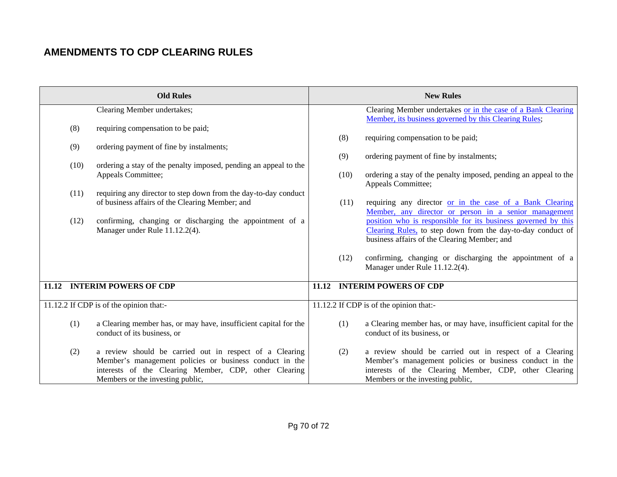|      | <b>Old Rules</b>                                                 |      | <b>New Rules</b>                                                                       |
|------|------------------------------------------------------------------|------|----------------------------------------------------------------------------------------|
|      | Clearing Member undertakes;                                      |      | Clearing Member undertakes or in the case of a Bank Clearing                           |
|      |                                                                  |      | Member, its business governed by this Clearing Rules;                                  |
| (8)  | requiring compensation to be paid;                               |      |                                                                                        |
|      |                                                                  | (8)  | requiring compensation to be paid;                                                     |
| (9)  | ordering payment of fine by instalments;                         |      |                                                                                        |
|      |                                                                  | (9)  | ordering payment of fine by instalments;                                               |
| (10) | ordering a stay of the penalty imposed, pending an appeal to the |      |                                                                                        |
|      | Appeals Committee;                                               | (10) | ordering a stay of the penalty imposed, pending an appeal to the<br>Appeals Committee; |
| (11) | requiring any director to step down from the day-to-day conduct  |      |                                                                                        |
|      | of business affairs of the Clearing Member; and                  | (11) | requiring any director or in the case of a Bank Clearing                               |
|      |                                                                  |      | Member, any director or person in a senior management                                  |
| (12) | confirming, changing or discharging the appointment of a         |      | position who is responsible for its business governed by this                          |
|      | Manager under Rule 11.12.2(4).                                   |      | Clearing Rules, to step down from the day-to-day conduct of                            |
|      |                                                                  |      | business affairs of the Clearing Member; and                                           |
|      |                                                                  |      |                                                                                        |
|      |                                                                  | (12) | confirming, changing or discharging the appointment of a                               |
|      |                                                                  |      | Manager under Rule 11.12.2(4).                                                         |
|      |                                                                  |      |                                                                                        |
|      | 11.12 INTERIM POWERS OF CDP                                      |      | 11.12 INTERIM POWERS OF CDP                                                            |
|      | 11.12.2 If CDP is of the opinion that:-                          |      | 11.12.2 If CDP is of the opinion that:-                                                |
|      |                                                                  |      |                                                                                        |
| (1)  | a Clearing member has, or may have, insufficient capital for the | (1)  | a Clearing member has, or may have, insufficient capital for the                       |
|      | conduct of its business, or                                      |      | conduct of its business, or                                                            |
|      |                                                                  |      |                                                                                        |
| (2)  | a review should be carried out in respect of a Clearing          | (2)  | a review should be carried out in respect of a Clearing                                |
|      | Member's management policies or business conduct in the          |      | Member's management policies or business conduct in the                                |
|      | interests of the Clearing Member, CDP, other Clearing            |      | interests of the Clearing Member, CDP, other Clearing                                  |
|      | Members or the investing public,                                 |      | Members or the investing public,                                                       |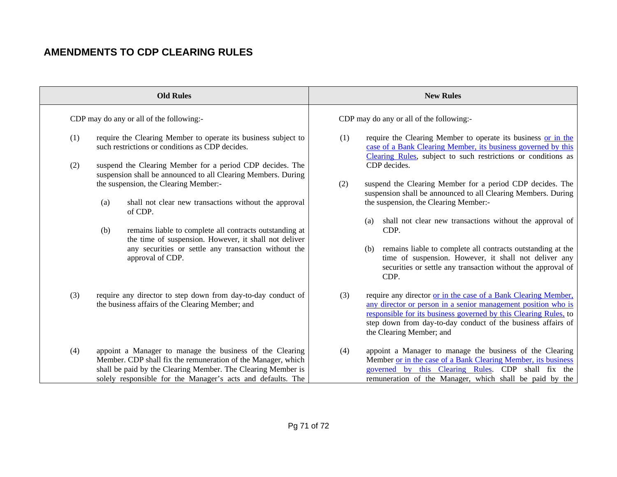|     | <b>Old Rules</b>                                                                                                                                                                                                                                        | <b>New Rules</b>                                                                                                                                                                                                                                                                                       |
|-----|---------------------------------------------------------------------------------------------------------------------------------------------------------------------------------------------------------------------------------------------------------|--------------------------------------------------------------------------------------------------------------------------------------------------------------------------------------------------------------------------------------------------------------------------------------------------------|
|     | CDP may do any or all of the following:-                                                                                                                                                                                                                | CDP may do any or all of the following:-                                                                                                                                                                                                                                                               |
| (1) | require the Clearing Member to operate its business subject to<br>such restrictions or conditions as CDP decides.                                                                                                                                       | require the Clearing Member to operate its business or in the<br>(1)<br>case of a Bank Clearing Member, its business governed by this<br>Clearing Rules, subject to such restrictions or conditions as                                                                                                 |
| (2) | suspend the Clearing Member for a period CDP decides. The<br>suspension shall be announced to all Clearing Members. During<br>the suspension, the Clearing Member:-                                                                                     | CDP decides.<br>suspend the Clearing Member for a period CDP decides. The<br>(2)<br>suspension shall be announced to all Clearing Members. During                                                                                                                                                      |
|     | shall not clear new transactions without the approval<br>(a)<br>of CDP.                                                                                                                                                                                 | the suspension, the Clearing Member:-<br>shall not clear new transactions without the approval of<br>(a)                                                                                                                                                                                               |
|     | remains liable to complete all contracts outstanding at<br>(b)<br>the time of suspension. However, it shall not deliver<br>any securities or settle any transaction without the                                                                         | CDP.<br>remains liable to complete all contracts outstanding at the<br>(b)                                                                                                                                                                                                                             |
|     | approval of CDP.                                                                                                                                                                                                                                        | time of suspension. However, it shall not deliver any<br>securities or settle any transaction without the approval of<br>CDP.                                                                                                                                                                          |
| (3) | require any director to step down from day-to-day conduct of<br>the business affairs of the Clearing Member; and                                                                                                                                        | require any director or in the case of a Bank Clearing Member,<br>(3)<br>any director or person in a senior management position who is<br>responsible for its business governed by this Clearing Rules, to<br>step down from day-to-day conduct of the business affairs of<br>the Clearing Member; and |
| (4) | appoint a Manager to manage the business of the Clearing<br>Member. CDP shall fix the remuneration of the Manager, which<br>shall be paid by the Clearing Member. The Clearing Member is<br>solely responsible for the Manager's acts and defaults. The | appoint a Manager to manage the business of the Clearing<br>(4)<br>Member or in the case of a Bank Clearing Member, its business<br>governed by this Clearing Rules. CDP shall fix the<br>remuneration of the Manager, which shall be paid by the                                                      |